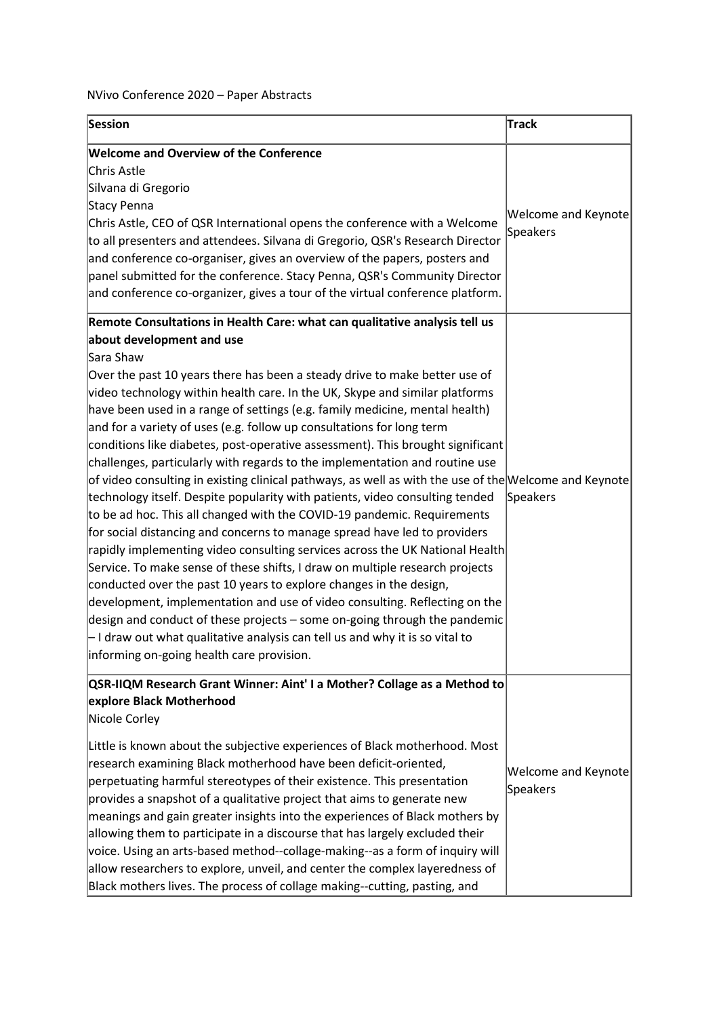## NVivo Conference 2020 – Paper Abstracts

| Session                                                                                                                                                                                                                                                                                                                                                                                                                                                                                                                                                                                                                                                                                                                                                                                                                                                                                                                                                                                                                                                                                                                                                                                                                                                                                                                                                                                                                                                                                                 | Track                                         |
|---------------------------------------------------------------------------------------------------------------------------------------------------------------------------------------------------------------------------------------------------------------------------------------------------------------------------------------------------------------------------------------------------------------------------------------------------------------------------------------------------------------------------------------------------------------------------------------------------------------------------------------------------------------------------------------------------------------------------------------------------------------------------------------------------------------------------------------------------------------------------------------------------------------------------------------------------------------------------------------------------------------------------------------------------------------------------------------------------------------------------------------------------------------------------------------------------------------------------------------------------------------------------------------------------------------------------------------------------------------------------------------------------------------------------------------------------------------------------------------------------------|-----------------------------------------------|
| <b>Welcome and Overview of the Conference</b><br>Chris Astle<br>Silvana di Gregorio<br>Stacy Penna<br>Chris Astle, CEO of QSR International opens the conference with a Welcome<br>to all presenters and attendees. Silvana di Gregorio, QSR's Research Director<br>and conference co-organiser, gives an overview of the papers, posters and<br>panel submitted for the conference. Stacy Penna, QSR's Community Director<br>and conference co-organizer, gives a tour of the virtual conference platform.                                                                                                                                                                                                                                                                                                                                                                                                                                                                                                                                                                                                                                                                                                                                                                                                                                                                                                                                                                                             | <b>Welcome and Keynote</b><br><b>Speakers</b> |
| Remote Consultations in Health Care: what can qualitative analysis tell us<br>about development and use<br>Sara Shaw<br>Over the past 10 years there has been a steady drive to make better use of<br>video technology within health care. In the UK, Skype and similar platforms<br>have been used in a range of settings (e.g. family medicine, mental health)<br>and for a variety of uses (e.g. follow up consultations for long term<br>conditions like diabetes, post-operative assessment). This brought significant<br>challenges, particularly with regards to the implementation and routine use<br>$\circ$ f video consulting in existing clinical pathways, as well as with the use of the Welcome and Keynote<br>technology itself. Despite popularity with patients, video consulting tended<br>to be ad hoc. This all changed with the COVID-19 pandemic. Requirements<br>for social distancing and concerns to manage spread have led to providers<br>rapidly implementing video consulting services across the UK National Health<br>Service. To make sense of these shifts, I draw on multiple research projects<br>conducted over the past 10 years to explore changes in the design,<br>development, implementation and use of video consulting. Reflecting on the<br>design and conduct of these projects - some on-going through the pandemic<br>$\vdash$ I draw out what qualitative analysis can tell us and why it is so vital to<br>informing on-going health care provision. | Speakers                                      |
| QSR-IIQM Research Grant Winner: Aint' I a Mother? Collage as a Method to<br>explore Black Motherhood<br>Nicole Corley<br>Little is known about the subjective experiences of Black motherhood. Most<br>research examining Black motherhood have been deficit-oriented,<br>perpetuating harmful stereotypes of their existence. This presentation<br>provides a snapshot of a qualitative project that aims to generate new<br>meanings and gain greater insights into the experiences of Black mothers by<br>allowing them to participate in a discourse that has largely excluded their<br>voice. Using an arts-based method--collage-making--as a form of inquiry will<br>allow researchers to explore, unveil, and center the complex layeredness of<br>Black mothers lives. The process of collage making--cutting, pasting, and                                                                                                                                                                                                                                                                                                                                                                                                                                                                                                                                                                                                                                                                    | <b>Welcome and Keynote</b><br>Speakers        |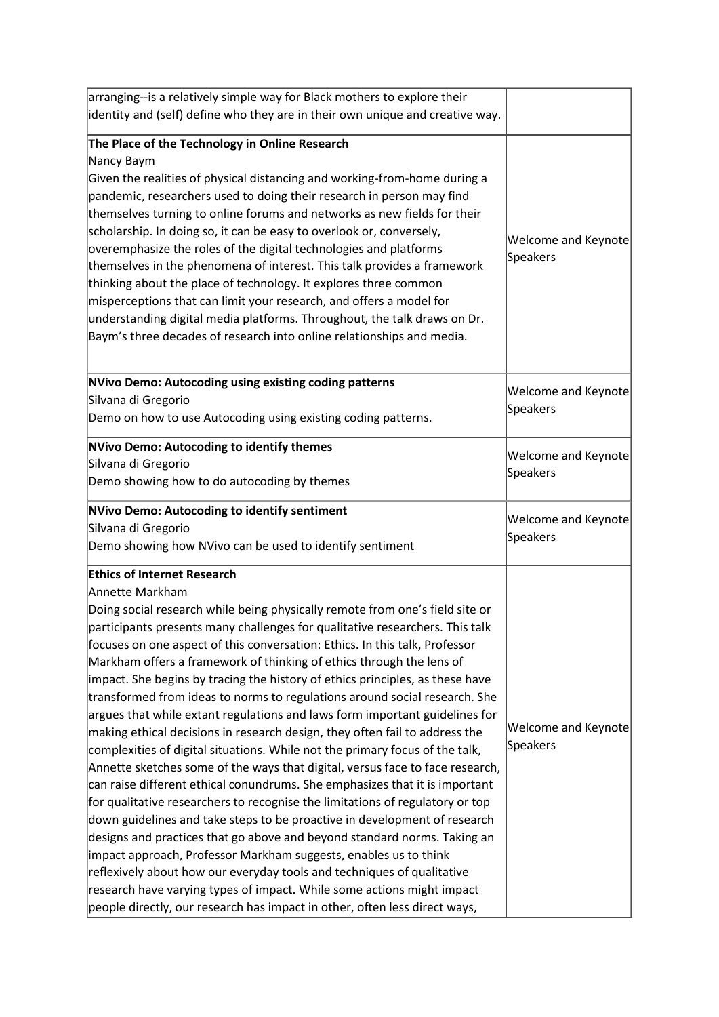| arranging--is a relatively simple way for Black mothers to explore their      |                            |
|-------------------------------------------------------------------------------|----------------------------|
| identity and (self) define who they are in their own unique and creative way. |                            |
| The Place of the Technology in Online Research                                |                            |
| Nancy Baym                                                                    |                            |
| Given the realities of physical distancing and working-from-home during a     |                            |
| pandemic, researchers used to doing their research in person may find         |                            |
| themselves turning to online forums and networks as new fields for their      |                            |
| scholarship. In doing so, it can be easy to overlook or, conversely,          |                            |
| overemphasize the roles of the digital technologies and platforms             | <b>Welcome and Keynote</b> |
| themselves in the phenomena of interest. This talk provides a framework       | Speakers                   |
| thinking about the place of technology. It explores three common              |                            |
| misperceptions that can limit your research, and offers a model for           |                            |
| understanding digital media platforms. Throughout, the talk draws on Dr.      |                            |
| Baym's three decades of research into online relationships and media.         |                            |
|                                                                               |                            |
| NVivo Demo: Autocoding using existing coding patterns                         | <b>Welcome and Keynote</b> |
| Silvana di Gregorio                                                           | Speakers                   |
| Demo on how to use Autocoding using existing coding patterns.                 |                            |
| <b>NVivo Demo: Autocoding to identify themes</b>                              | <b>Welcome and Keynote</b> |
| Silvana di Gregorio                                                           | Speakers                   |
| Demo showing how to do autocoding by themes                                   |                            |
| NVivo Demo: Autocoding to identify sentiment                                  | <b>Welcome and Keynote</b> |
| Silvana di Gregorio                                                           | Speakers                   |
| Demo showing how NVivo can be used to identify sentiment                      |                            |
| <b>Ethics of Internet Research</b>                                            |                            |
| Annette Markham                                                               |                            |
| Doing social research while being physically remote from one's field site or  |                            |
| participants presents many challenges for qualitative researchers. This talk  |                            |
| focuses on one aspect of this conversation: Ethics. In this talk, Professor   |                            |
| Markham offers a framework of thinking of ethics through the lens of          |                            |
| impact. She begins by tracing the history of ethics principles, as these have |                            |
| transformed from ideas to norms to regulations around social research. She    |                            |
| argues that while extant regulations and laws form important guidelines for   |                            |
| making ethical decisions in research design, they often fail to address the   | <b>Welcome and Keynote</b> |
| complexities of digital situations. While not the primary focus of the talk,  | Speakers                   |
| Annette sketches some of the ways that digital, versus face to face research, |                            |
| can raise different ethical conundrums. She emphasizes that it is important   |                            |
| for qualitative researchers to recognise the limitations of regulatory or top |                            |
| down guidelines and take steps to be proactive in development of research     |                            |
| designs and practices that go above and beyond standard norms. Taking an      |                            |
| impact approach, Professor Markham suggests, enables us to think              |                            |
| reflexively about how our everyday tools and techniques of qualitative        |                            |
| research have varying types of impact. While some actions might impact        |                            |
|                                                                               |                            |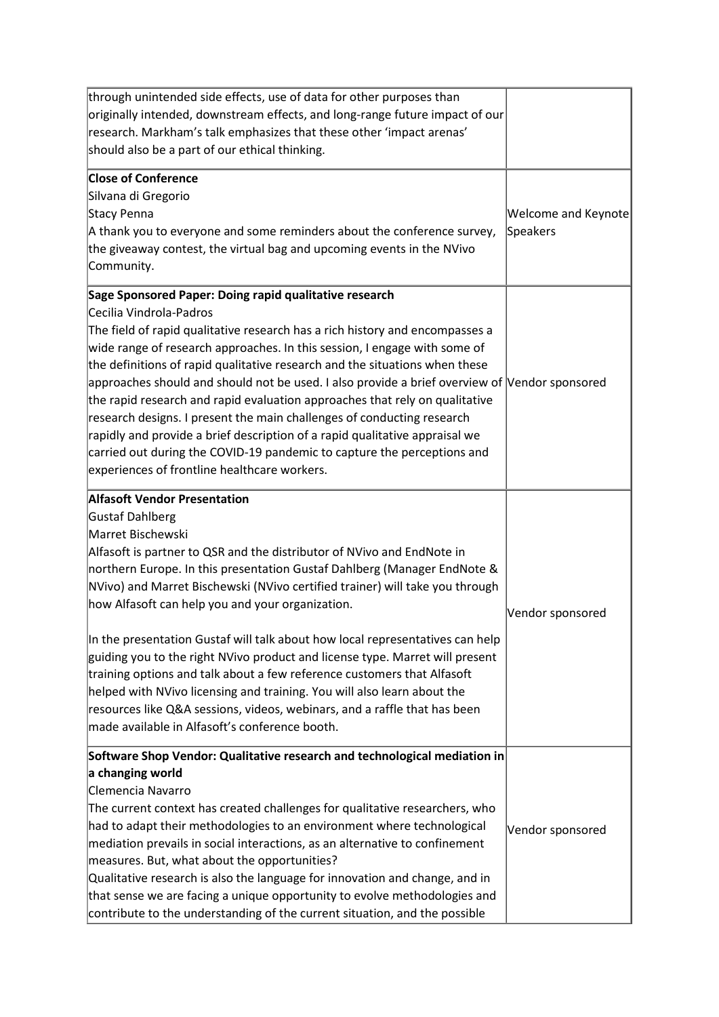| through unintended side effects, use of data for other purposes than<br>originally intended, downstream effects, and long-range future impact of our<br>research. Markham's talk emphasizes that these other 'impact arenas'<br>should also be a part of our ethical thinking.                                                                                                                                                                                                                                                                                                                                                                                                                                                                                                                                              |                                        |
|-----------------------------------------------------------------------------------------------------------------------------------------------------------------------------------------------------------------------------------------------------------------------------------------------------------------------------------------------------------------------------------------------------------------------------------------------------------------------------------------------------------------------------------------------------------------------------------------------------------------------------------------------------------------------------------------------------------------------------------------------------------------------------------------------------------------------------|----------------------------------------|
| <b>Close of Conference</b><br>Silvana di Gregorio<br>Stacy Penna<br>A thank you to everyone and some reminders about the conference survey,<br>the giveaway contest, the virtual bag and upcoming events in the NVivo<br>Community.                                                                                                                                                                                                                                                                                                                                                                                                                                                                                                                                                                                         | <b>Welcome and Keynote</b><br>Speakers |
| Sage Sponsored Paper: Doing rapid qualitative research<br>Cecilia Vindrola-Padros<br>The field of rapid qualitative research has a rich history and encompasses a<br>wide range of research approaches. In this session, I engage with some of<br>the definitions of rapid qualitative research and the situations when these<br>approaches should and should not be used. I also provide a brief overview of Vendor sponsored<br>the rapid research and rapid evaluation approaches that rely on qualitative<br>research designs. I present the main challenges of conducting research<br>rapidly and provide a brief description of a rapid qualitative appraisal we<br>carried out during the COVID-19 pandemic to capture the perceptions and<br>experiences of frontline healthcare workers.                           |                                        |
| <b>Alfasoft Vendor Presentation</b><br>Gustaf Dahlberg<br>Marret Bischewski<br>Alfasoft is partner to QSR and the distributor of NVivo and EndNote in<br>northern Europe. In this presentation Gustaf Dahlberg (Manager EndNote &<br>NVivo) and Marret Bischewski (NVivo certified trainer) will take you through<br>how Alfasoft can help you and your organization.<br>In the presentation Gustaf will talk about how local representatives can help<br>guiding you to the right NVivo product and license type. Marret will present<br>training options and talk about a few reference customers that Alfasoft<br>helped with NVivo licensing and training. You will also learn about the<br>resources like Q&A sessions, videos, webinars, and a raffle that has been<br>made available in Alfasoft's conference booth. | Vendor sponsored                       |
| Software Shop Vendor: Qualitative research and technological mediation in<br>a changing world<br>Clemencia Navarro<br>The current context has created challenges for qualitative researchers, who<br>had to adapt their methodologies to an environment where technological<br>mediation prevails in social interactions, as an alternative to confinement<br>measures. But, what about the opportunities?<br>Qualitative research is also the language for innovation and change, and in<br>that sense we are facing a unique opportunity to evolve methodologies and<br>contribute to the understanding of the current situation, and the possible                                                                                                                                                                        | Vendor sponsored                       |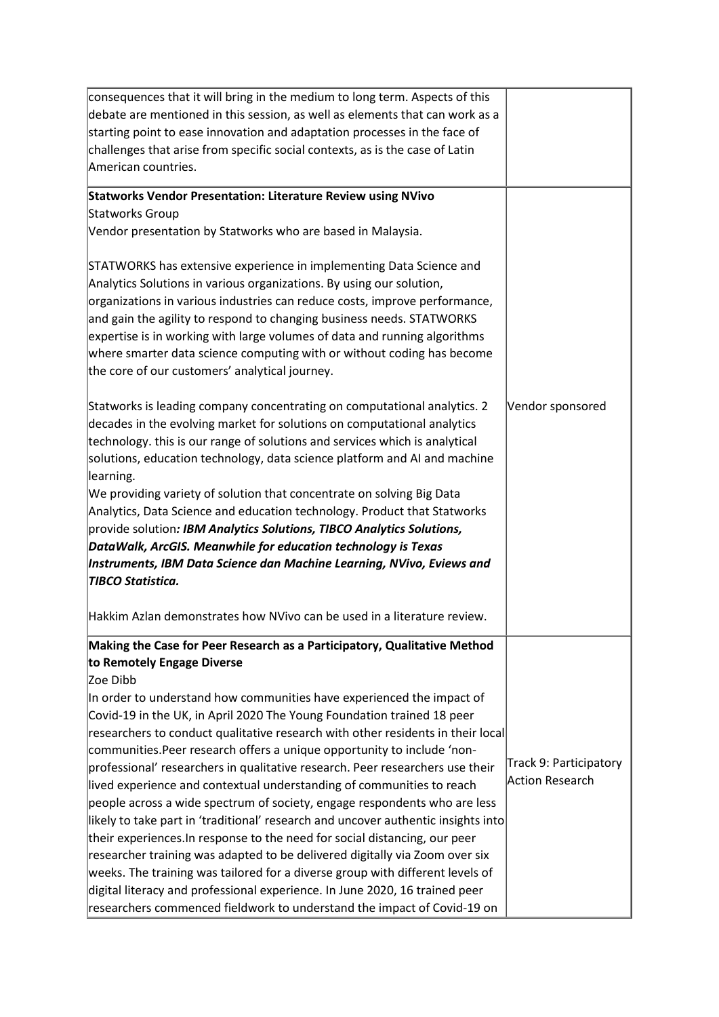| consequences that it will bring in the medium to long term. Aspects of this                                                                         |                        |
|-----------------------------------------------------------------------------------------------------------------------------------------------------|------------------------|
| debate are mentioned in this session, as well as elements that can work as a                                                                        |                        |
| starting point to ease innovation and adaptation processes in the face of                                                                           |                        |
| challenges that arise from specific social contexts, as is the case of Latin                                                                        |                        |
| American countries.                                                                                                                                 |                        |
| <b>Statworks Vendor Presentation: Literature Review using NVivo</b>                                                                                 |                        |
| Statworks Group                                                                                                                                     |                        |
| Vendor presentation by Statworks who are based in Malaysia.                                                                                         |                        |
| STATWORKS has extensive experience in implementing Data Science and                                                                                 |                        |
| Analytics Solutions in various organizations. By using our solution,                                                                                |                        |
| organizations in various industries can reduce costs, improve performance,                                                                          |                        |
| and gain the agility to respond to changing business needs. STATWORKS                                                                               |                        |
| expertise is in working with large volumes of data and running algorithms                                                                           |                        |
| where smarter data science computing with or without coding has become                                                                              |                        |
| the core of our customers' analytical journey.                                                                                                      |                        |
| Statworks is leading company concentrating on computational analytics. 2<br>decades in the evolving market for solutions on computational analytics | Vendor sponsored       |
| technology. this is our range of solutions and services which is analytical                                                                         |                        |
| solutions, education technology, data science platform and AI and machine                                                                           |                        |
| learning.                                                                                                                                           |                        |
| We providing variety of solution that concentrate on solving Big Data                                                                               |                        |
| Analytics, Data Science and education technology. Product that Statworks                                                                            |                        |
| provide solution: IBM Analytics Solutions, TIBCO Analytics Solutions,                                                                               |                        |
| DataWalk, ArcGIS. Meanwhile for education technology is Texas                                                                                       |                        |
| Instruments, IBM Data Science dan Machine Learning, NVivo, Eviews and                                                                               |                        |
| <b>TIBCO Statistica.</b>                                                                                                                            |                        |
| Hakkim Azlan demonstrates how NVivo can be used in a literature review.                                                                             |                        |
| Making the Case for Peer Research as a Participatory, Qualitative Method                                                                            |                        |
| to Remotely Engage Diverse<br>Zoe Dibb                                                                                                              |                        |
| In order to understand how communities have experienced the impact of                                                                               |                        |
| Covid-19 in the UK, in April 2020 The Young Foundation trained 18 peer                                                                              |                        |
| researchers to conduct qualitative research with other residents in their local                                                                     |                        |
| communities. Peer research offers a unique opportunity to include 'non-                                                                             |                        |
| professional' researchers in qualitative research. Peer researchers use their                                                                       | Track 9: Participatory |
| lived experience and contextual understanding of communities to reach                                                                               | <b>Action Research</b> |
| people across a wide spectrum of society, engage respondents who are less                                                                           |                        |
| likely to take part in 'traditional' research and uncover authentic insights into                                                                   |                        |
| their experiences. In response to the need for social distancing, our peer                                                                          |                        |
| researcher training was adapted to be delivered digitally via Zoom over six                                                                         |                        |
| weeks. The training was tailored for a diverse group with different levels of                                                                       |                        |
| digital literacy and professional experience. In June 2020, 16 trained peer                                                                         |                        |
| researchers commenced fieldwork to understand the impact of Covid-19 on                                                                             |                        |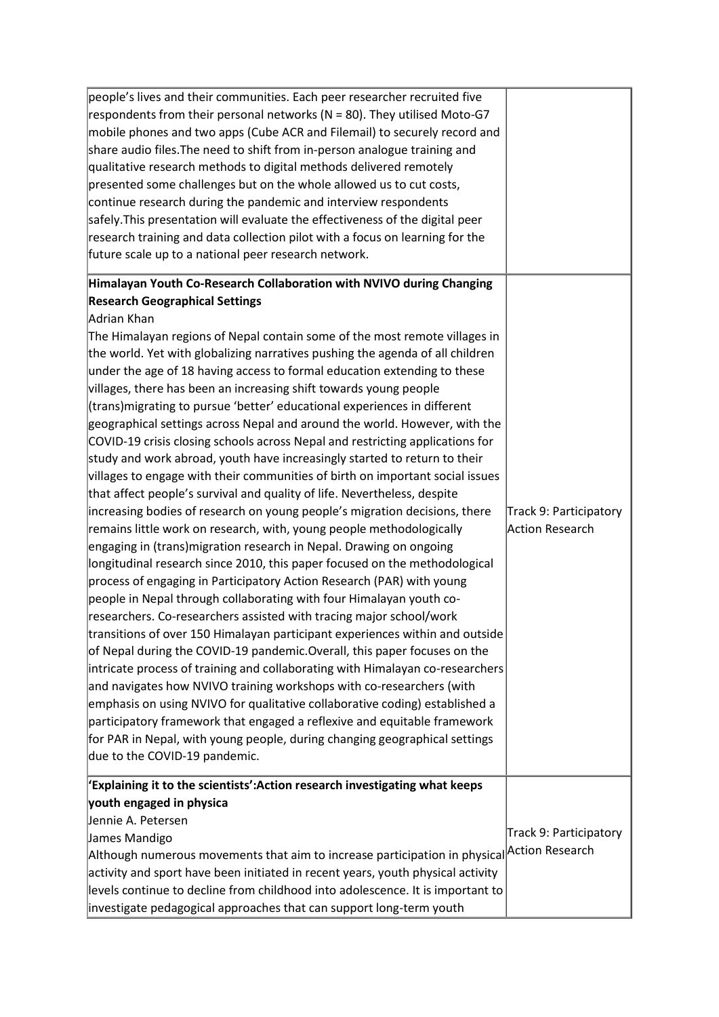| people's lives and their communities. Each peer researcher recruited five<br>respondents from their personal networks ( $N = 80$ ). They utilised Moto-G7<br>mobile phones and two apps (Cube ACR and Filemail) to securely record and<br>share audio files. The need to shift from in-person analogue training and<br>qualitative research methods to digital methods delivered remotely<br>presented some challenges but on the whole allowed us to cut costs,<br>continue research during the pandemic and interview respondents<br>safely. This presentation will evaluate the effectiveness of the digital peer<br>research training and data collection pilot with a focus on learning for the<br>future scale up to a national peer research network.                                                                                                                                                                                                                                                                                                                                                                                                                                                                                                                                                                                                                                                                                                                                                                                                                                                                                                                                                                                                                                                                                                                                                                                                                                                                                                        |                                                  |
|---------------------------------------------------------------------------------------------------------------------------------------------------------------------------------------------------------------------------------------------------------------------------------------------------------------------------------------------------------------------------------------------------------------------------------------------------------------------------------------------------------------------------------------------------------------------------------------------------------------------------------------------------------------------------------------------------------------------------------------------------------------------------------------------------------------------------------------------------------------------------------------------------------------------------------------------------------------------------------------------------------------------------------------------------------------------------------------------------------------------------------------------------------------------------------------------------------------------------------------------------------------------------------------------------------------------------------------------------------------------------------------------------------------------------------------------------------------------------------------------------------------------------------------------------------------------------------------------------------------------------------------------------------------------------------------------------------------------------------------------------------------------------------------------------------------------------------------------------------------------------------------------------------------------------------------------------------------------------------------------------------------------------------------------------------------------|--------------------------------------------------|
| Himalayan Youth Co-Research Collaboration with NVIVO during Changing<br><b>Research Geographical Settings</b><br>Adrian Khan<br>The Himalayan regions of Nepal contain some of the most remote villages in<br>the world. Yet with globalizing narratives pushing the agenda of all children<br>under the age of 18 having access to formal education extending to these<br>villages, there has been an increasing shift towards young people<br>(trans) migrating to pursue 'better' educational experiences in different<br>geographical settings across Nepal and around the world. However, with the<br>COVID-19 crisis closing schools across Nepal and restricting applications for<br>study and work abroad, youth have increasingly started to return to their<br>villages to engage with their communities of birth on important social issues<br>that affect people's survival and quality of life. Nevertheless, despite<br>increasing bodies of research on young people's migration decisions, there<br>remains little work on research, with, young people methodologically<br>engaging in (trans)migration research in Nepal. Drawing on ongoing<br>longitudinal research since 2010, this paper focused on the methodological<br>process of engaging in Participatory Action Research (PAR) with young<br>people in Nepal through collaborating with four Himalayan youth co-<br>researchers. Co-researchers assisted with tracing major school/work<br>transitions of over 150 Himalayan participant experiences within and outside<br>of Nepal during the COVID-19 pandemic. Overall, this paper focuses on the<br>intricate process of training and collaborating with Himalayan co-researchers<br>and navigates how NVIVO training workshops with co-researchers (with<br>emphasis on using NVIVO for qualitative collaborative coding) established a<br>participatory framework that engaged a reflexive and equitable framework<br>for PAR in Nepal, with young people, during changing geographical settings<br>due to the COVID-19 pandemic. | Track 9: Participatory<br><b>Action Research</b> |
| 'Explaining it to the scientists':Action research investigating what keeps<br>youth engaged in physica<br>Jennie A. Petersen<br>James Mandigo<br>Although numerous movements that aim to increase participation in physical Action Research<br>activity and sport have been initiated in recent years, youth physical activity<br>levels continue to decline from childhood into adolescence. It is important to<br>investigate pedagogical approaches that can support long-term youth                                                                                                                                                                                                                                                                                                                                                                                                                                                                                                                                                                                                                                                                                                                                                                                                                                                                                                                                                                                                                                                                                                                                                                                                                                                                                                                                                                                                                                                                                                                                                                             | Track 9: Participatory                           |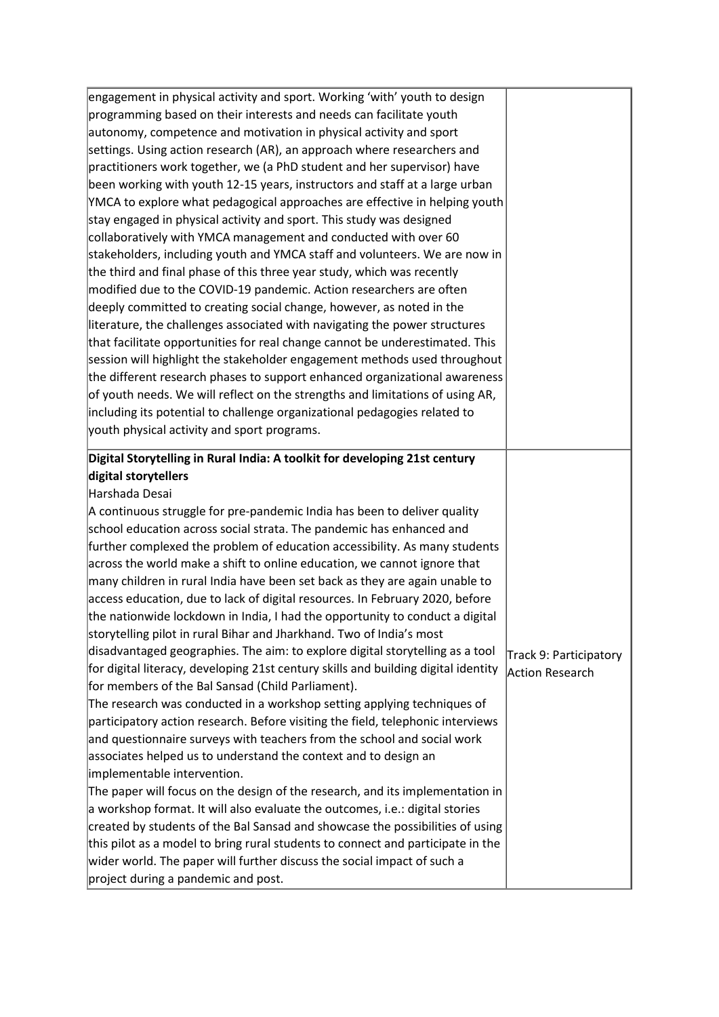| engagement in physical activity and sport. Working 'with' youth to design          |                                                  |
|------------------------------------------------------------------------------------|--------------------------------------------------|
| programming based on their interests and needs can facilitate youth                |                                                  |
| autonomy, competence and motivation in physical activity and sport                 |                                                  |
| settings. Using action research (AR), an approach where researchers and            |                                                  |
| practitioners work together, we (a PhD student and her supervisor) have            |                                                  |
| been working with youth 12-15 years, instructors and staff at a large urban        |                                                  |
| YMCA to explore what pedagogical approaches are effective in helping youth         |                                                  |
| stay engaged in physical activity and sport. This study was designed               |                                                  |
| collaboratively with YMCA management and conducted with over 60                    |                                                  |
| stakeholders, including youth and YMCA staff and volunteers. We are now in         |                                                  |
| the third and final phase of this three year study, which was recently             |                                                  |
| modified due to the COVID-19 pandemic. Action researchers are often                |                                                  |
| deeply committed to creating social change, however, as noted in the               |                                                  |
| literature, the challenges associated with navigating the power structures         |                                                  |
| that facilitate opportunities for real change cannot be underestimated. This       |                                                  |
| session will highlight the stakeholder engagement methods used throughout          |                                                  |
| the different research phases to support enhanced organizational awareness         |                                                  |
| of youth needs. We will reflect on the strengths and limitations of using AR,      |                                                  |
| including its potential to challenge organizational pedagogies related to          |                                                  |
| youth physical activity and sport programs.                                        |                                                  |
| Digital Storytelling in Rural India: A toolkit for developing 21st century         |                                                  |
| digital storytellers                                                               |                                                  |
| Harshada Desai                                                                     |                                                  |
| A continuous struggle for pre-pandemic India has been to deliver quality           |                                                  |
| school education across social strata. The pandemic has enhanced and               |                                                  |
| further complexed the problem of education accessibility. As many students         |                                                  |
| across the world make a shift to online education, we cannot ignore that           |                                                  |
| many children in rural India have been set back as they are again unable to        |                                                  |
| access education, due to lack of digital resources. In February 2020, before       |                                                  |
| the nationwide lockdown in India, I had the opportunity to conduct a digital       |                                                  |
| storytelling pilot in rural Bihar and Jharkhand. Two of India's most               |                                                  |
| disadvantaged geographies. The aim: to explore digital storytelling as a tool      |                                                  |
| for digital literacy, developing 21st century skills and building digital identity | Track 9: Participatory<br><b>Action Research</b> |
| for members of the Bal Sansad (Child Parliament).                                  |                                                  |
| The research was conducted in a workshop setting applying techniques of            |                                                  |
| participatory action research. Before visiting the field, telephonic interviews    |                                                  |
| and questionnaire surveys with teachers from the school and social work            |                                                  |
| associates helped us to understand the context and to design an                    |                                                  |
| implementable intervention.                                                        |                                                  |
| The paper will focus on the design of the research, and its implementation in      |                                                  |
| a workshop format. It will also evaluate the outcomes, i.e.: digital stories       |                                                  |
| created by students of the Bal Sansad and showcase the possibilities of using      |                                                  |
| this pilot as a model to bring rural students to connect and participate in the    |                                                  |
|                                                                                    |                                                  |
| wider world. The paper will further discuss the social impact of such a            |                                                  |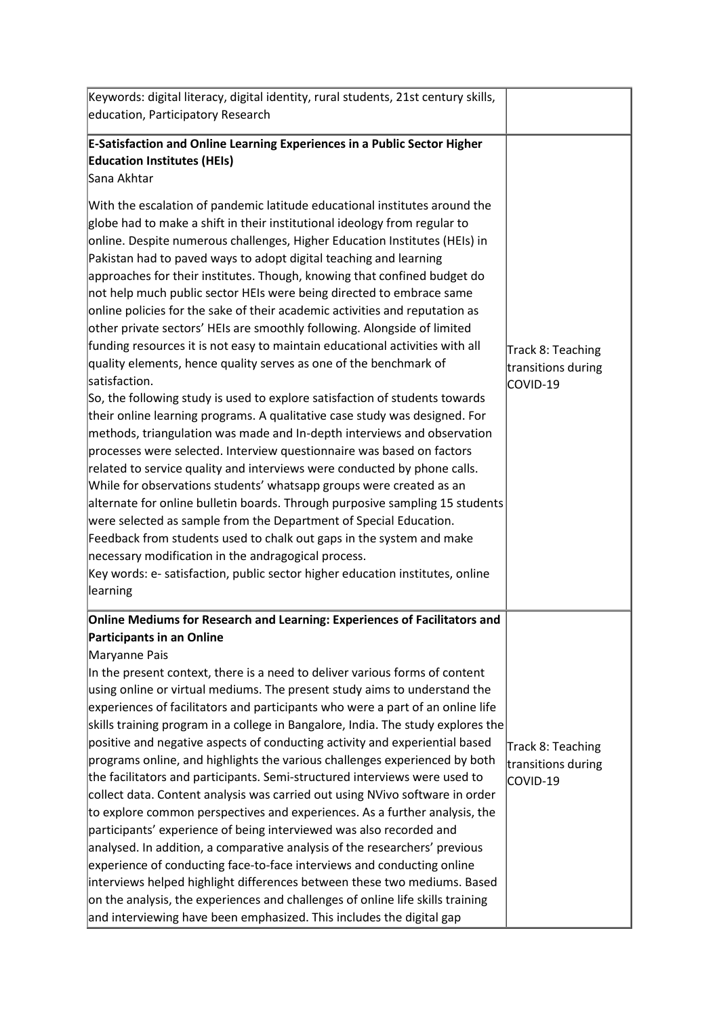| Keywords: digital literacy, digital identity, rural students, 21st century skills,                                                                                                                                                                                                                                                                                                                                                                                                                                                                                                                                                                                                                                                                                                                                                                                                                                                                                                                                                                                                                                                                                                                                                                                                                                                                                                                          |                                                     |
|-------------------------------------------------------------------------------------------------------------------------------------------------------------------------------------------------------------------------------------------------------------------------------------------------------------------------------------------------------------------------------------------------------------------------------------------------------------------------------------------------------------------------------------------------------------------------------------------------------------------------------------------------------------------------------------------------------------------------------------------------------------------------------------------------------------------------------------------------------------------------------------------------------------------------------------------------------------------------------------------------------------------------------------------------------------------------------------------------------------------------------------------------------------------------------------------------------------------------------------------------------------------------------------------------------------------------------------------------------------------------------------------------------------|-----------------------------------------------------|
| education, Participatory Research                                                                                                                                                                                                                                                                                                                                                                                                                                                                                                                                                                                                                                                                                                                                                                                                                                                                                                                                                                                                                                                                                                                                                                                                                                                                                                                                                                           |                                                     |
| <b>E-Satisfaction and Online Learning Experiences in a Public Sector Higher</b><br><b>Education Institutes (HEIs)</b><br>Sana Akhtar<br>With the escalation of pandemic latitude educational institutes around the<br>globe had to make a shift in their institutional ideology from regular to<br>online. Despite numerous challenges, Higher Education Institutes (HEIs) in                                                                                                                                                                                                                                                                                                                                                                                                                                                                                                                                                                                                                                                                                                                                                                                                                                                                                                                                                                                                                               |                                                     |
| Pakistan had to paved ways to adopt digital teaching and learning<br>approaches for their institutes. Though, knowing that confined budget do<br>not help much public sector HEIs were being directed to embrace same<br>online policies for the sake of their academic activities and reputation as<br>other private sectors' HEIs are smoothly following. Alongside of limited<br>funding resources it is not easy to maintain educational activities with all<br>quality elements, hence quality serves as one of the benchmark of<br>satisfaction.<br>So, the following study is used to explore satisfaction of students towards<br>their online learning programs. A qualitative case study was designed. For<br>methods, triangulation was made and In-depth interviews and observation<br>processes were selected. Interview questionnaire was based on factors<br>related to service quality and interviews were conducted by phone calls.<br>While for observations students' whatsapp groups were created as an<br>alternate for online bulletin boards. Through purposive sampling 15 students<br>were selected as sample from the Department of Special Education.<br>Feedback from students used to chalk out gaps in the system and make<br>necessary modification in the andragogical process.<br>Key words: e- satisfaction, public sector higher education institutes, online<br>learning | Track 8: Teaching<br>transitions during<br>COVID-19 |
| Online Mediums for Research and Learning: Experiences of Facilitators and<br><b>Participants in an Online</b>                                                                                                                                                                                                                                                                                                                                                                                                                                                                                                                                                                                                                                                                                                                                                                                                                                                                                                                                                                                                                                                                                                                                                                                                                                                                                               |                                                     |
| Maryanne Pais<br>In the present context, there is a need to deliver various forms of content<br>using online or virtual mediums. The present study aims to understand the<br>experiences of facilitators and participants who were a part of an online life<br>skills training program in a college in Bangalore, India. The study explores the<br>positive and negative aspects of conducting activity and experiential based<br>programs online, and highlights the various challenges experienced by both<br>the facilitators and participants. Semi-structured interviews were used to<br>collect data. Content analysis was carried out using NVivo software in order<br>to explore common perspectives and experiences. As a further analysis, the<br>participants' experience of being interviewed was also recorded and<br>analysed. In addition, a comparative analysis of the researchers' previous<br>experience of conducting face-to-face interviews and conducting online<br>interviews helped highlight differences between these two mediums. Based<br>on the analysis, the experiences and challenges of online life skills training<br>and interviewing have been emphasized. This includes the digital gap                                                                                                                                                                               | Track 8: Teaching<br>transitions during<br>COVID-19 |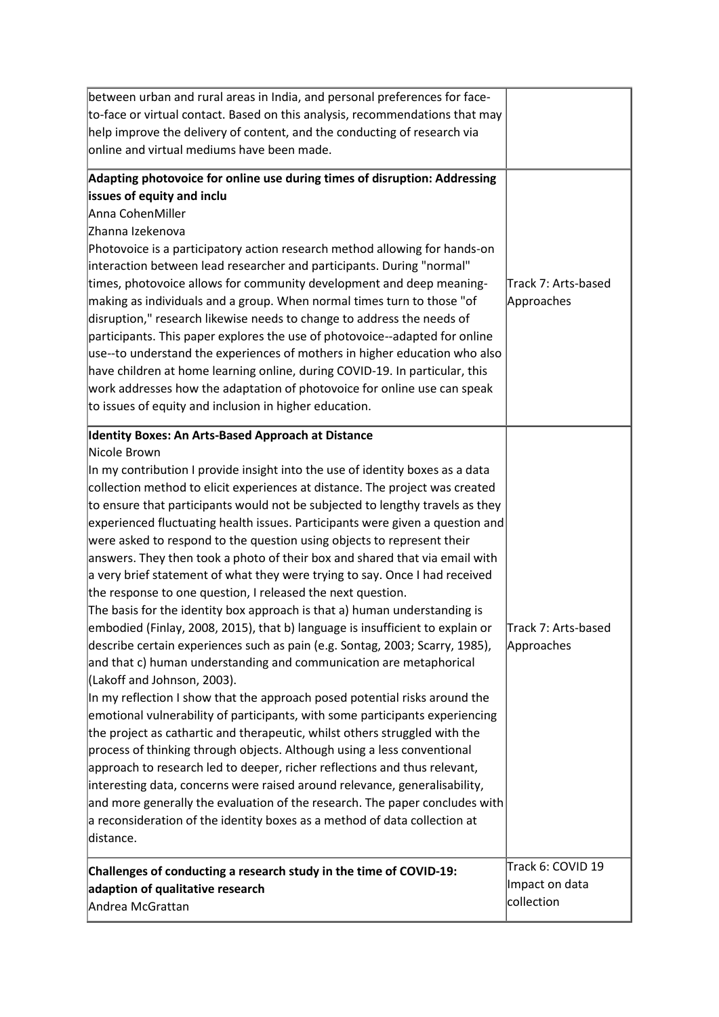| between urban and rural areas in India, and personal preferences for face-    |                     |
|-------------------------------------------------------------------------------|---------------------|
| to-face or virtual contact. Based on this analysis, recommendations that may  |                     |
| help improve the delivery of content, and the conducting of research via      |                     |
| online and virtual mediums have been made.                                    |                     |
| Adapting photovoice for online use during times of disruption: Addressing     |                     |
| issues of equity and inclu                                                    |                     |
| Anna CohenMiller                                                              |                     |
| Zhanna Izekenova                                                              |                     |
| Photovoice is a participatory action research method allowing for hands-on    |                     |
| interaction between lead researcher and participants. During "normal"         |                     |
| times, photovoice allows for community development and deep meaning-          | Track 7: Arts-based |
| making as individuals and a group. When normal times turn to those "of        | Approaches          |
| disruption," research likewise needs to change to address the needs of        |                     |
| participants. This paper explores the use of photovoice--adapted for online   |                     |
| use--to understand the experiences of mothers in higher education who also    |                     |
| have children at home learning online, during COVID-19. In particular, this   |                     |
| work addresses how the adaptation of photovoice for online use can speak      |                     |
| to issues of equity and inclusion in higher education.                        |                     |
| Identity Boxes: An Arts-Based Approach at Distance                            |                     |
| Nicole Brown                                                                  |                     |
| In my contribution I provide insight into the use of identity boxes as a data |                     |
| collection method to elicit experiences at distance. The project was created  |                     |
| to ensure that participants would not be subjected to lengthy travels as they |                     |
| experienced fluctuating health issues. Participants were given a question and |                     |
| were asked to respond to the question using objects to represent their        |                     |
| answers. They then took a photo of their box and shared that via email with   |                     |
| a very brief statement of what they were trying to say. Once I had received   |                     |
| the response to one question, I released the next question.                   |                     |
| The basis for the identity box approach is that a) human understanding is     |                     |
| embodied (Finlay, 2008, 2015), that b) language is insufficient to explain or | Track 7: Arts-based |
| describe certain experiences such as pain (e.g. Sontag, 2003; Scarry, 1985),  | Approaches          |
| and that c) human understanding and communication are metaphorical            |                     |
| (Lakoff and Johnson, 2003).                                                   |                     |
| In my reflection I show that the approach posed potential risks around the    |                     |
| emotional vulnerability of participants, with some participants experiencing  |                     |
| the project as cathartic and therapeutic, whilst others struggled with the    |                     |
| process of thinking through objects. Although using a less conventional       |                     |
| approach to research led to deeper, richer reflections and thus relevant,     |                     |
| interesting data, concerns were raised around relevance, generalisability,    |                     |
| and more generally the evaluation of the research. The paper concludes with   |                     |
| a reconsideration of the identity boxes as a method of data collection at     |                     |
| distance.                                                                     |                     |
| Challenges of conducting a research study in the time of COVID-19:            | Track 6: COVID 19   |
| adaption of qualitative research                                              | Impact on data      |
| Andrea McGrattan                                                              | collection          |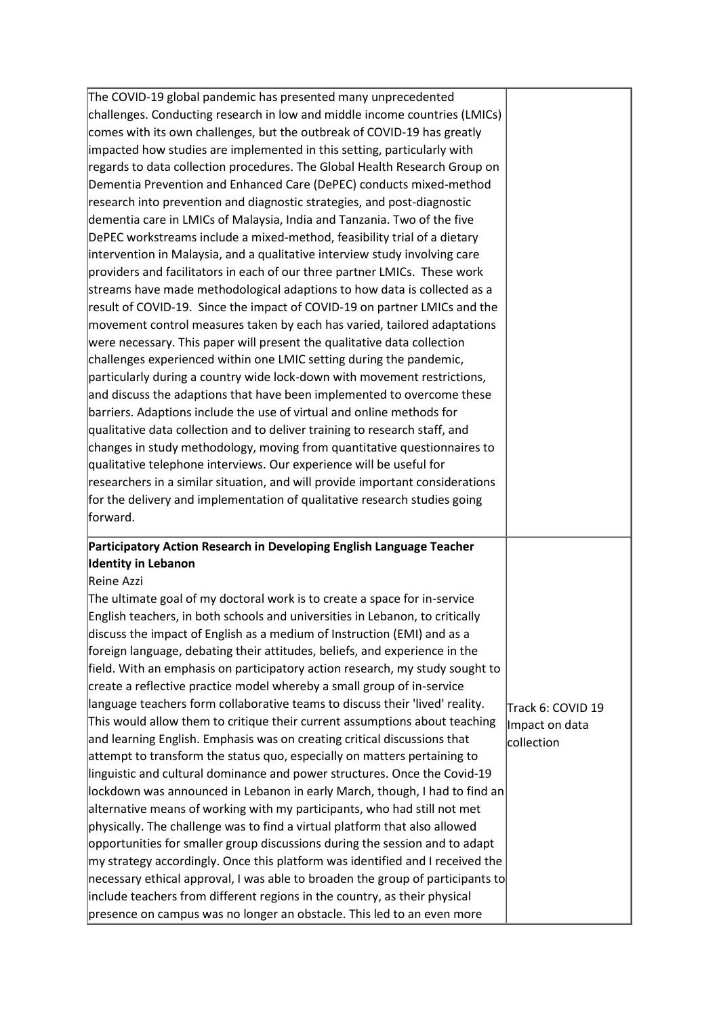| The COVID-19 global pandemic has presented many unprecedented                     |                   |
|-----------------------------------------------------------------------------------|-------------------|
| challenges. Conducting research in low and middle income countries (LMICs)        |                   |
| comes with its own challenges, but the outbreak of COVID-19 has greatly           |                   |
| impacted how studies are implemented in this setting, particularly with           |                   |
| regards to data collection procedures. The Global Health Research Group on        |                   |
| Dementia Prevention and Enhanced Care (DePEC) conducts mixed-method               |                   |
| research into prevention and diagnostic strategies, and post-diagnostic           |                   |
| dementia care in LMICs of Malaysia, India and Tanzania. Two of the five           |                   |
| DePEC workstreams include a mixed-method, feasibility trial of a dietary          |                   |
| intervention in Malaysia, and a qualitative interview study involving care        |                   |
| providers and facilitators in each of our three partner LMICs. These work         |                   |
| streams have made methodological adaptions to how data is collected as a          |                   |
| result of COVID-19. Since the impact of COVID-19 on partner LMICs and the         |                   |
| movement control measures taken by each has varied, tailored adaptations          |                   |
| were necessary. This paper will present the qualitative data collection           |                   |
| challenges experienced within one LMIC setting during the pandemic,               |                   |
| particularly during a country wide lock-down with movement restrictions,          |                   |
| and discuss the adaptions that have been implemented to overcome these            |                   |
| barriers. Adaptions include the use of virtual and online methods for             |                   |
| qualitative data collection and to deliver training to research staff, and        |                   |
| changes in study methodology, moving from quantitative questionnaires to          |                   |
| qualitative telephone interviews. Our experience will be useful for               |                   |
| researchers in a similar situation, and will provide important considerations     |                   |
| for the delivery and implementation of qualitative research studies going         |                   |
|                                                                                   |                   |
| forward.                                                                          |                   |
|                                                                                   |                   |
| Participatory Action Research in Developing English Language Teacher              |                   |
| <b>Identity in Lebanon</b>                                                        |                   |
| Reine Azzi                                                                        |                   |
| The ultimate goal of my doctoral work is to create a space for in-service         |                   |
| English teachers, in both schools and universities in Lebanon, to critically      |                   |
| discuss the impact of English as a medium of Instruction (EMI) and as a           |                   |
| foreign language, debating their attitudes, beliefs, and experience in the        |                   |
| field. With an emphasis on participatory action research, my study sought to      |                   |
| create a reflective practice model whereby a small group of in-service            |                   |
| language teachers form collaborative teams to discuss their 'lived' reality.      | Track 6: COVID 19 |
| This would allow them to critique their current assumptions about teaching        | Impact on data    |
| and learning English. Emphasis was on creating critical discussions that          | collection        |
| attempt to transform the status quo, especially on matters pertaining to          |                   |
| linguistic and cultural dominance and power structures. Once the Covid-19         |                   |
| lockdown was announced in Lebanon in early March, though, I had to find an        |                   |
| alternative means of working with my participants, who had still not met          |                   |
| physically. The challenge was to find a virtual platform that also allowed        |                   |
| opportunities for smaller group discussions during the session and to adapt       |                   |
| $ $ my strategy accordingly. Once this platform was identified and I received the |                   |
| necessary ethical approval, I was able to broaden the group of participants to    |                   |
| include teachers from different regions in the country, as their physical         |                   |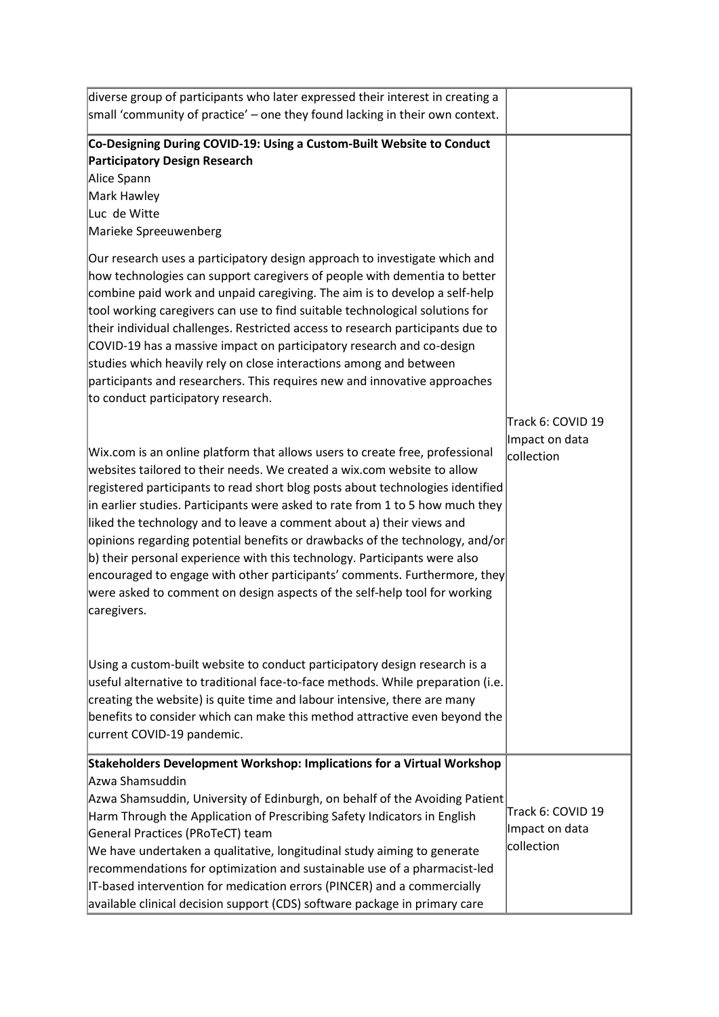| diverse group of participants who later expressed their interest in creating a                                                                                                                                                                                                                                                                                                                                                                                                                                                                                                                                                                                                                                                                                                                                       |                                                   |
|----------------------------------------------------------------------------------------------------------------------------------------------------------------------------------------------------------------------------------------------------------------------------------------------------------------------------------------------------------------------------------------------------------------------------------------------------------------------------------------------------------------------------------------------------------------------------------------------------------------------------------------------------------------------------------------------------------------------------------------------------------------------------------------------------------------------|---------------------------------------------------|
| small 'community of practice' – one they found lacking in their own context.                                                                                                                                                                                                                                                                                                                                                                                                                                                                                                                                                                                                                                                                                                                                         |                                                   |
| Co-Designing During COVID-19: Using a Custom-Built Website to Conduct<br>Participatory Design Research<br>Alice Spann<br>Mark Hawley<br>Luc de Witte<br>Marieke Spreeuwenberg<br>Our research uses a participatory design approach to investigate which and<br>how technologies can support caregivers of people with dementia to better<br>combine paid work and unpaid caregiving. The aim is to develop a self-help<br>tool working caregivers can use to find suitable technological solutions for<br>their individual challenges. Restricted access to research participants due to<br>COVID-19 has a massive impact on participatory research and co-design<br>studies which heavily rely on close interactions among and between<br>participants and researchers. This requires new and innovative approaches |                                                   |
| to conduct participatory research.<br>Wix.com is an online platform that allows users to create free, professional<br>websites tailored to their needs. We created a wix.com website to allow<br>registered participants to read short blog posts about technologies identified<br>in earlier studies. Participants were asked to rate from 1 to 5 how much they<br>liked the technology and to leave a comment about a) their views and<br>opinions regarding potential benefits or drawbacks of the technology, and/or<br>b) their personal experience with this technology. Participants were also<br>$ $ encouraged to engage with other participants' comments. Furthermore, they<br>were asked to comment on design aspects of the self-help tool for working<br>caregivers.                                   | Track 6: COVID 19<br>Impact on data<br>collection |
| Using a custom-built website to conduct participatory design research is a<br>useful alternative to traditional face-to-face methods. While preparation (i.e.<br>creating the website) is quite time and labour intensive, there are many<br>benefits to consider which can make this method attractive even beyond the<br>current COVID-19 pandemic.                                                                                                                                                                                                                                                                                                                                                                                                                                                                |                                                   |
| Stakeholders Development Workshop: Implications for a Virtual Workshop<br>Azwa Shamsuddin<br>Azwa Shamsuddin, University of Edinburgh, on behalf of the Avoiding Patient<br>Harm Through the Application of Prescribing Safety Indicators in English<br>General Practices (PRoTeCT) team<br>We have undertaken a qualitative, longitudinal study aiming to generate<br>recommendations for optimization and sustainable use of a pharmacist-led<br>IT-based intervention for medication errors (PINCER) and a commercially<br>available clinical decision support (CDS) software package in primary care                                                                                                                                                                                                             | Track 6: COVID 19<br>Impact on data<br>collection |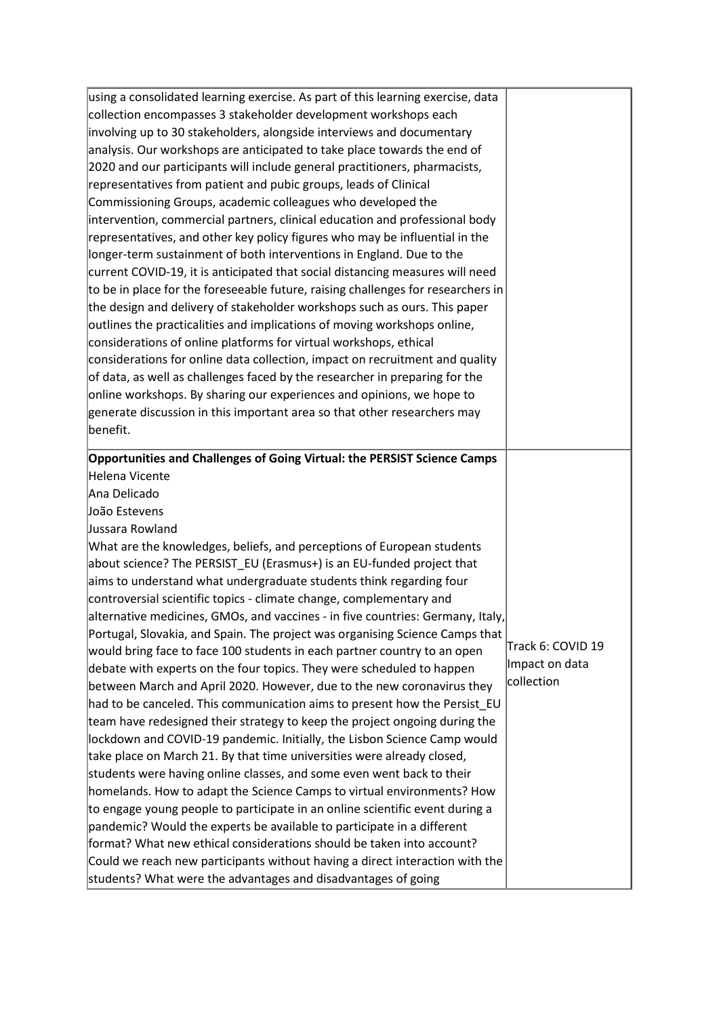| using a consolidated learning exercise. As part of this learning exercise, data                                                                                                                                                                                                                                                                                                                                                                                                                                                                                                                                                                                                                                                                                                                                                                                                                                                        |                   |
|----------------------------------------------------------------------------------------------------------------------------------------------------------------------------------------------------------------------------------------------------------------------------------------------------------------------------------------------------------------------------------------------------------------------------------------------------------------------------------------------------------------------------------------------------------------------------------------------------------------------------------------------------------------------------------------------------------------------------------------------------------------------------------------------------------------------------------------------------------------------------------------------------------------------------------------|-------------------|
| collection encompasses 3 stakeholder development workshops each                                                                                                                                                                                                                                                                                                                                                                                                                                                                                                                                                                                                                                                                                                                                                                                                                                                                        |                   |
| involving up to 30 stakeholders, alongside interviews and documentary                                                                                                                                                                                                                                                                                                                                                                                                                                                                                                                                                                                                                                                                                                                                                                                                                                                                  |                   |
| analysis. Our workshops are anticipated to take place towards the end of                                                                                                                                                                                                                                                                                                                                                                                                                                                                                                                                                                                                                                                                                                                                                                                                                                                               |                   |
| 2020 and our participants will include general practitioners, pharmacists,                                                                                                                                                                                                                                                                                                                                                                                                                                                                                                                                                                                                                                                                                                                                                                                                                                                             |                   |
| representatives from patient and pubic groups, leads of Clinical                                                                                                                                                                                                                                                                                                                                                                                                                                                                                                                                                                                                                                                                                                                                                                                                                                                                       |                   |
| Commissioning Groups, academic colleagues who developed the                                                                                                                                                                                                                                                                                                                                                                                                                                                                                                                                                                                                                                                                                                                                                                                                                                                                            |                   |
| intervention, commercial partners, clinical education and professional body                                                                                                                                                                                                                                                                                                                                                                                                                                                                                                                                                                                                                                                                                                                                                                                                                                                            |                   |
| representatives, and other key policy figures who may be influential in the                                                                                                                                                                                                                                                                                                                                                                                                                                                                                                                                                                                                                                                                                                                                                                                                                                                            |                   |
| longer-term sustainment of both interventions in England. Due to the                                                                                                                                                                                                                                                                                                                                                                                                                                                                                                                                                                                                                                                                                                                                                                                                                                                                   |                   |
| current COVID-19, it is anticipated that social distancing measures will need                                                                                                                                                                                                                                                                                                                                                                                                                                                                                                                                                                                                                                                                                                                                                                                                                                                          |                   |
| to be in place for the foreseeable future, raising challenges for researchers in                                                                                                                                                                                                                                                                                                                                                                                                                                                                                                                                                                                                                                                                                                                                                                                                                                                       |                   |
| the design and delivery of stakeholder workshops such as ours. This paper                                                                                                                                                                                                                                                                                                                                                                                                                                                                                                                                                                                                                                                                                                                                                                                                                                                              |                   |
| outlines the practicalities and implications of moving workshops online,                                                                                                                                                                                                                                                                                                                                                                                                                                                                                                                                                                                                                                                                                                                                                                                                                                                               |                   |
| considerations of online platforms for virtual workshops, ethical                                                                                                                                                                                                                                                                                                                                                                                                                                                                                                                                                                                                                                                                                                                                                                                                                                                                      |                   |
| considerations for online data collection, impact on recruitment and quality                                                                                                                                                                                                                                                                                                                                                                                                                                                                                                                                                                                                                                                                                                                                                                                                                                                           |                   |
| of data, as well as challenges faced by the researcher in preparing for the                                                                                                                                                                                                                                                                                                                                                                                                                                                                                                                                                                                                                                                                                                                                                                                                                                                            |                   |
| online workshops. By sharing our experiences and opinions, we hope to                                                                                                                                                                                                                                                                                                                                                                                                                                                                                                                                                                                                                                                                                                                                                                                                                                                                  |                   |
| generate discussion in this important area so that other researchers may                                                                                                                                                                                                                                                                                                                                                                                                                                                                                                                                                                                                                                                                                                                                                                                                                                                               |                   |
| benefit.                                                                                                                                                                                                                                                                                                                                                                                                                                                                                                                                                                                                                                                                                                                                                                                                                                                                                                                               |                   |
|                                                                                                                                                                                                                                                                                                                                                                                                                                                                                                                                                                                                                                                                                                                                                                                                                                                                                                                                        |                   |
| Opportunities and Challenges of Going Virtual: the PERSIST Science Camps                                                                                                                                                                                                                                                                                                                                                                                                                                                                                                                                                                                                                                                                                                                                                                                                                                                               |                   |
| Helena Vicente                                                                                                                                                                                                                                                                                                                                                                                                                                                                                                                                                                                                                                                                                                                                                                                                                                                                                                                         |                   |
| Ana Delicado                                                                                                                                                                                                                                                                                                                                                                                                                                                                                                                                                                                                                                                                                                                                                                                                                                                                                                                           |                   |
| João Estevens                                                                                                                                                                                                                                                                                                                                                                                                                                                                                                                                                                                                                                                                                                                                                                                                                                                                                                                          |                   |
| Jussara Rowland                                                                                                                                                                                                                                                                                                                                                                                                                                                                                                                                                                                                                                                                                                                                                                                                                                                                                                                        |                   |
| What are the knowledges, beliefs, and perceptions of European students                                                                                                                                                                                                                                                                                                                                                                                                                                                                                                                                                                                                                                                                                                                                                                                                                                                                 |                   |
| about science? The PERSIST_EU (Erasmus+) is an EU-funded project that                                                                                                                                                                                                                                                                                                                                                                                                                                                                                                                                                                                                                                                                                                                                                                                                                                                                  |                   |
| aims to understand what undergraduate students think regarding four                                                                                                                                                                                                                                                                                                                                                                                                                                                                                                                                                                                                                                                                                                                                                                                                                                                                    |                   |
| controversial scientific topics - climate change, complementary and                                                                                                                                                                                                                                                                                                                                                                                                                                                                                                                                                                                                                                                                                                                                                                                                                                                                    |                   |
| alternative medicines, GMOs, and vaccines - in five countries: Germany, Italy,                                                                                                                                                                                                                                                                                                                                                                                                                                                                                                                                                                                                                                                                                                                                                                                                                                                         |                   |
| Portugal, Slovakia, and Spain. The project was organising Science Camps that                                                                                                                                                                                                                                                                                                                                                                                                                                                                                                                                                                                                                                                                                                                                                                                                                                                           |                   |
| would bring face to face 100 students in each partner country to an open                                                                                                                                                                                                                                                                                                                                                                                                                                                                                                                                                                                                                                                                                                                                                                                                                                                               |                   |
|                                                                                                                                                                                                                                                                                                                                                                                                                                                                                                                                                                                                                                                                                                                                                                                                                                                                                                                                        | Track 6: COVID 19 |
|                                                                                                                                                                                                                                                                                                                                                                                                                                                                                                                                                                                                                                                                                                                                                                                                                                                                                                                                        | Impact on data    |
|                                                                                                                                                                                                                                                                                                                                                                                                                                                                                                                                                                                                                                                                                                                                                                                                                                                                                                                                        | collection        |
|                                                                                                                                                                                                                                                                                                                                                                                                                                                                                                                                                                                                                                                                                                                                                                                                                                                                                                                                        |                   |
|                                                                                                                                                                                                                                                                                                                                                                                                                                                                                                                                                                                                                                                                                                                                                                                                                                                                                                                                        |                   |
|                                                                                                                                                                                                                                                                                                                                                                                                                                                                                                                                                                                                                                                                                                                                                                                                                                                                                                                                        |                   |
|                                                                                                                                                                                                                                                                                                                                                                                                                                                                                                                                                                                                                                                                                                                                                                                                                                                                                                                                        |                   |
|                                                                                                                                                                                                                                                                                                                                                                                                                                                                                                                                                                                                                                                                                                                                                                                                                                                                                                                                        |                   |
|                                                                                                                                                                                                                                                                                                                                                                                                                                                                                                                                                                                                                                                                                                                                                                                                                                                                                                                                        |                   |
|                                                                                                                                                                                                                                                                                                                                                                                                                                                                                                                                                                                                                                                                                                                                                                                                                                                                                                                                        |                   |
|                                                                                                                                                                                                                                                                                                                                                                                                                                                                                                                                                                                                                                                                                                                                                                                                                                                                                                                                        |                   |
|                                                                                                                                                                                                                                                                                                                                                                                                                                                                                                                                                                                                                                                                                                                                                                                                                                                                                                                                        |                   |
| debate with experts on the four topics. They were scheduled to happen<br>between March and April 2020. However, due to the new coronavirus they<br>had to be canceled. This communication aims to present how the Persist_EU<br>team have redesigned their strategy to keep the project ongoing during the<br>lockdown and COVID-19 pandemic. Initially, the Lisbon Science Camp would<br>take place on March 21. By that time universities were already closed,<br>students were having online classes, and some even went back to their<br>homelands. How to adapt the Science Camps to virtual environments? How<br>to engage young people to participate in an online scientific event during a<br>pandemic? Would the experts be available to participate in a different<br>format? What new ethical considerations should be taken into account?<br>Could we reach new participants without having a direct interaction with the |                   |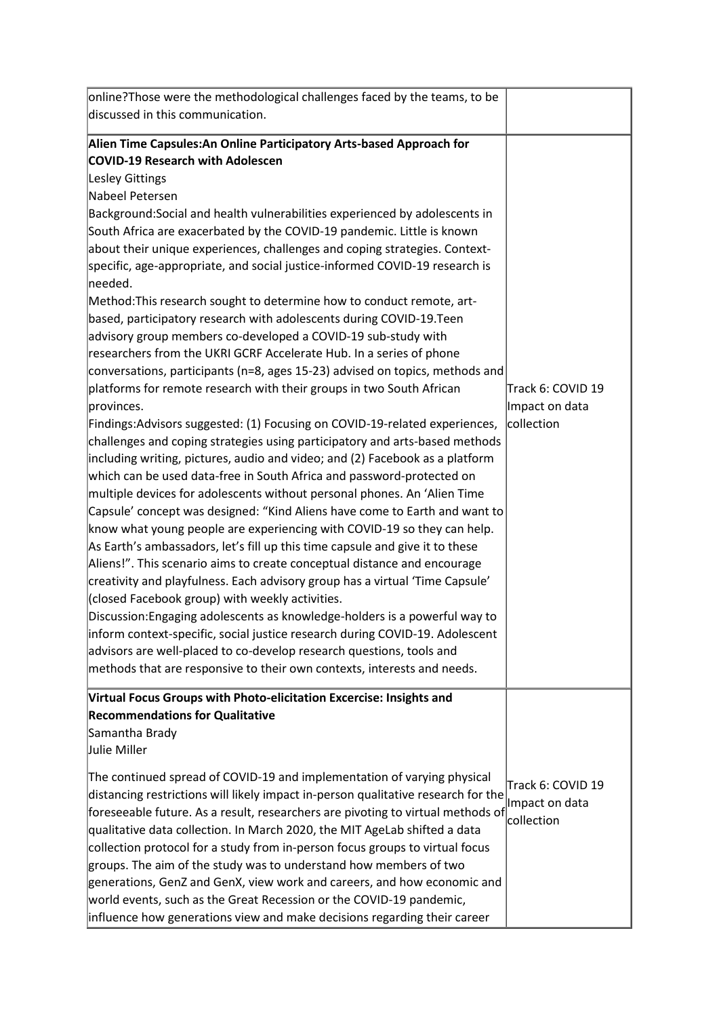| online?Those were the methodological challenges faced by the teams, to be<br>discussed in this communication.                                                                                                                                                                                                                                                                                                                                                                                                                                                                                                                                                                                                                                                                                                                                                                                                                                                                                                                                                                                                                                                                                                                                                                                                                                                                                                                                                                                                                                                                                                                                                                                                                                                                                                                                                                                                                                                                                                                                         |                                                   |
|-------------------------------------------------------------------------------------------------------------------------------------------------------------------------------------------------------------------------------------------------------------------------------------------------------------------------------------------------------------------------------------------------------------------------------------------------------------------------------------------------------------------------------------------------------------------------------------------------------------------------------------------------------------------------------------------------------------------------------------------------------------------------------------------------------------------------------------------------------------------------------------------------------------------------------------------------------------------------------------------------------------------------------------------------------------------------------------------------------------------------------------------------------------------------------------------------------------------------------------------------------------------------------------------------------------------------------------------------------------------------------------------------------------------------------------------------------------------------------------------------------------------------------------------------------------------------------------------------------------------------------------------------------------------------------------------------------------------------------------------------------------------------------------------------------------------------------------------------------------------------------------------------------------------------------------------------------------------------------------------------------------------------------------------------------|---------------------------------------------------|
| Alien Time Capsules: An Online Participatory Arts-based Approach for<br><b>COVID-19 Research with Adolescen</b><br>Lesley Gittings<br>Nabeel Petersen<br>Background: Social and health vulnerabilities experienced by adolescents in<br>South Africa are exacerbated by the COVID-19 pandemic. Little is known<br>about their unique experiences, challenges and coping strategies. Context-<br>specific, age-appropriate, and social justice-informed COVID-19 research is<br>needed.<br>Method: This research sought to determine how to conduct remote, art-<br>based, participatory research with adolescents during COVID-19. Teen<br>advisory group members co-developed a COVID-19 sub-study with<br>researchers from the UKRI GCRF Accelerate Hub. In a series of phone<br>conversations, participants (n=8, ages 15-23) advised on topics, methods and<br>platforms for remote research with their groups in two South African<br>provinces.<br>Findings:Advisors suggested: (1) Focusing on COVID-19-related experiences,<br>challenges and coping strategies using participatory and arts-based methods<br>including writing, pictures, audio and video; and (2) Facebook as a platform<br>which can be used data-free in South Africa and password-protected on<br>multiple devices for adolescents without personal phones. An 'Alien Time<br>Capsule' concept was designed: "Kind Aliens have come to Earth and want to<br>know what young people are experiencing with COVID-19 so they can help.<br>As Earth's ambassadors, let's fill up this time capsule and give it to these<br>Aliens!". This scenario aims to create conceptual distance and encourage<br>creativity and playfulness. Each advisory group has a virtual 'Time Capsule'<br>(closed Facebook group) with weekly activities.<br>Discussion: Engaging adolescents as knowledge-holders is a powerful way to<br>inform context-specific, social justice research during COVID-19. Adolescent<br>advisors are well-placed to co-develop research questions, tools and | Track 6: COVID 19<br>Impact on data<br>collection |
| methods that are responsive to their own contexts, interests and needs.<br>Virtual Focus Groups with Photo-elicitation Excercise: Insights and                                                                                                                                                                                                                                                                                                                                                                                                                                                                                                                                                                                                                                                                                                                                                                                                                                                                                                                                                                                                                                                                                                                                                                                                                                                                                                                                                                                                                                                                                                                                                                                                                                                                                                                                                                                                                                                                                                        |                                                   |
| <b>Recommendations for Qualitative</b><br>Samantha Brady<br>Julie Miller                                                                                                                                                                                                                                                                                                                                                                                                                                                                                                                                                                                                                                                                                                                                                                                                                                                                                                                                                                                                                                                                                                                                                                                                                                                                                                                                                                                                                                                                                                                                                                                                                                                                                                                                                                                                                                                                                                                                                                              |                                                   |
| The continued spread of COVID-19 and implementation of varying physical<br>distancing restrictions will likely impact in-person qualitative research for the<br>foreseeable future. As a result, researchers are pivoting to virtual methods of<br>qualitative data collection. In March 2020, the MIT AgeLab shifted a data<br>collection protocol for a study from in-person focus groups to virtual focus<br>groups. The aim of the study was to understand how members of two<br>generations, GenZ and GenX, view work and careers, and how economic and<br>world events, such as the Great Recession or the COVID-19 pandemic,<br>influence how generations view and make decisions regarding their career                                                                                                                                                                                                                                                                                                                                                                                                                                                                                                                                                                                                                                                                                                                                                                                                                                                                                                                                                                                                                                                                                                                                                                                                                                                                                                                                       | Track 6: COVID 19<br>Impact on data<br>collection |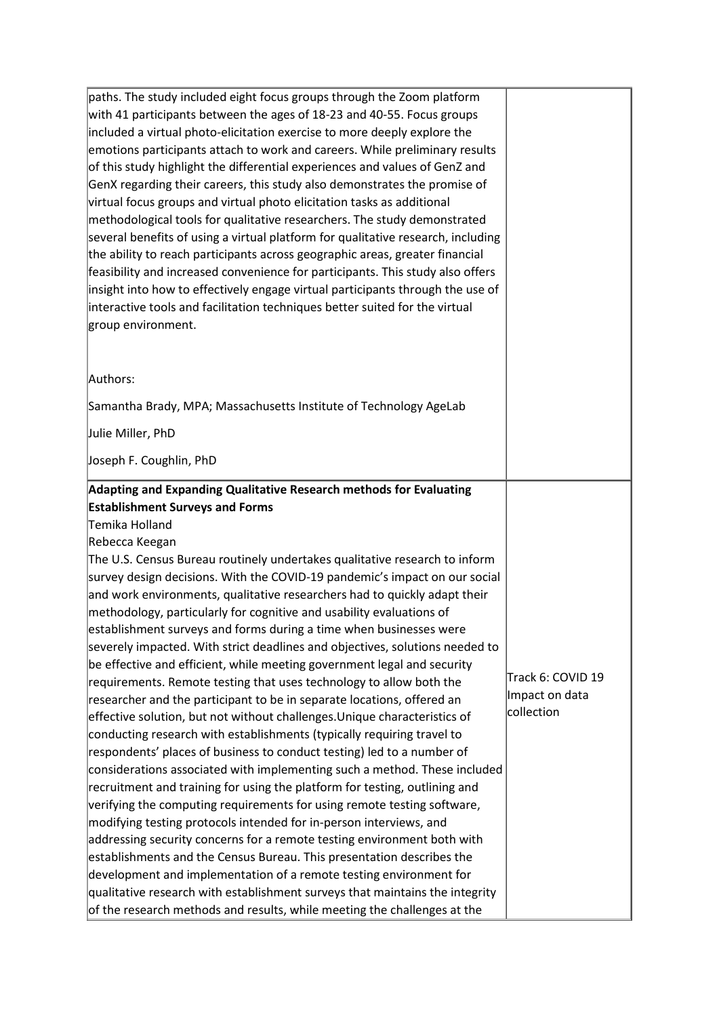| paths. The study included eight focus groups through the Zoom platform           |                   |
|----------------------------------------------------------------------------------|-------------------|
| with 41 participants between the ages of 18-23 and 40-55. Focus groups           |                   |
| included a virtual photo-elicitation exercise to more deeply explore the         |                   |
| emotions participants attach to work and careers. While preliminary results      |                   |
| of this study highlight the differential experiences and values of GenZ and      |                   |
| GenX regarding their careers, this study also demonstrates the promise of        |                   |
| virtual focus groups and virtual photo elicitation tasks as additional           |                   |
| methodological tools for qualitative researchers. The study demonstrated         |                   |
| several benefits of using a virtual platform for qualitative research, including |                   |
| the ability to reach participants across geographic areas, greater financial     |                   |
| feasibility and increased convenience for participants. This study also offers   |                   |
| insight into how to effectively engage virtual participants through the use of   |                   |
| interactive tools and facilitation techniques better suited for the virtual      |                   |
| group environment.                                                               |                   |
|                                                                                  |                   |
|                                                                                  |                   |
| Authors:                                                                         |                   |
| Samantha Brady, MPA; Massachusetts Institute of Technology AgeLab                |                   |
| Julie Miller, PhD                                                                |                   |
| Joseph F. Coughlin, PhD                                                          |                   |
| <b>Establishment Surveys and Forms</b><br>Temika Holland<br>Rebecca Keegan       |                   |
| The U.S. Census Bureau routinely undertakes qualitative research to inform       |                   |
| survey design decisions. With the COVID-19 pandemic's impact on our social       |                   |
| and work environments, qualitative researchers had to quickly adapt their        |                   |
| methodology, particularly for cognitive and usability evaluations of             |                   |
| establishment surveys and forms during a time when businesses were               |                   |
| severely impacted. With strict deadlines and objectives, solutions needed to     |                   |
| be effective and efficient, while meeting government legal and security          |                   |
| requirements. Remote testing that uses technology to allow both the              | Track 6: COVID 19 |
| researcher and the participant to be in separate locations, offered an           | Impact on data    |
| effective solution, but not without challenges. Unique characteristics of        | collection        |
| conducting research with establishments (typically requiring travel to           |                   |
| respondents' places of business to conduct testing) led to a number of           |                   |
| considerations associated with implementing such a method. These included        |                   |
| recruitment and training for using the platform for testing, outlining and       |                   |
| verifying the computing requirements for using remote testing software,          |                   |
| modifying testing protocols intended for in-person interviews, and               |                   |
| addressing security concerns for a remote testing environment both with          |                   |
| establishments and the Census Bureau. This presentation describes the            |                   |
| development and implementation of a remote testing environment for               |                   |
| qualitative research with establishment surveys that maintains the integrity     |                   |
| of the research methods and results, while meeting the challenges at the         |                   |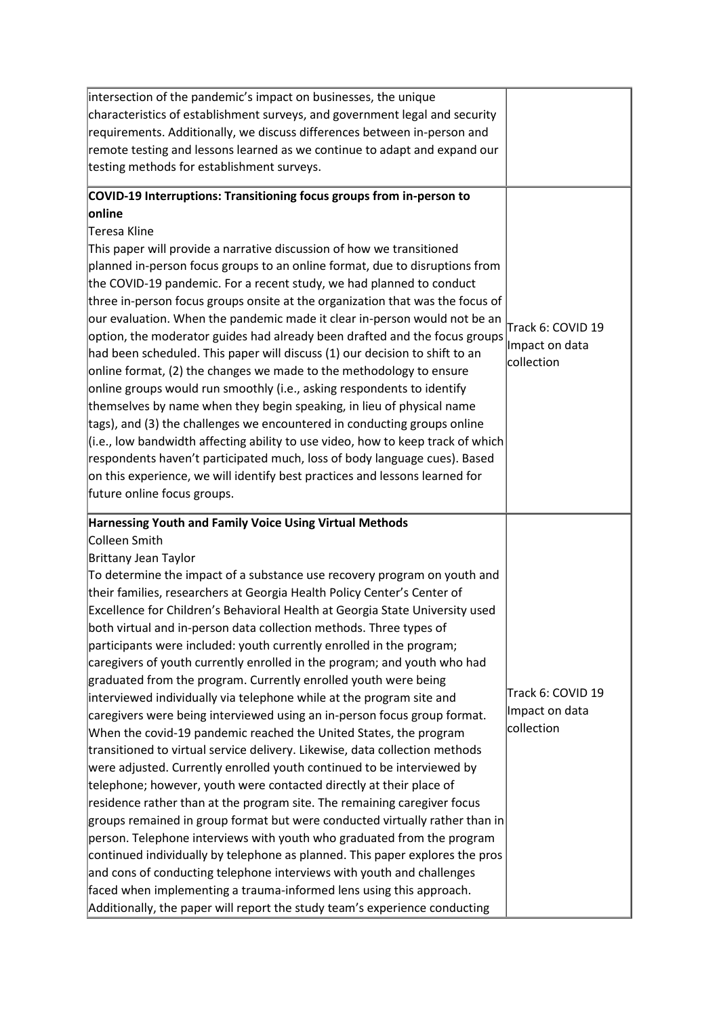| intersection of the pandemic's impact on businesses, the unique<br>characteristics of establishment surveys, and government legal and security<br>requirements. Additionally, we discuss differences between in-person and<br>remote testing and lessons learned as we continue to adapt and expand our<br>testing methods for establishment surveys.                                                                                                                                                                                                                                                                                                                                                                                                                                                                                                                                                                                                                                                                                                                                                                                                                                                                                                                                                                                                                                                                                                                                                                                                                                                                                                |                                                   |
|------------------------------------------------------------------------------------------------------------------------------------------------------------------------------------------------------------------------------------------------------------------------------------------------------------------------------------------------------------------------------------------------------------------------------------------------------------------------------------------------------------------------------------------------------------------------------------------------------------------------------------------------------------------------------------------------------------------------------------------------------------------------------------------------------------------------------------------------------------------------------------------------------------------------------------------------------------------------------------------------------------------------------------------------------------------------------------------------------------------------------------------------------------------------------------------------------------------------------------------------------------------------------------------------------------------------------------------------------------------------------------------------------------------------------------------------------------------------------------------------------------------------------------------------------------------------------------------------------------------------------------------------------|---------------------------------------------------|
| COVID-19 Interruptions: Transitioning focus groups from in-person to<br>online<br>Teresa Kline<br>This paper will provide a narrative discussion of how we transitioned<br>planned in-person focus groups to an online format, due to disruptions from<br>the COVID-19 pandemic. For a recent study, we had planned to conduct<br>three in-person focus groups onsite at the organization that was the focus of<br>our evaluation. When the pandemic made it clear in-person would not be an<br>option, the moderator guides had already been drafted and the focus groups<br>had been scheduled. This paper will discuss (1) our decision to shift to an<br>online format, (2) the changes we made to the methodology to ensure<br>online groups would run smoothly (i.e., asking respondents to identify<br>themselves by name when they begin speaking, in lieu of physical name<br>tags), and (3) the challenges we encountered in conducting groups online<br>$(i.e.,$ low bandwidth affecting ability to use video, how to keep track of which<br>respondents haven't participated much, loss of body language cues). Based<br>on this experience, we will identify best practices and lessons learned for<br>future online focus groups.                                                                                                                                                                                                                                                                                                                                                                                                      | Track 6: COVID 19<br>Impact on data<br>collection |
| Harnessing Youth and Family Voice Using Virtual Methods<br>Colleen Smith<br>Brittany Jean Taylor<br>To determine the impact of a substance use recovery program on youth and<br>their families, researchers at Georgia Health Policy Center's Center of<br>Excellence for Children's Behavioral Health at Georgia State University used<br>both virtual and in-person data collection methods. Three types of<br>participants were included: youth currently enrolled in the program;<br>caregivers of youth currently enrolled in the program; and youth who had<br>graduated from the program. Currently enrolled youth were being<br>interviewed individually via telephone while at the program site and<br>caregivers were being interviewed using an in-person focus group format.<br>When the covid-19 pandemic reached the United States, the program<br>transitioned to virtual service delivery. Likewise, data collection methods<br>were adjusted. Currently enrolled youth continued to be interviewed by<br>telephone; however, youth were contacted directly at their place of<br>residence rather than at the program site. The remaining caregiver focus<br>$ $ groups remained in group format but were conducted virtually rather than in<br>person. Telephone interviews with youth who graduated from the program<br>continued individually by telephone as planned. This paper explores the pros<br>and cons of conducting telephone interviews with youth and challenges<br>faced when implementing a trauma-informed lens using this approach.<br>Additionally, the paper will report the study team's experience conducting | Track 6: COVID 19<br>Impact on data<br>collection |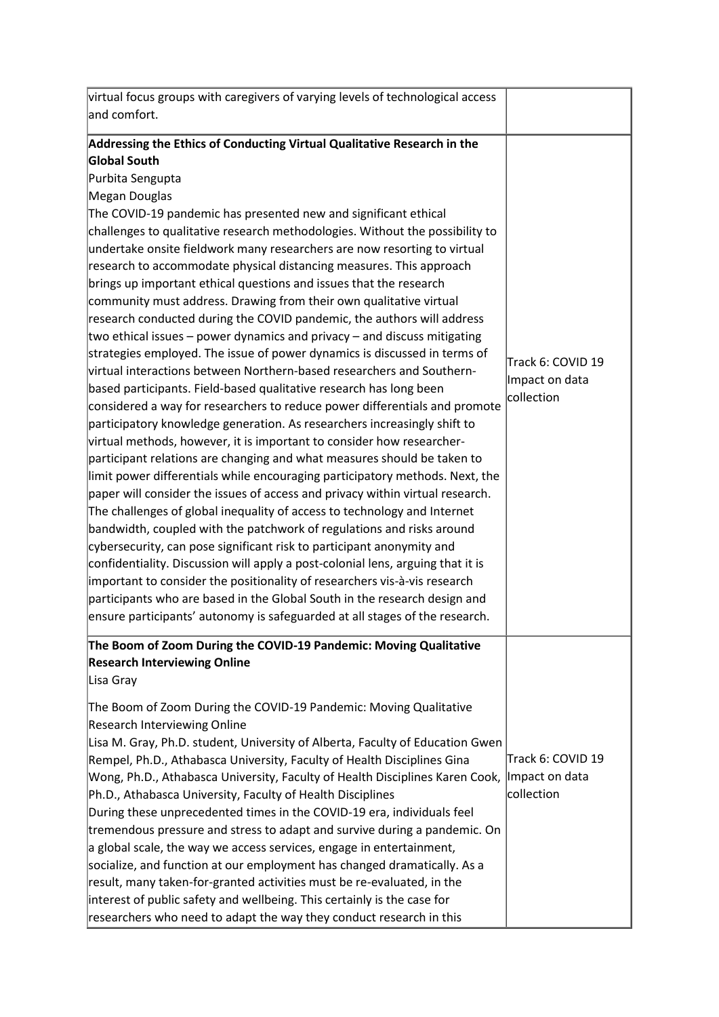| virtual focus groups with caregivers of varying levels of technological access<br>and comfort.                                                                                                                                                                                                                                                                                                                                                                                                                                                                                                                                                                                                                                                                                                                                                                                                                                                                                                                                                                                                                                                                                                                                                                                                                                                                                                                                                                                                                                                                                                                                                                                                                                                                                                                                                |                                                   |
|-----------------------------------------------------------------------------------------------------------------------------------------------------------------------------------------------------------------------------------------------------------------------------------------------------------------------------------------------------------------------------------------------------------------------------------------------------------------------------------------------------------------------------------------------------------------------------------------------------------------------------------------------------------------------------------------------------------------------------------------------------------------------------------------------------------------------------------------------------------------------------------------------------------------------------------------------------------------------------------------------------------------------------------------------------------------------------------------------------------------------------------------------------------------------------------------------------------------------------------------------------------------------------------------------------------------------------------------------------------------------------------------------------------------------------------------------------------------------------------------------------------------------------------------------------------------------------------------------------------------------------------------------------------------------------------------------------------------------------------------------------------------------------------------------------------------------------------------------|---------------------------------------------------|
| Addressing the Ethics of Conducting Virtual Qualitative Research in the<br>Global South<br>Purbita Sengupta<br>Megan Douglas<br>The COVID-19 pandemic has presented new and significant ethical<br>challenges to qualitative research methodologies. Without the possibility to<br>undertake onsite fieldwork many researchers are now resorting to virtual<br>research to accommodate physical distancing measures. This approach<br>brings up important ethical questions and issues that the research<br>community must address. Drawing from their own qualitative virtual<br>research conducted during the COVID pandemic, the authors will address<br>two ethical issues – power dynamics and privacy – and discuss mitigating<br>strategies employed. The issue of power dynamics is discussed in terms of<br>virtual interactions between Northern-based researchers and Southern-<br>based participants. Field-based qualitative research has long been<br>considered a way for researchers to reduce power differentials and promote<br>participatory knowledge generation. As researchers increasingly shift to<br>virtual methods, however, it is important to consider how researcher-<br>participant relations are changing and what measures should be taken to<br>limit power differentials while encouraging participatory methods. Next, the<br>paper will consider the issues of access and privacy within virtual research.<br>The challenges of global inequality of access to technology and Internet<br>bandwidth, coupled with the patchwork of regulations and risks around<br>cybersecurity, can pose significant risk to participant anonymity and<br>confidentiality. Discussion will apply a post-colonial lens, arguing that it is<br>important to consider the positionality of researchers vis-à-vis research | Track 6: COVID 19<br>Impact on data<br>collection |
| participants who are based in the Global South in the research design and<br>ensure participants' autonomy is safeguarded at all stages of the research.                                                                                                                                                                                                                                                                                                                                                                                                                                                                                                                                                                                                                                                                                                                                                                                                                                                                                                                                                                                                                                                                                                                                                                                                                                                                                                                                                                                                                                                                                                                                                                                                                                                                                      |                                                   |
| The Boom of Zoom During the COVID-19 Pandemic: Moving Qualitative<br><b>Research Interviewing Online</b><br>Lisa Gray                                                                                                                                                                                                                                                                                                                                                                                                                                                                                                                                                                                                                                                                                                                                                                                                                                                                                                                                                                                                                                                                                                                                                                                                                                                                                                                                                                                                                                                                                                                                                                                                                                                                                                                         |                                                   |
| The Boom of Zoom During the COVID-19 Pandemic: Moving Qualitative<br><b>Research Interviewing Online</b><br>Lisa M. Gray, Ph.D. student, University of Alberta, Faculty of Education Gwen<br>Rempel, Ph.D., Athabasca University, Faculty of Health Disciplines Gina<br>Wong, Ph.D., Athabasca University, Faculty of Health Disciplines Karen Cook,<br>Ph.D., Athabasca University, Faculty of Health Disciplines<br>During these unprecedented times in the COVID-19 era, individuals feel<br>tremendous pressure and stress to adapt and survive during a pandemic. On<br>a global scale, the way we access services, engage in entertainment,<br>socialize, and function at our employment has changed dramatically. As a<br>result, many taken-for-granted activities must be re-evaluated, in the<br>interest of public safety and wellbeing. This certainly is the case for<br>researchers who need to adapt the way they conduct research in this                                                                                                                                                                                                                                                                                                                                                                                                                                                                                                                                                                                                                                                                                                                                                                                                                                                                                     | Track 6: COVID 19<br>Impact on data<br>collection |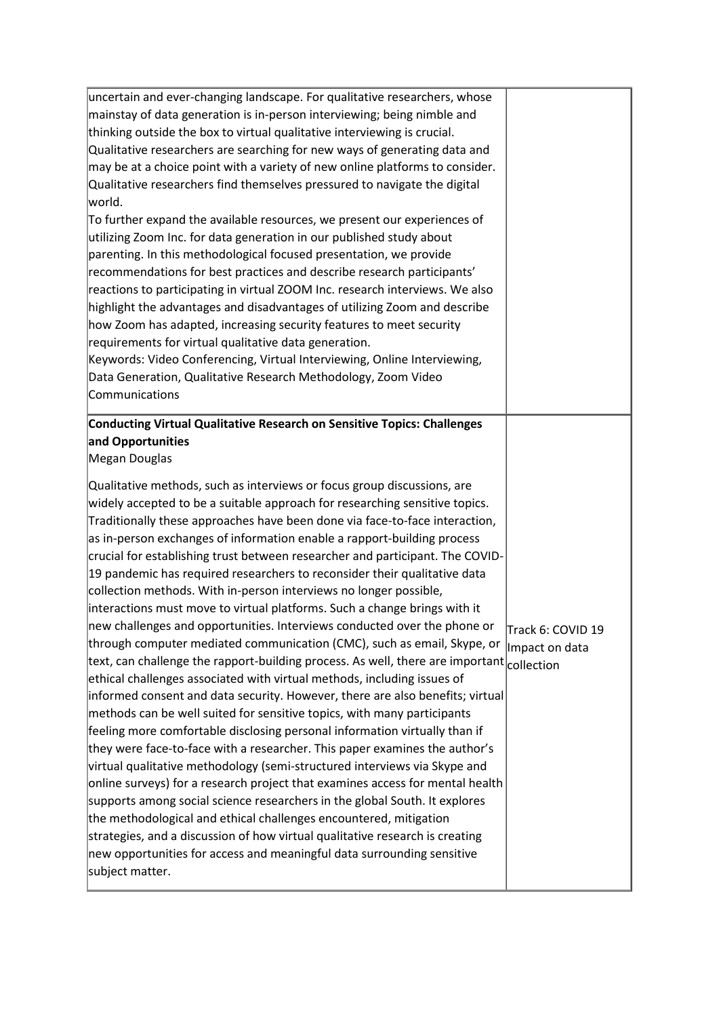| uncertain and ever-changing landscape. For qualitative researchers, whose<br>mainstay of data generation is in-person interviewing; being nimble and<br>thinking outside the box to virtual qualitative interviewing is crucial.<br>Qualitative researchers are searching for new ways of generating data and<br>may be at a choice point with a variety of new online platforms to consider.<br>Qualitative researchers find themselves pressured to navigate the digital<br>world.<br>To further expand the available resources, we present our experiences of<br>utilizing Zoom Inc. for data generation in our published study about<br>parenting. In this methodological focused presentation, we provide<br>recommendations for best practices and describe research participants'<br>reactions to participating in virtual ZOOM Inc. research interviews. We also<br>highlight the advantages and disadvantages of utilizing Zoom and describe<br>how Zoom has adapted, increasing security features to meet security<br>requirements for virtual qualitative data generation.<br>Keywords: Video Conferencing, Virtual Interviewing, Online Interviewing,<br>Data Generation, Qualitative Research Methodology, Zoom Video<br>Communications                                                                                                                                                                                                                                                                                                                                                                                                                                                                                                                                      |                                     |
|-------------------------------------------------------------------------------------------------------------------------------------------------------------------------------------------------------------------------------------------------------------------------------------------------------------------------------------------------------------------------------------------------------------------------------------------------------------------------------------------------------------------------------------------------------------------------------------------------------------------------------------------------------------------------------------------------------------------------------------------------------------------------------------------------------------------------------------------------------------------------------------------------------------------------------------------------------------------------------------------------------------------------------------------------------------------------------------------------------------------------------------------------------------------------------------------------------------------------------------------------------------------------------------------------------------------------------------------------------------------------------------------------------------------------------------------------------------------------------------------------------------------------------------------------------------------------------------------------------------------------------------------------------------------------------------------------------------------------------------------------------------------------------------------|-------------------------------------|
| Conducting Virtual Qualitative Research on Sensitive Topics: Challenges<br>and Opportunities<br>Megan Douglas                                                                                                                                                                                                                                                                                                                                                                                                                                                                                                                                                                                                                                                                                                                                                                                                                                                                                                                                                                                                                                                                                                                                                                                                                                                                                                                                                                                                                                                                                                                                                                                                                                                                             |                                     |
| Qualitative methods, such as interviews or focus group discussions, are<br>widely accepted to be a suitable approach for researching sensitive topics.<br>Traditionally these approaches have been done via face-to-face interaction,<br>as in-person exchanges of information enable a rapport-building process<br>crucial for establishing trust between researcher and participant. The COVID-<br>19 pandemic has required researchers to reconsider their qualitative data<br>collection methods. With in-person interviews no longer possible,<br>interactions must move to virtual platforms. Such a change brings with it<br>new challenges and opportunities. Interviews conducted over the phone or<br>through computer mediated communication (CMC), such as email, Skype, or<br>text, can challenge the rapport-building process. As well, there are important $ $ collection<br>ethical challenges associated with virtual methods, including issues of<br>informed consent and data security. However, there are also benefits; virtual<br>methods can be well suited for sensitive topics, with many participants<br>feeling more comfortable disclosing personal information virtually than if<br>they were face-to-face with a researcher. This paper examines the author's<br>virtual qualitative methodology (semi-structured interviews via Skype and<br>online surveys) for a research project that examines access for mental health<br>supports among social science researchers in the global South. It explores<br>the methodological and ethical challenges encountered, mitigation<br>strategies, and a discussion of how virtual qualitative research is creating<br>new opportunities for access and meaningful data surrounding sensitive<br>subject matter. | Track 6: COVID 19<br>Impact on data |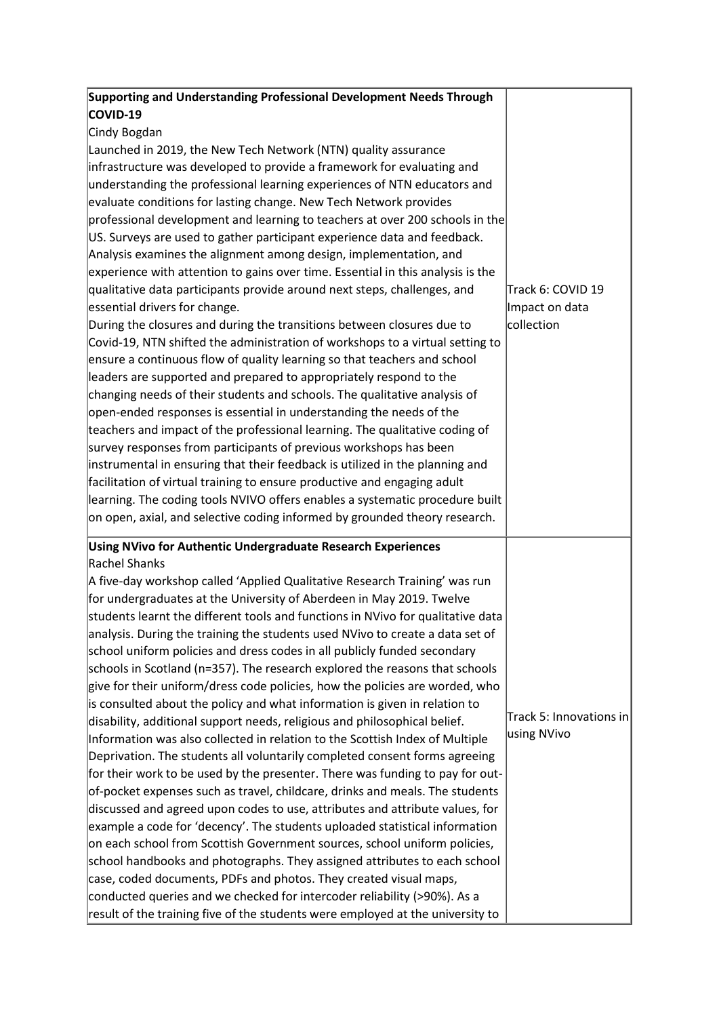| Supporting and Understanding Professional Development Needs Through<br>COVID-19 |                         |
|---------------------------------------------------------------------------------|-------------------------|
| Cindy Bogdan                                                                    |                         |
| Launched in 2019, the New Tech Network (NTN) quality assurance                  |                         |
| infrastructure was developed to provide a framework for evaluating and          |                         |
| understanding the professional learning experiences of NTN educators and        |                         |
| evaluate conditions for lasting change. New Tech Network provides               |                         |
| professional development and learning to teachers at over 200 schools in the    |                         |
| US. Surveys are used to gather participant experience data and feedback.        |                         |
| Analysis examines the alignment among design, implementation, and               |                         |
| experience with attention to gains over time. Essential in this analysis is the |                         |
| qualitative data participants provide around next steps, challenges, and        | Track 6: COVID 19       |
| essential drivers for change.                                                   | Impact on data          |
| During the closures and during the transitions between closures due to          | collection              |
| Covid-19, NTN shifted the administration of workshops to a virtual setting to   |                         |
| ensure a continuous flow of quality learning so that teachers and school        |                         |
| leaders are supported and prepared to appropriately respond to the              |                         |
| changing needs of their students and schools. The qualitative analysis of       |                         |
| open-ended responses is essential in understanding the needs of the             |                         |
| teachers and impact of the professional learning. The qualitative coding of     |                         |
| survey responses from participants of previous workshops has been               |                         |
| instrumental in ensuring that their feedback is utilized in the planning and    |                         |
| facilitation of virtual training to ensure productive and engaging adult        |                         |
| learning. The coding tools NVIVO offers enables a systematic procedure built    |                         |
| on open, axial, and selective coding informed by grounded theory research.      |                         |
| Using NVivo for Authentic Undergraduate Research Experiences                    |                         |
| Rachel Shanks                                                                   |                         |
| A five-day workshop called 'Applied Qualitative Research Training' was run      |                         |
| for undergraduates at the University of Aberdeen in May 2019. Twelve            |                         |
| students learnt the different tools and functions in NVivo for qualitative data |                         |
| analysis. During the training the students used NVivo to create a data set of   |                         |
| school uniform policies and dress codes in all publicly funded secondary        |                         |
| schools in Scotland (n=357). The research explored the reasons that schools     |                         |
| give for their uniform/dress code policies, how the policies are worded, who    |                         |
| is consulted about the policy and what information is given in relation to      |                         |
| disability, additional support needs, religious and philosophical belief.       | Track 5: Innovations in |
| Information was also collected in relation to the Scottish Index of Multiple    | using NVivo             |
| Deprivation. The students all voluntarily completed consent forms agreeing      |                         |
| for their work to be used by the presenter. There was funding to pay for out-   |                         |
| of-pocket expenses such as travel, childcare, drinks and meals. The students    |                         |
| discussed and agreed upon codes to use, attributes and attribute values, for    |                         |
| example a code for 'decency'. The students uploaded statistical information     |                         |
| on each school from Scottish Government sources, school uniform policies,       |                         |
| school handbooks and photographs. They assigned attributes to each school       |                         |
| case, coded documents, PDFs and photos. They created visual maps,               |                         |
| conducted queries and we checked for intercoder reliability (>90%). As a        |                         |
| result of the training five of the students were employed at the university to  |                         |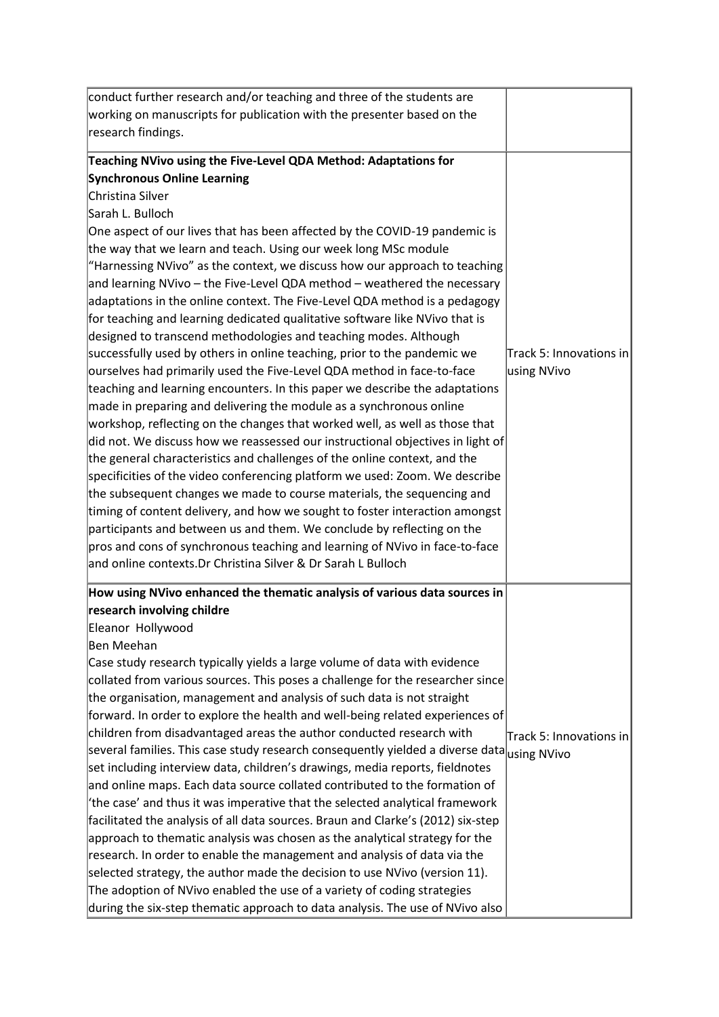| conduct further research and/or teaching and three of the students are                                |                         |
|-------------------------------------------------------------------------------------------------------|-------------------------|
| working on manuscripts for publication with the presenter based on the                                |                         |
| research findings.                                                                                    |                         |
|                                                                                                       |                         |
| Teaching NVivo using the Five-Level QDA Method: Adaptations for<br><b>Synchronous Online Learning</b> |                         |
| Christina Silver                                                                                      |                         |
|                                                                                                       |                         |
| Sarah L. Bulloch                                                                                      |                         |
| One aspect of our lives that has been affected by the COVID-19 pandemic is                            |                         |
| the way that we learn and teach. Using our week long MSc module                                       |                         |
| "Harnessing NVivo" as the context, we discuss how our approach to teaching                            |                         |
| and learning NVivo - the Five-Level QDA method - weathered the necessary                              |                         |
| adaptations in the online context. The Five-Level QDA method is a pedagogy                            |                         |
| for teaching and learning dedicated qualitative software like NVivo that is                           |                         |
| designed to transcend methodologies and teaching modes. Although                                      |                         |
| successfully used by others in online teaching, prior to the pandemic we                              | Track 5: Innovations in |
| ourselves had primarily used the Five-Level QDA method in face-to-face                                | using NVivo             |
| teaching and learning encounters. In this paper we describe the adaptations                           |                         |
| made in preparing and delivering the module as a synchronous online                                   |                         |
| workshop, reflecting on the changes that worked well, as well as those that                           |                         |
| did not. We discuss how we reassessed our instructional objectives in light of                        |                         |
| the general characteristics and challenges of the online context, and the                             |                         |
| specificities of the video conferencing platform we used: Zoom. We describe                           |                         |
| the subsequent changes we made to course materials, the sequencing and                                |                         |
| timing of content delivery, and how we sought to foster interaction amongst                           |                         |
| participants and between us and them. We conclude by reflecting on the                                |                         |
| pros and cons of synchronous teaching and learning of NVivo in face-to-face                           |                         |
| and online contexts.Dr Christina Silver & Dr Sarah L Bulloch                                          |                         |
| How using NVivo enhanced the thematic analysis of various data sources in                             |                         |
| research involving childre                                                                            |                         |
| Eleanor Hollywood                                                                                     |                         |
| Ben Meehan                                                                                            |                         |
| Case study research typically yields a large volume of data with evidence                             |                         |
| collated from various sources. This poses a challenge for the researcher since                        |                         |
| the organisation, management and analysis of such data is not straight                                |                         |
| forward. In order to explore the health and well-being related experiences of                         |                         |
| children from disadvantaged areas the author conducted research with                                  | Track 5: Innovations in |
| several families. This case study research consequently yielded a diverse data using NVivo            |                         |
| set including interview data, children's drawings, media reports, fieldnotes                          |                         |
| and online maps. Each data source collated contributed to the formation of                            |                         |
| 'the case' and thus it was imperative that the selected analytical framework                          |                         |
| facilitated the analysis of all data sources. Braun and Clarke's (2012) six-step                      |                         |
| approach to thematic analysis was chosen as the analytical strategy for the                           |                         |
| research. In order to enable the management and analysis of data via the                              |                         |
| selected strategy, the author made the decision to use NVivo (version 11).                            |                         |
| The adoption of NVivo enabled the use of a variety of coding strategies                               |                         |
| during the six-step thematic approach to data analysis. The use of NVivo also                         |                         |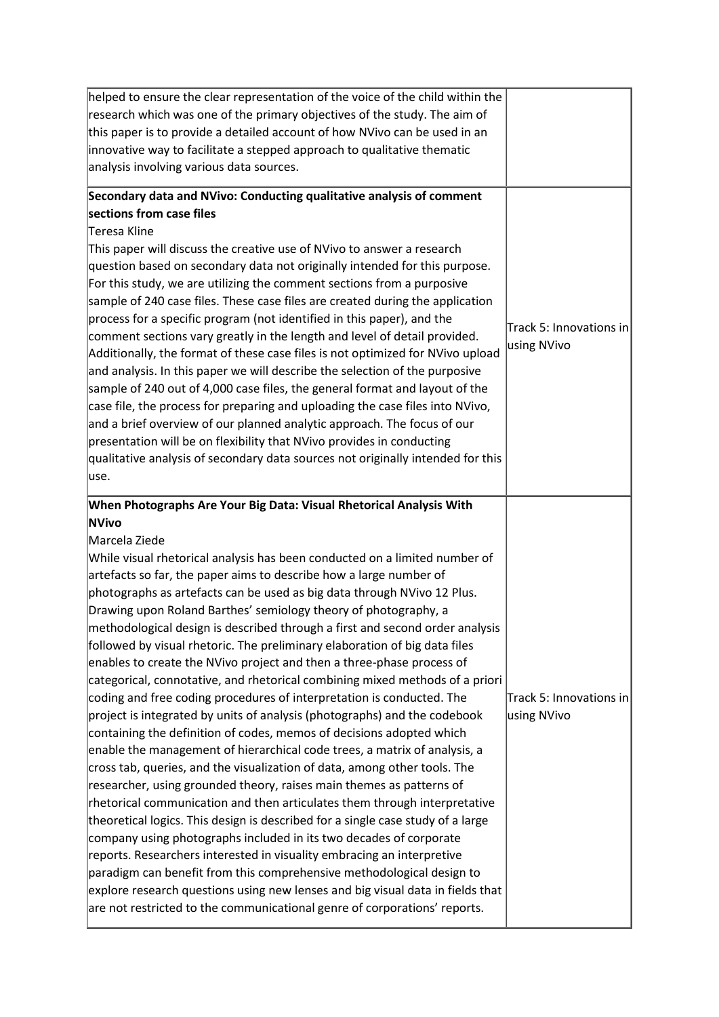| helped to ensure the clear representation of the voice of the child within the<br>research which was one of the primary objectives of the study. The aim of<br>this paper is to provide a detailed account of how NVivo can be used in an<br>innovative way to facilitate a stepped approach to qualitative thematic<br>analysis involving various data sources.                                                                                                                                                                                                                                                                                                                                                                                                                                                                                                                                                                                                                                                                                                                                                                                                                                                                                                                                                                                                                                                                                                                                                                                                                                                                                                                                                                                      |                                        |
|-------------------------------------------------------------------------------------------------------------------------------------------------------------------------------------------------------------------------------------------------------------------------------------------------------------------------------------------------------------------------------------------------------------------------------------------------------------------------------------------------------------------------------------------------------------------------------------------------------------------------------------------------------------------------------------------------------------------------------------------------------------------------------------------------------------------------------------------------------------------------------------------------------------------------------------------------------------------------------------------------------------------------------------------------------------------------------------------------------------------------------------------------------------------------------------------------------------------------------------------------------------------------------------------------------------------------------------------------------------------------------------------------------------------------------------------------------------------------------------------------------------------------------------------------------------------------------------------------------------------------------------------------------------------------------------------------------------------------------------------------------|----------------------------------------|
| Secondary data and NVivo: Conducting qualitative analysis of comment<br>sections from case files<br>Teresa Kline<br>This paper will discuss the creative use of NVivo to answer a research<br>question based on secondary data not originally intended for this purpose.<br>For this study, we are utilizing the comment sections from a purposive<br>sample of 240 case files. These case files are created during the application<br>process for a specific program (not identified in this paper), and the<br>comment sections vary greatly in the length and level of detail provided.<br>Additionally, the format of these case files is not optimized for NVivo upload<br>and analysis. In this paper we will describe the selection of the purposive<br>sample of 240 out of 4,000 case files, the general format and layout of the<br>case file, the process for preparing and uploading the case files into NVivo,<br>and a brief overview of our planned analytic approach. The focus of our<br>presentation will be on flexibility that NVivo provides in conducting<br>qualitative analysis of secondary data sources not originally intended for this<br>luse.                                                                                                                                                                                                                                                                                                                                                                                                                                                                                                                                                                           | Track 5: Innovations in<br>using NVivo |
| When Photographs Are Your Big Data: Visual Rhetorical Analysis With<br><b>NVivo</b><br>Marcela Ziede<br>While visual rhetorical analysis has been conducted on a limited number of<br>artefacts so far, the paper aims to describe how a large number of<br>photographs as artefacts can be used as big data through NVivo 12 Plus.<br>Drawing upon Roland Barthes' semiology theory of photography, a<br>methodological design is described through a first and second order analysis<br>followed by visual rhetoric. The preliminary elaboration of big data files<br>enables to create the NVivo project and then a three-phase process of<br>categorical, connotative, and rhetorical combining mixed methods of a priori<br>coding and free coding procedures of interpretation is conducted. The<br>project is integrated by units of analysis (photographs) and the codebook<br>containing the definition of codes, memos of decisions adopted which<br>enable the management of hierarchical code trees, a matrix of analysis, a<br>cross tab, queries, and the visualization of data, among other tools. The<br>researcher, using grounded theory, raises main themes as patterns of<br>rhetorical communication and then articulates them through interpretative<br>theoretical logics. This design is described for a single case study of a large<br>company using photographs included in its two decades of corporate<br>reports. Researchers interested in visuality embracing an interpretive<br>paradigm can benefit from this comprehensive methodological design to<br>explore research questions using new lenses and big visual data in fields that<br>are not restricted to the communicational genre of corporations' reports. | Track 5: Innovations in<br>using NVivo |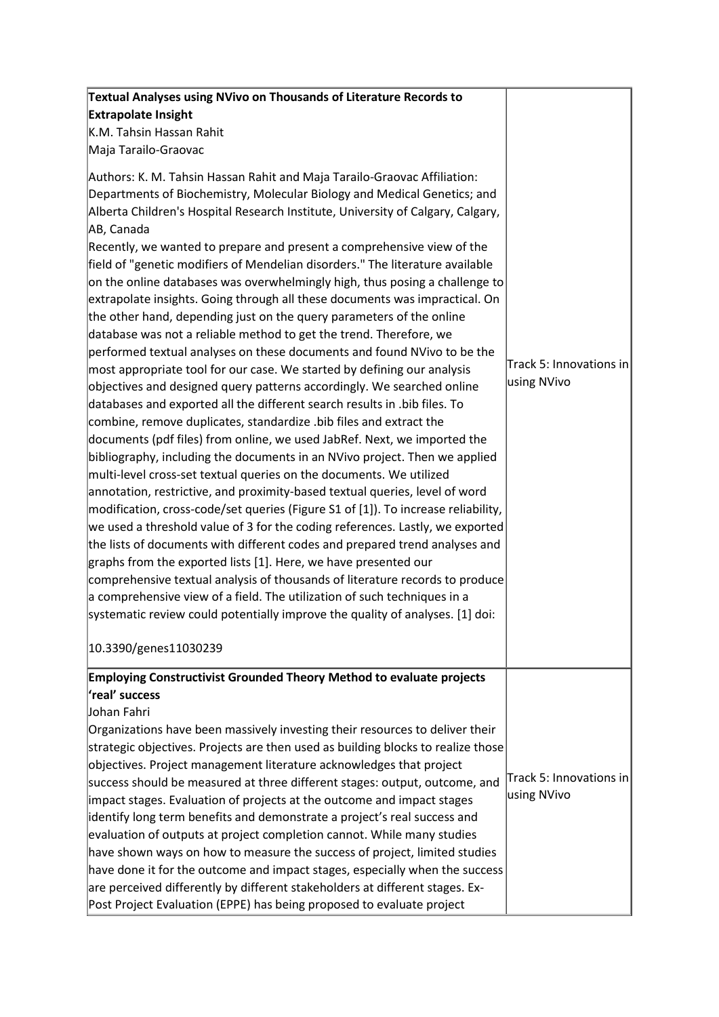| Textual Analyses using NVivo on Thousands of Literature Records to                                                                                                                                                                                                                                                                                                                                                                                                                                                                                                                                                                                                                                                                                                                                                                                                                                                                                                                                                                                                                                                                                                                                                                                                                                                                                                                                                                                                                                                                                                                                                                                                                                                                                                                                                                                                                                                                                                                                                             |                                        |
|--------------------------------------------------------------------------------------------------------------------------------------------------------------------------------------------------------------------------------------------------------------------------------------------------------------------------------------------------------------------------------------------------------------------------------------------------------------------------------------------------------------------------------------------------------------------------------------------------------------------------------------------------------------------------------------------------------------------------------------------------------------------------------------------------------------------------------------------------------------------------------------------------------------------------------------------------------------------------------------------------------------------------------------------------------------------------------------------------------------------------------------------------------------------------------------------------------------------------------------------------------------------------------------------------------------------------------------------------------------------------------------------------------------------------------------------------------------------------------------------------------------------------------------------------------------------------------------------------------------------------------------------------------------------------------------------------------------------------------------------------------------------------------------------------------------------------------------------------------------------------------------------------------------------------------------------------------------------------------------------------------------------------------|----------------------------------------|
| <b>Extrapolate Insight</b>                                                                                                                                                                                                                                                                                                                                                                                                                                                                                                                                                                                                                                                                                                                                                                                                                                                                                                                                                                                                                                                                                                                                                                                                                                                                                                                                                                                                                                                                                                                                                                                                                                                                                                                                                                                                                                                                                                                                                                                                     |                                        |
| K.M. Tahsin Hassan Rahit                                                                                                                                                                                                                                                                                                                                                                                                                                                                                                                                                                                                                                                                                                                                                                                                                                                                                                                                                                                                                                                                                                                                                                                                                                                                                                                                                                                                                                                                                                                                                                                                                                                                                                                                                                                                                                                                                                                                                                                                       |                                        |
| Maja Tarailo-Graovac                                                                                                                                                                                                                                                                                                                                                                                                                                                                                                                                                                                                                                                                                                                                                                                                                                                                                                                                                                                                                                                                                                                                                                                                                                                                                                                                                                                                                                                                                                                                                                                                                                                                                                                                                                                                                                                                                                                                                                                                           |                                        |
| Authors: K. M. Tahsin Hassan Rahit and Maja Tarailo-Graovac Affiliation:<br>Departments of Biochemistry, Molecular Biology and Medical Genetics; and<br>Alberta Children's Hospital Research Institute, University of Calgary, Calgary,<br>AB, Canada<br>Recently, we wanted to prepare and present a comprehensive view of the<br>field of "genetic modifiers of Mendelian disorders." The literature available<br>on the online databases was overwhelmingly high, thus posing a challenge to<br>extrapolate insights. Going through all these documents was impractical. On<br>the other hand, depending just on the query parameters of the online<br>database was not a reliable method to get the trend. Therefore, we<br>performed textual analyses on these documents and found NVivo to be the<br>most appropriate tool for our case. We started by defining our analysis<br>objectives and designed query patterns accordingly. We searched online<br>databases and exported all the different search results in .bib files. To<br>combine, remove duplicates, standardize .bib files and extract the<br>documents (pdf files) from online, we used JabRef. Next, we imported the<br>bibliography, including the documents in an NVivo project. Then we applied<br>multi-level cross-set textual queries on the documents. We utilized<br>annotation, restrictive, and proximity-based textual queries, level of word<br> modification, cross-code/set queries (Figure S1 of [1]). To increase reliability,<br>we used a threshold value of 3 for the coding references. Lastly, we exported<br>the lists of documents with different codes and prepared trend analyses and<br>graphs from the exported lists [1]. Here, we have presented our<br>comprehensive textual analysis of thousands of literature records to produce<br>a comprehensive view of a field. The utilization of such techniques in a<br>systematic review could potentially improve the quality of analyses. [1] doi:<br>10.3390/genes11030239 | Track 5: Innovations in<br>using NVivo |
| Employing Constructivist Grounded Theory Method to evaluate projects                                                                                                                                                                                                                                                                                                                                                                                                                                                                                                                                                                                                                                                                                                                                                                                                                                                                                                                                                                                                                                                                                                                                                                                                                                                                                                                                                                                                                                                                                                                                                                                                                                                                                                                                                                                                                                                                                                                                                           |                                        |
| real' success'<br>Johan Fahri<br>Organizations have been massively investing their resources to deliver their<br>strategic objectives. Projects are then used as building blocks to realize those<br>objectives. Project management literature acknowledges that project<br>success should be measured at three different stages: output, outcome, and<br>impact stages. Evaluation of projects at the outcome and impact stages<br>identify long term benefits and demonstrate a project's real success and<br>evaluation of outputs at project completion cannot. While many studies<br>have shown ways on how to measure the success of project, limited studies<br>have done it for the outcome and impact stages, especially when the success<br>are perceived differently by different stakeholders at different stages. Ex-<br>Post Project Evaluation (EPPE) has being proposed to evaluate project                                                                                                                                                                                                                                                                                                                                                                                                                                                                                                                                                                                                                                                                                                                                                                                                                                                                                                                                                                                                                                                                                                                    | Track 5: Innovations in<br>using NVivo |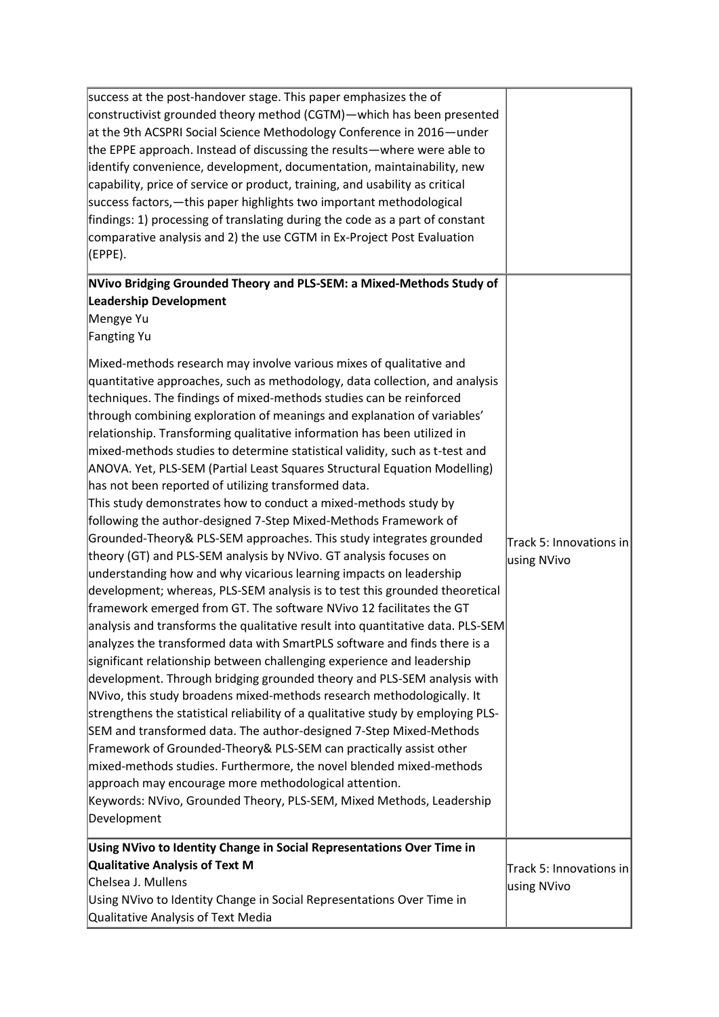| success at the post-handover stage. This paper emphasizes the of<br>constructivist grounded theory method (CGTM)—which has been presented<br>at the 9th ACSPRI Social Science Methodology Conference in 2016—under<br>the EPPE approach. Instead of discussing the results—where were able to<br>identify convenience, development, documentation, maintainability, new<br>capability, price of service or product, training, and usability as critical<br>success factors, — this paper highlights two important methodological<br>findings: 1) processing of translating during the code as a part of constant<br>comparative analysis and 2) the use CGTM in Ex-Project Post Evaluation<br>(EPPE).                                                                                                                                                                                                                                                                                                                                                                                                                                                                                                                                                                                                                                                                                                                                                                                                                                                                                                                                                                                                                                                                                                                                                                                                                                                                                                                                                                                                       |                                        |
|-------------------------------------------------------------------------------------------------------------------------------------------------------------------------------------------------------------------------------------------------------------------------------------------------------------------------------------------------------------------------------------------------------------------------------------------------------------------------------------------------------------------------------------------------------------------------------------------------------------------------------------------------------------------------------------------------------------------------------------------------------------------------------------------------------------------------------------------------------------------------------------------------------------------------------------------------------------------------------------------------------------------------------------------------------------------------------------------------------------------------------------------------------------------------------------------------------------------------------------------------------------------------------------------------------------------------------------------------------------------------------------------------------------------------------------------------------------------------------------------------------------------------------------------------------------------------------------------------------------------------------------------------------------------------------------------------------------------------------------------------------------------------------------------------------------------------------------------------------------------------------------------------------------------------------------------------------------------------------------------------------------------------------------------------------------------------------------------------------------|----------------------------------------|
| NVivo Bridging Grounded Theory and PLS-SEM: a Mixed-Methods Study of<br><b>Leadership Development</b><br>Mengye Yu<br>Fangting Yu<br>Mixed-methods research may involve various mixes of qualitative and<br>quantitative approaches, such as methodology, data collection, and analysis<br>techniques. The findings of mixed-methods studies can be reinforced<br>through combining exploration of meanings and explanation of variables'<br>relationship. Transforming qualitative information has been utilized in<br>mixed-methods studies to determine statistical validity, such as t-test and<br>ANOVA. Yet, PLS-SEM (Partial Least Squares Structural Equation Modelling)<br>has not been reported of utilizing transformed data.<br>This study demonstrates how to conduct a mixed-methods study by<br>following the author-designed 7-Step Mixed-Methods Framework of<br>Grounded-Theory& PLS-SEM approaches. This study integrates grounded<br>theory (GT) and PLS-SEM analysis by NVivo. GT analysis focuses on<br>understanding how and why vicarious learning impacts on leadership<br>development; whereas, PLS-SEM analysis is to test this grounded theoretical<br>framework emerged from GT. The software NVivo 12 facilitates the GT<br>analysis and transforms the qualitative result into quantitative data. PLS-SEM<br>analyzes the transformed data with SmartPLS software and finds there is a<br>significant relationship between challenging experience and leadership<br>development. Through bridging grounded theory and PLS-SEM analysis with<br>NVivo, this study broadens mixed-methods research methodologically. It<br>strengthens the statistical reliability of a qualitative study by employing PLS-<br>SEM and transformed data. The author-designed 7-Step Mixed-Methods<br>Framework of Grounded-Theory& PLS-SEM can practically assist other<br>mixed-methods studies. Furthermore, the novel blended mixed-methods<br>approach may encourage more methodological attention.<br>Keywords: NVivo, Grounded Theory, PLS-SEM, Mixed Methods, Leadership<br>Development | Track 5: Innovations in<br>using NVivo |
| Using NVivo to Identity Change in Social Representations Over Time in<br>Qualitative Analysis of Text M<br>Chelsea J. Mullens<br>Using NVivo to Identity Change in Social Representations Over Time in<br>Qualitative Analysis of Text Media                                                                                                                                                                                                                                                                                                                                                                                                                                                                                                                                                                                                                                                                                                                                                                                                                                                                                                                                                                                                                                                                                                                                                                                                                                                                                                                                                                                                                                                                                                                                                                                                                                                                                                                                                                                                                                                                | Track 5: Innovations in<br>using NVivo |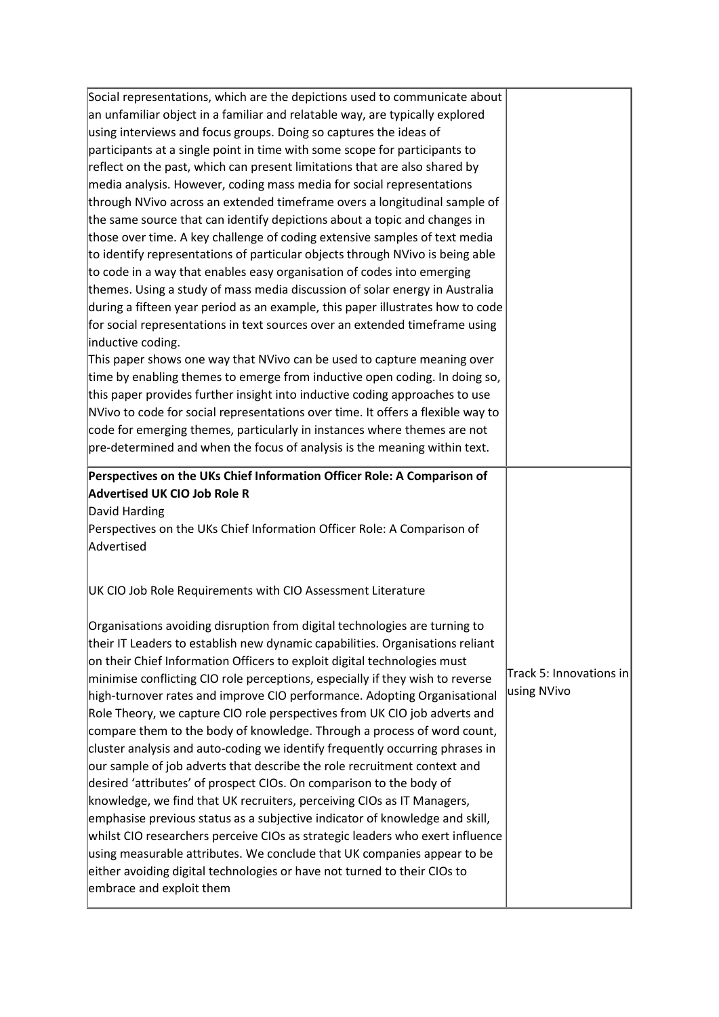| Social representations, which are the depictions used to communicate about                                                                                                                                                                                                                                                                                                                                                                                                |                         |
|---------------------------------------------------------------------------------------------------------------------------------------------------------------------------------------------------------------------------------------------------------------------------------------------------------------------------------------------------------------------------------------------------------------------------------------------------------------------------|-------------------------|
| an unfamiliar object in a familiar and relatable way, are typically explored                                                                                                                                                                                                                                                                                                                                                                                              |                         |
| using interviews and focus groups. Doing so captures the ideas of                                                                                                                                                                                                                                                                                                                                                                                                         |                         |
| participants at a single point in time with some scope for participants to                                                                                                                                                                                                                                                                                                                                                                                                |                         |
| reflect on the past, which can present limitations that are also shared by                                                                                                                                                                                                                                                                                                                                                                                                |                         |
| media analysis. However, coding mass media for social representations                                                                                                                                                                                                                                                                                                                                                                                                     |                         |
| through NVivo across an extended timeframe overs a longitudinal sample of                                                                                                                                                                                                                                                                                                                                                                                                 |                         |
| the same source that can identify depictions about a topic and changes in                                                                                                                                                                                                                                                                                                                                                                                                 |                         |
| those over time. A key challenge of coding extensive samples of text media                                                                                                                                                                                                                                                                                                                                                                                                |                         |
| to identify representations of particular objects through NVivo is being able                                                                                                                                                                                                                                                                                                                                                                                             |                         |
| to code in a way that enables easy organisation of codes into emerging                                                                                                                                                                                                                                                                                                                                                                                                    |                         |
| themes. Using a study of mass media discussion of solar energy in Australia                                                                                                                                                                                                                                                                                                                                                                                               |                         |
| during a fifteen year period as an example, this paper illustrates how to code                                                                                                                                                                                                                                                                                                                                                                                            |                         |
| for social representations in text sources over an extended timeframe using                                                                                                                                                                                                                                                                                                                                                                                               |                         |
| inductive coding.                                                                                                                                                                                                                                                                                                                                                                                                                                                         |                         |
| This paper shows one way that NVivo can be used to capture meaning over                                                                                                                                                                                                                                                                                                                                                                                                   |                         |
| time by enabling themes to emerge from inductive open coding. In doing so,                                                                                                                                                                                                                                                                                                                                                                                                |                         |
| this paper provides further insight into inductive coding approaches to use                                                                                                                                                                                                                                                                                                                                                                                               |                         |
| NVivo to code for social representations over time. It offers a flexible way to                                                                                                                                                                                                                                                                                                                                                                                           |                         |
| code for emerging themes, particularly in instances where themes are not                                                                                                                                                                                                                                                                                                                                                                                                  |                         |
| pre-determined and when the focus of analysis is the meaning within text.                                                                                                                                                                                                                                                                                                                                                                                                 |                         |
|                                                                                                                                                                                                                                                                                                                                                                                                                                                                           |                         |
| Perspectives on the UKs Chief Information Officer Role: A Comparison of                                                                                                                                                                                                                                                                                                                                                                                                   |                         |
| <b>Advertised UK CIO Job Role R</b>                                                                                                                                                                                                                                                                                                                                                                                                                                       |                         |
| David Harding                                                                                                                                                                                                                                                                                                                                                                                                                                                             |                         |
| Perspectives on the UKs Chief Information Officer Role: A Comparison of                                                                                                                                                                                                                                                                                                                                                                                                   |                         |
|                                                                                                                                                                                                                                                                                                                                                                                                                                                                           |                         |
|                                                                                                                                                                                                                                                                                                                                                                                                                                                                           |                         |
|                                                                                                                                                                                                                                                                                                                                                                                                                                                                           |                         |
|                                                                                                                                                                                                                                                                                                                                                                                                                                                                           |                         |
|                                                                                                                                                                                                                                                                                                                                                                                                                                                                           |                         |
| their IT Leaders to establish new dynamic capabilities. Organisations reliant                                                                                                                                                                                                                                                                                                                                                                                             |                         |
| on their Chief Information Officers to exploit digital technologies must                                                                                                                                                                                                                                                                                                                                                                                                  | Track 5: Innovations in |
| minimise conflicting CIO role perceptions, especially if they wish to reverse                                                                                                                                                                                                                                                                                                                                                                                             | using NVivo             |
|                                                                                                                                                                                                                                                                                                                                                                                                                                                                           |                         |
| Role Theory, we capture CIO role perspectives from UK CIO job adverts and                                                                                                                                                                                                                                                                                                                                                                                                 |                         |
|                                                                                                                                                                                                                                                                                                                                                                                                                                                                           |                         |
| cluster analysis and auto-coding we identify frequently occurring phrases in                                                                                                                                                                                                                                                                                                                                                                                              |                         |
| our sample of job adverts that describe the role recruitment context and                                                                                                                                                                                                                                                                                                                                                                                                  |                         |
| desired 'attributes' of prospect CIOs. On comparison to the body of                                                                                                                                                                                                                                                                                                                                                                                                       |                         |
|                                                                                                                                                                                                                                                                                                                                                                                                                                                                           |                         |
| emphasise previous status as a subjective indicator of knowledge and skill,                                                                                                                                                                                                                                                                                                                                                                                               |                         |
| Advertised<br>UK CIO Job Role Requirements with CIO Assessment Literature<br>Organisations avoiding disruption from digital technologies are turning to<br>high-turnover rates and improve CIO performance. Adopting Organisational<br>compare them to the body of knowledge. Through a process of word count,<br>knowledge, we find that UK recruiters, perceiving CIOs as IT Managers,<br>whilst CIO researchers perceive CIOs as strategic leaders who exert influence |                         |
| using measurable attributes. We conclude that UK companies appear to be                                                                                                                                                                                                                                                                                                                                                                                                   |                         |
| either avoiding digital technologies or have not turned to their CIOs to<br>embrace and exploit them                                                                                                                                                                                                                                                                                                                                                                      |                         |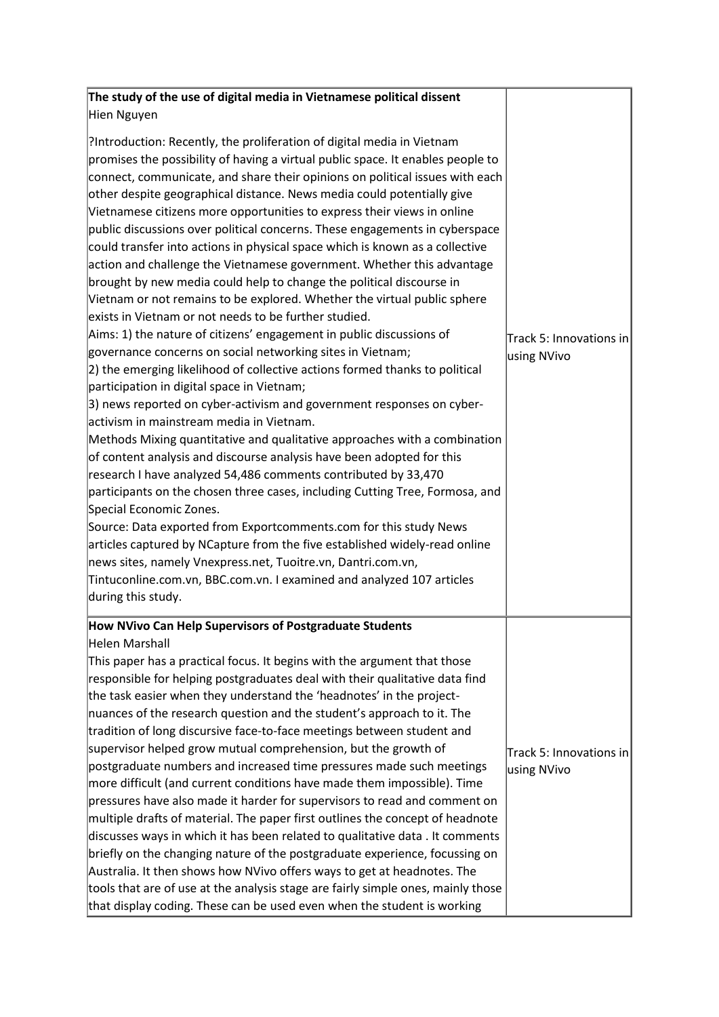| The study of the use of digital media in Vietnamese political dissent                                                                                                                                                                                                                                                                                                                                                                                                                                                                                                                                                                                                                                                                                                                                                                                                                                                                                                                                                                                                                                                                                                                                                                                                                                                                                                                                                                                                                                                                                                                                                                                                                                                                                                                                                                                                                             |                                        |
|---------------------------------------------------------------------------------------------------------------------------------------------------------------------------------------------------------------------------------------------------------------------------------------------------------------------------------------------------------------------------------------------------------------------------------------------------------------------------------------------------------------------------------------------------------------------------------------------------------------------------------------------------------------------------------------------------------------------------------------------------------------------------------------------------------------------------------------------------------------------------------------------------------------------------------------------------------------------------------------------------------------------------------------------------------------------------------------------------------------------------------------------------------------------------------------------------------------------------------------------------------------------------------------------------------------------------------------------------------------------------------------------------------------------------------------------------------------------------------------------------------------------------------------------------------------------------------------------------------------------------------------------------------------------------------------------------------------------------------------------------------------------------------------------------------------------------------------------------------------------------------------------------|----------------------------------------|
| Hien Nguyen                                                                                                                                                                                                                                                                                                                                                                                                                                                                                                                                                                                                                                                                                                                                                                                                                                                                                                                                                                                                                                                                                                                                                                                                                                                                                                                                                                                                                                                                                                                                                                                                                                                                                                                                                                                                                                                                                       |                                        |
| ?Introduction: Recently, the proliferation of digital media in Vietnam<br>promises the possibility of having a virtual public space. It enables people to<br>connect, communicate, and share their opinions on political issues with each<br>other despite geographical distance. News media could potentially give<br>Vietnamese citizens more opportunities to express their views in online<br>public discussions over political concerns. These engagements in cyberspace<br>could transfer into actions in physical space which is known as a collective<br>action and challenge the Vietnamese government. Whether this advantage<br>brought by new media could help to change the political discourse in<br>Vietnam or not remains to be explored. Whether the virtual public sphere<br>exists in Vietnam or not needs to be further studied.<br>Aims: 1) the nature of citizens' engagement in public discussions of<br>governance concerns on social networking sites in Vietnam;<br>2) the emerging likelihood of collective actions formed thanks to political<br>participation in digital space in Vietnam;<br>3) news reported on cyber-activism and government responses on cyber-<br>activism in mainstream media in Vietnam.<br>Methods Mixing quantitative and qualitative approaches with a combination<br>of content analysis and discourse analysis have been adopted for this<br>research I have analyzed 54,486 comments contributed by 33,470<br>participants on the chosen three cases, including Cutting Tree, Formosa, and<br>Special Economic Zones.<br>Source: Data exported from Exportcomments.com for this study News<br>articles captured by NCapture from the five established widely-read online<br>news sites, namely Vnexpress.net, Tuoitre.vn, Dantri.com.vn,<br>Tintuconline.com.vn, BBC.com.vn. I examined and analyzed 107 articles<br>during this study. | Track 5: Innovations in<br>using NVivo |
| How NVivo Can Help Supervisors of Postgraduate Students<br>Helen Marshall<br>This paper has a practical focus. It begins with the argument that those<br>responsible for helping postgraduates deal with their qualitative data find<br>the task easier when they understand the 'headnotes' in the project-<br>nuances of the research question and the student's approach to it. The<br>tradition of long discursive face-to-face meetings between student and<br>supervisor helped grow mutual comprehension, but the growth of<br>postgraduate numbers and increased time pressures made such meetings<br>more difficult (and current conditions have made them impossible). Time<br>pressures have also made it harder for supervisors to read and comment on<br>multiple drafts of material. The paper first outlines the concept of headnote<br>discusses ways in which it has been related to qualitative data. It comments<br>briefly on the changing nature of the postgraduate experience, focussing on<br>Australia. It then shows how NVivo offers ways to get at headnotes. The<br>tools that are of use at the analysis stage are fairly simple ones, mainly those<br>that display coding. These can be used even when the student is working                                                                                                                                                                                                                                                                                                                                                                                                                                                                                                                                                                                                                                      | Track 5: Innovations in<br>using NVivo |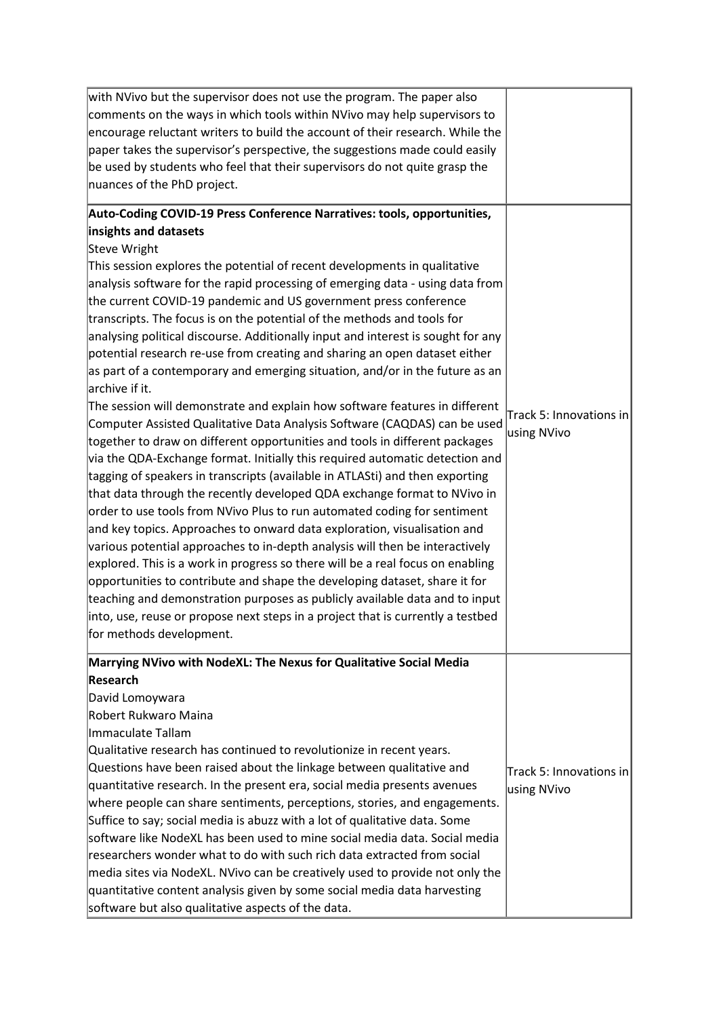| with NVivo but the supervisor does not use the program. The paper also                                                                                   |                         |
|----------------------------------------------------------------------------------------------------------------------------------------------------------|-------------------------|
| comments on the ways in which tools within NVivo may help supervisors to                                                                                 |                         |
| encourage reluctant writers to build the account of their research. While the                                                                            |                         |
| paper takes the supervisor's perspective, the suggestions made could easily                                                                              |                         |
| be used by students who feel that their supervisors do not quite grasp the                                                                               |                         |
| nuances of the PhD project.                                                                                                                              |                         |
| Auto-Coding COVID-19 Press Conference Narratives: tools, opportunities,                                                                                  |                         |
| insights and datasets                                                                                                                                    |                         |
| Steve Wright                                                                                                                                             |                         |
| This session explores the potential of recent developments in qualitative                                                                                |                         |
| analysis software for the rapid processing of emerging data - using data from                                                                            |                         |
| the current COVID-19 pandemic and US government press conference                                                                                         |                         |
| transcripts. The focus is on the potential of the methods and tools for                                                                                  |                         |
| analysing political discourse. Additionally input and interest is sought for any                                                                         |                         |
| potential research re-use from creating and sharing an open dataset either                                                                               |                         |
| as part of a contemporary and emerging situation, and/or in the future as an                                                                             |                         |
| archive if it.                                                                                                                                           |                         |
| The session will demonstrate and explain how software features in different                                                                              | Track 5: Innovations in |
| Computer Assisted Qualitative Data Analysis Software (CAQDAS) can be used                                                                                | using NVivo             |
| together to draw on different opportunities and tools in different packages                                                                              |                         |
| via the QDA-Exchange format. Initially this required automatic detection and                                                                             |                         |
| tagging of speakers in transcripts (available in ATLASti) and then exporting                                                                             |                         |
| that data through the recently developed QDA exchange format to NVivo in                                                                                 |                         |
| order to use tools from NVivo Plus to run automated coding for sentiment                                                                                 |                         |
| and key topics. Approaches to onward data exploration, visualisation and                                                                                 |                         |
| various potential approaches to in-depth analysis will then be interactively                                                                             |                         |
| explored. This is a work in progress so there will be a real focus on enabling                                                                           |                         |
| opportunities to contribute and shape the developing dataset, share it for                                                                               |                         |
| teaching and demonstration purposes as publicly available data and to input                                                                              |                         |
| into, use, reuse or propose next steps in a project that is currently a testbed                                                                          |                         |
| for methods development.                                                                                                                                 |                         |
| Marrying NVivo with NodeXL: The Nexus for Qualitative Social Media                                                                                       |                         |
| Research                                                                                                                                                 |                         |
| David Lomoywara                                                                                                                                          |                         |
| Robert Rukwaro Maina                                                                                                                                     |                         |
| Immaculate Tallam                                                                                                                                        |                         |
| Qualitative research has continued to revolutionize in recent years.                                                                                     |                         |
| Questions have been raised about the linkage between qualitative and                                                                                     | Track 5: Innovations in |
| quantitative research. In the present era, social media presents avenues                                                                                 | using NVivo             |
| where people can share sentiments, perceptions, stories, and engagements.                                                                                |                         |
| Suffice to say; social media is abuzz with a lot of qualitative data. Some                                                                               |                         |
| software like NodeXL has been used to mine social media data. Social media<br>researchers wonder what to do with such rich data extracted from social    |                         |
|                                                                                                                                                          |                         |
| media sites via NodeXL. NVivo can be creatively used to provide not only the<br>quantitative content analysis given by some social media data harvesting |                         |
| software but also qualitative aspects of the data.                                                                                                       |                         |
|                                                                                                                                                          |                         |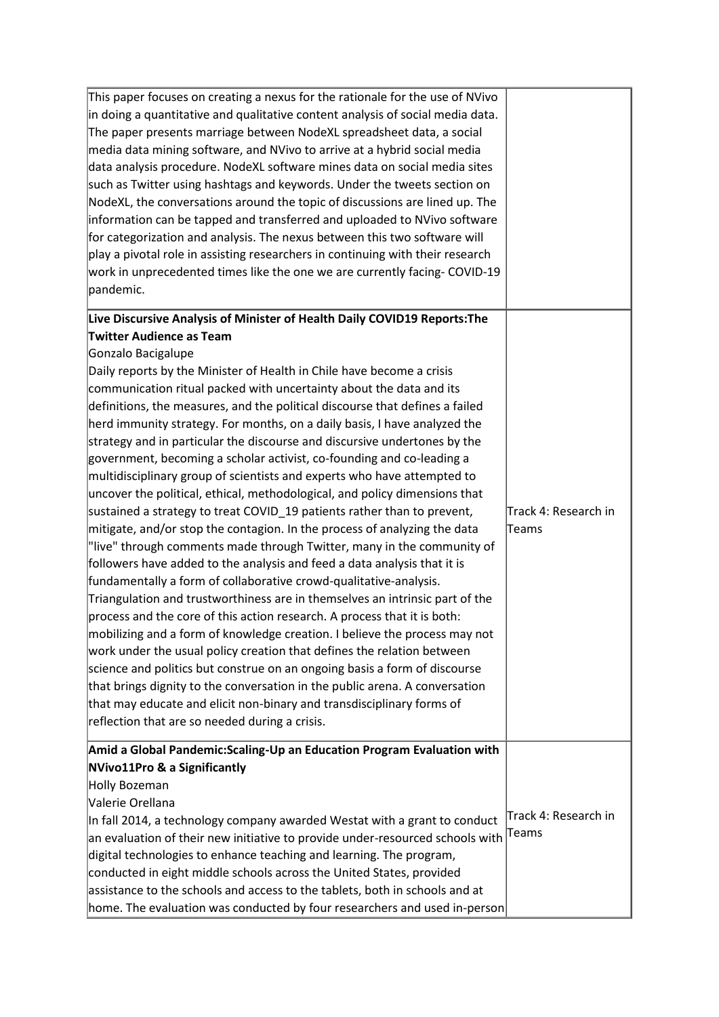| This paper focuses on creating a nexus for the rationale for the use of NVivo  |                      |
|--------------------------------------------------------------------------------|----------------------|
| in doing a quantitative and qualitative content analysis of social media data. |                      |
| The paper presents marriage between NodeXL spreadsheet data, a social          |                      |
| media data mining software, and NVivo to arrive at a hybrid social media       |                      |
| data analysis procedure. NodeXL software mines data on social media sites      |                      |
| such as Twitter using hashtags and keywords. Under the tweets section on       |                      |
| NodeXL, the conversations around the topic of discussions are lined up. The    |                      |
| information can be tapped and transferred and uploaded to NVivo software       |                      |
| for categorization and analysis. The nexus between this two software will      |                      |
| play a pivotal role in assisting researchers in continuing with their research |                      |
| work in unprecedented times like the one we are currently facing-COVID-19      |                      |
| pandemic.                                                                      |                      |
| Live Discursive Analysis of Minister of Health Daily COVID19 Reports: The      |                      |
| <b>Twitter Audience as Team</b>                                                |                      |
| Gonzalo Bacigalupe                                                             |                      |
| Daily reports by the Minister of Health in Chile have become a crisis          |                      |
| communication ritual packed with uncertainty about the data and its            |                      |
| definitions, the measures, and the political discourse that defines a failed   |                      |
| herd immunity strategy. For months, on a daily basis, I have analyzed the      |                      |
| strategy and in particular the discourse and discursive undertones by the      |                      |
| government, becoming a scholar activist, co-founding and co-leading a          |                      |
| multidisciplinary group of scientists and experts who have attempted to        |                      |
| uncover the political, ethical, methodological, and policy dimensions that     |                      |
| sustained a strategy to treat COVID_19 patients rather than to prevent,        | Track 4: Research in |
| mitigate, and/or stop the contagion. In the process of analyzing the data      | Teams                |
| l'live" through comments made through Twitter, many in the community of        |                      |
| followers have added to the analysis and feed a data analysis that it is       |                      |
| fundamentally a form of collaborative crowd-qualitative-analysis.              |                      |
| Triangulation and trustworthiness are in themselves an intrinsic part of the   |                      |
| process and the core of this action research. A process that it is both:       |                      |
| mobilizing and a form of knowledge creation. I believe the process may not     |                      |
| work under the usual policy creation that defines the relation between         |                      |
| science and politics but construe on an ongoing basis a form of discourse      |                      |
| that brings dignity to the conversation in the public arena. A conversation    |                      |
| that may educate and elicit non-binary and transdisciplinary forms of          |                      |
| reflection that are so needed during a crisis.                                 |                      |
| Amid a Global Pandemic: Scaling-Up an Education Program Evaluation with        |                      |
| NVivo11Pro & a Significantly                                                   |                      |
| Holly Bozeman                                                                  |                      |
| Valerie Orellana                                                               |                      |
| In fall 2014, a technology company awarded Westat with a grant to conduct      | Track 4: Research in |
| an evaluation of their new initiative to provide under-resourced schools with  | Teams                |
| digital technologies to enhance teaching and learning. The program,            |                      |
| conducted in eight middle schools across the United States, provided           |                      |
| assistance to the schools and access to the tablets, both in schools and at    |                      |
| home. The evaluation was conducted by four researchers and used in-person      |                      |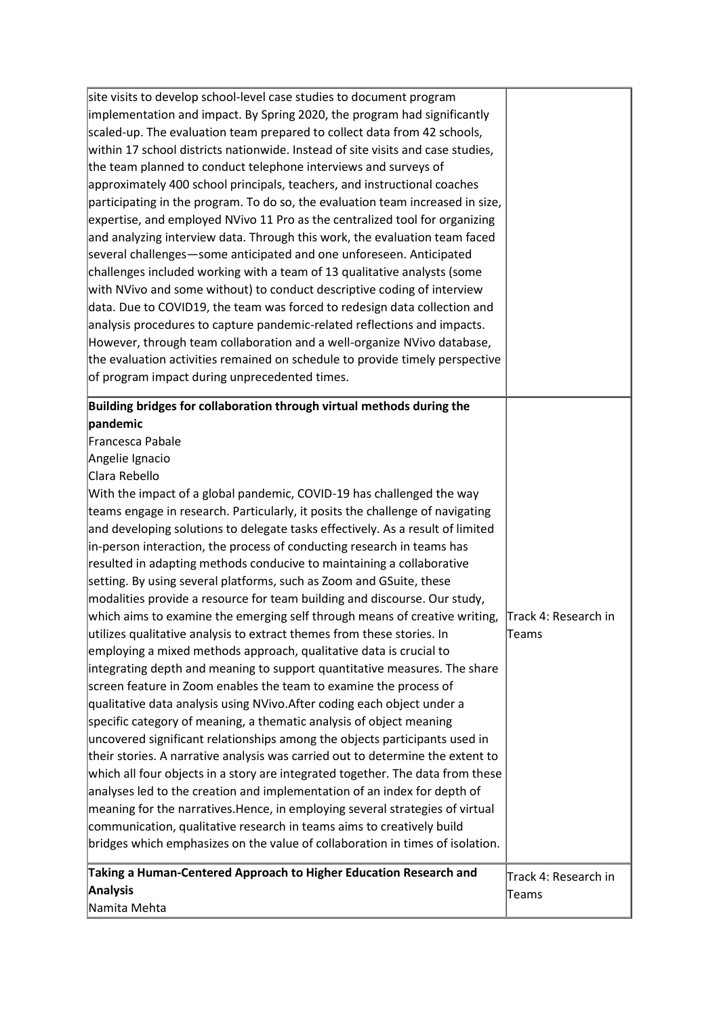| site visits to develop school-level case studies to document program<br>implementation and impact. By Spring 2020, the program had significantly<br>scaled-up. The evaluation team prepared to collect data from 42 schools,<br>within 17 school districts nationwide. Instead of site visits and case studies,<br>the team planned to conduct telephone interviews and surveys of<br>approximately 400 school principals, teachers, and instructional coaches<br>participating in the program. To do so, the evaluation team increased in size,<br>expertise, and employed NVivo 11 Pro as the centralized tool for organizing<br>and analyzing interview data. Through this work, the evaluation team faced<br>several challenges-some anticipated and one unforeseen. Anticipated<br>challenges included working with a team of 13 qualitative analysts (some                                                                                                                                                                                                                                                                                                                                                                                                                                                                                                                                                                                                                                                                                                                                                                                                                                                                                                                                        |                                |
|---------------------------------------------------------------------------------------------------------------------------------------------------------------------------------------------------------------------------------------------------------------------------------------------------------------------------------------------------------------------------------------------------------------------------------------------------------------------------------------------------------------------------------------------------------------------------------------------------------------------------------------------------------------------------------------------------------------------------------------------------------------------------------------------------------------------------------------------------------------------------------------------------------------------------------------------------------------------------------------------------------------------------------------------------------------------------------------------------------------------------------------------------------------------------------------------------------------------------------------------------------------------------------------------------------------------------------------------------------------------------------------------------------------------------------------------------------------------------------------------------------------------------------------------------------------------------------------------------------------------------------------------------------------------------------------------------------------------------------------------------------------------------------------------------------|--------------------------------|
| with NVivo and some without) to conduct descriptive coding of interview<br>data. Due to COVID19, the team was forced to redesign data collection and<br>analysis procedures to capture pandemic-related reflections and impacts.<br>However, through team collaboration and a well-organize NVivo database,<br>the evaluation activities remained on schedule to provide timely perspective<br>of program impact during unprecedented times.                                                                                                                                                                                                                                                                                                                                                                                                                                                                                                                                                                                                                                                                                                                                                                                                                                                                                                                                                                                                                                                                                                                                                                                                                                                                                                                                                            |                                |
| Building bridges for collaboration through virtual methods during the<br>pandemic<br>Francesca Pabale<br>Angelie Ignacio<br>Clara Rebello<br>With the impact of a global pandemic, COVID-19 has challenged the way<br>teams engage in research. Particularly, it posits the challenge of navigating<br>and developing solutions to delegate tasks effectively. As a result of limited<br>in-person interaction, the process of conducting research in teams has<br>resulted in adapting methods conducive to maintaining a collaborative<br>setting. By using several platforms, such as Zoom and GSuite, these<br>modalities provide a resource for team building and discourse. Our study,<br>which aims to examine the emerging self through means of creative writing,<br>utilizes qualitative analysis to extract themes from these stories. In<br>employing a mixed methods approach, qualitative data is crucial to<br>integrating depth and meaning to support quantitative measures. The share<br>screen feature in Zoom enables the team to examine the process of<br>qualitative data analysis using NVivo. After coding each object under a<br>specific category of meaning, a thematic analysis of object meaning<br>uncovered significant relationships among the objects participants used in<br>their stories. A narrative analysis was carried out to determine the extent to<br>which all four objects in a story are integrated together. The data from these<br>analyses led to the creation and implementation of an index for depth of<br>meaning for the narratives. Hence, in employing several strategies of virtual<br>communication, qualitative research in teams aims to creatively build<br>bridges which emphasizes on the value of collaboration in times of isolation. | Track 4: Research in<br>Teams  |
| Taking a Human-Centered Approach to Higher Education Research and<br><b>Analysis</b><br>Namita Mehta                                                                                                                                                                                                                                                                                                                                                                                                                                                                                                                                                                                                                                                                                                                                                                                                                                                                                                                                                                                                                                                                                                                                                                                                                                                                                                                                                                                                                                                                                                                                                                                                                                                                                                    | Track 4: Research in<br> Teams |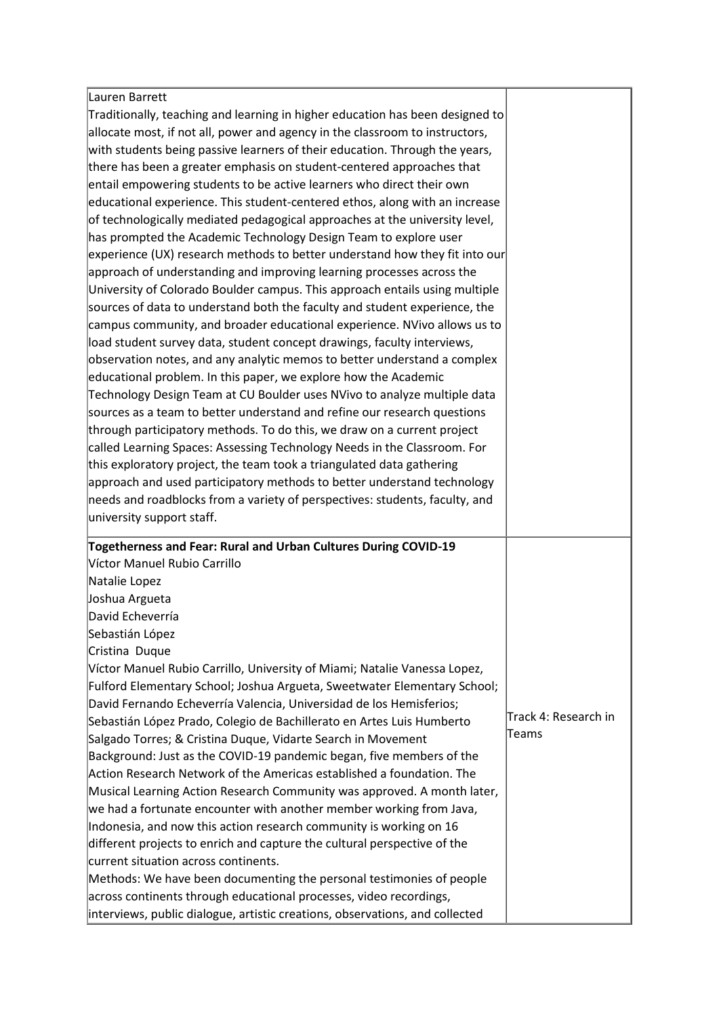| Lauren Barrett                                                                                                                                     |                       |
|----------------------------------------------------------------------------------------------------------------------------------------------------|-----------------------|
| Traditionally, teaching and learning in higher education has been designed to                                                                      |                       |
| allocate most, if not all, power and agency in the classroom to instructors,                                                                       |                       |
| with students being passive learners of their education. Through the years,                                                                        |                       |
| there has been a greater emphasis on student-centered approaches that                                                                              |                       |
| entail empowering students to be active learners who direct their own                                                                              |                       |
| educational experience. This student-centered ethos, along with an increase                                                                        |                       |
| of technologically mediated pedagogical approaches at the university level,                                                                        |                       |
| has prompted the Academic Technology Design Team to explore user                                                                                   |                       |
| experience (UX) research methods to better understand how they fit into our                                                                        |                       |
| approach of understanding and improving learning processes across the                                                                              |                       |
| University of Colorado Boulder campus. This approach entails using multiple                                                                        |                       |
| sources of data to understand both the faculty and student experience, the                                                                         |                       |
| campus community, and broader educational experience. NVivo allows us to                                                                           |                       |
| load student survey data, student concept drawings, faculty interviews,                                                                            |                       |
| observation notes, and any analytic memos to better understand a complex                                                                           |                       |
| educational problem. In this paper, we explore how the Academic                                                                                    |                       |
| Technology Design Team at CU Boulder uses NVivo to analyze multiple data                                                                           |                       |
| sources as a team to better understand and refine our research questions                                                                           |                       |
| through participatory methods. To do this, we draw on a current project                                                                            |                       |
| called Learning Spaces: Assessing Technology Needs in the Classroom. For                                                                           |                       |
| this exploratory project, the team took a triangulated data gathering                                                                              |                       |
| approach and used participatory methods to better understand technology                                                                            |                       |
|                                                                                                                                                    |                       |
|                                                                                                                                                    |                       |
| needs and roadblocks from a variety of perspectives: students, faculty, and<br>university support staff.                                           |                       |
|                                                                                                                                                    |                       |
| Togetherness and Fear: Rural and Urban Cultures During COVID-19                                                                                    |                       |
| Víctor Manuel Rubio Carrillo                                                                                                                       |                       |
| Natalie Lopez                                                                                                                                      |                       |
| Joshua Argueta                                                                                                                                     |                       |
| David Echeverría                                                                                                                                   |                       |
| Sebastián López                                                                                                                                    |                       |
| Cristina Duque                                                                                                                                     |                       |
| Víctor Manuel Rubio Carrillo, University of Miami; Natalie Vanessa Lopez,                                                                          |                       |
| Fulford Elementary School; Joshua Argueta, Sweetwater Elementary School;                                                                           |                       |
| David Fernando Echeverría Valencia, Universidad de los Hemisferios;                                                                                |                       |
| Sebastián López Prado, Colegio de Bachillerato en Artes Luis Humberto                                                                              | lTrack 4: Research in |
| Salgado Torres; & Cristina Duque, Vidarte Search in Movement                                                                                       | lTeams                |
| Background: Just as the COVID-19 pandemic began, five members of the                                                                               |                       |
| Action Research Network of the Americas established a foundation. The                                                                              |                       |
| Musical Learning Action Research Community was approved. A month later,                                                                            |                       |
| we had a fortunate encounter with another member working from Java,                                                                                |                       |
| Indonesia, and now this action research community is working on 16                                                                                 |                       |
| different projects to enrich and capture the cultural perspective of the                                                                           |                       |
| current situation across continents.                                                                                                               |                       |
| Methods: We have been documenting the personal testimonies of people                                                                               |                       |
| across continents through educational processes, video recordings,<br>interviews, public dialogue, artistic creations, observations, and collected |                       |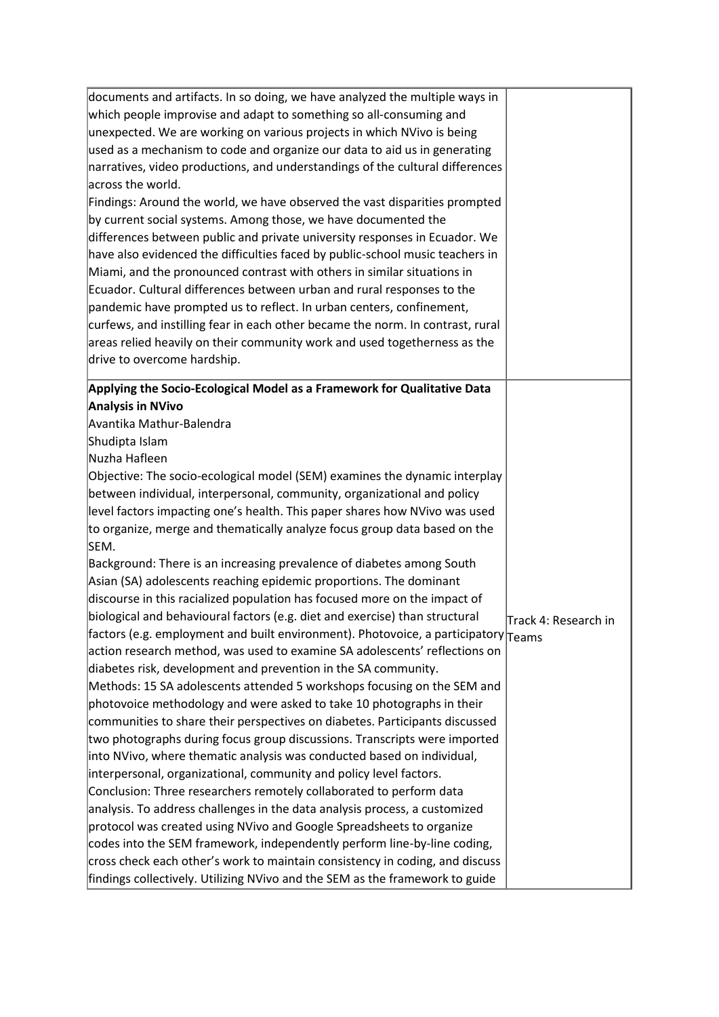| documents and artifacts. In so doing, we have analyzed the multiple ways in                                                                                                                                                                                                                              |                      |
|----------------------------------------------------------------------------------------------------------------------------------------------------------------------------------------------------------------------------------------------------------------------------------------------------------|----------------------|
| which people improvise and adapt to something so all-consuming and                                                                                                                                                                                                                                       |                      |
| unexpected. We are working on various projects in which NVivo is being                                                                                                                                                                                                                                   |                      |
| used as a mechanism to code and organize our data to aid us in generating                                                                                                                                                                                                                                |                      |
| narratives, video productions, and understandings of the cultural differences                                                                                                                                                                                                                            |                      |
| across the world.                                                                                                                                                                                                                                                                                        |                      |
| Findings: Around the world, we have observed the vast disparities prompted                                                                                                                                                                                                                               |                      |
| by current social systems. Among those, we have documented the<br>differences between public and private university responses in Ecuador. We<br>have also evidenced the difficulties faced by public-school music teachers in<br>Miami, and the pronounced contrast with others in similar situations in |                      |
|                                                                                                                                                                                                                                                                                                          |                      |
|                                                                                                                                                                                                                                                                                                          |                      |
|                                                                                                                                                                                                                                                                                                          |                      |
| Ecuador. Cultural differences between urban and rural responses to the                                                                                                                                                                                                                                   |                      |
| pandemic have prompted us to reflect. In urban centers, confinement,                                                                                                                                                                                                                                     |                      |
| curfews, and instilling fear in each other became the norm. In contrast, rural                                                                                                                                                                                                                           |                      |
| areas relied heavily on their community work and used togetherness as the                                                                                                                                                                                                                                |                      |
| drive to overcome hardship.                                                                                                                                                                                                                                                                              |                      |
| Applying the Socio-Ecological Model as a Framework for Qualitative Data                                                                                                                                                                                                                                  |                      |
| <b>Analysis in NVivo</b>                                                                                                                                                                                                                                                                                 |                      |
| Avantika Mathur-Balendra                                                                                                                                                                                                                                                                                 |                      |
| Shudipta Islam                                                                                                                                                                                                                                                                                           |                      |
| Nuzha Hafleen                                                                                                                                                                                                                                                                                            |                      |
| Objective: The socio-ecological model (SEM) examines the dynamic interplay                                                                                                                                                                                                                               |                      |
| between individual, interpersonal, community, organizational and policy                                                                                                                                                                                                                                  |                      |
| level factors impacting one's health. This paper shares how NVivo was used                                                                                                                                                                                                                               |                      |
| to organize, merge and thematically analyze focus group data based on the<br>SEM.                                                                                                                                                                                                                        |                      |
| Background: There is an increasing prevalence of diabetes among South                                                                                                                                                                                                                                    |                      |
| Asian (SA) adolescents reaching epidemic proportions. The dominant                                                                                                                                                                                                                                       |                      |
| discourse in this racialized population has focused more on the impact of                                                                                                                                                                                                                                |                      |
| biological and behavioural factors (e.g. diet and exercise) than structural                                                                                                                                                                                                                              | Track 4: Research in |
| factors (e.g. employment and built environment). Photovoice, a participatory $ _{\text{Teams}}$                                                                                                                                                                                                          |                      |
| action research method, was used to examine SA adolescents' reflections on                                                                                                                                                                                                                               |                      |
| diabetes risk, development and prevention in the SA community.                                                                                                                                                                                                                                           |                      |
| Methods: 15 SA adolescents attended 5 workshops focusing on the SEM and                                                                                                                                                                                                                                  |                      |
| photovoice methodology and were asked to take 10 photographs in their                                                                                                                                                                                                                                    |                      |
| communities to share their perspectives on diabetes. Participants discussed                                                                                                                                                                                                                              |                      |
| two photographs during focus group discussions. Transcripts were imported                                                                                                                                                                                                                                |                      |
| into NVivo, where thematic analysis was conducted based on individual,                                                                                                                                                                                                                                   |                      |
| interpersonal, organizational, community and policy level factors.                                                                                                                                                                                                                                       |                      |
| Conclusion: Three researchers remotely collaborated to perform data                                                                                                                                                                                                                                      |                      |
| analysis. To address challenges in the data analysis process, a customized                                                                                                                                                                                                                               |                      |
| protocol was created using NVivo and Google Spreadsheets to organize                                                                                                                                                                                                                                     |                      |
| codes into the SEM framework, independently perform line-by-line coding,                                                                                                                                                                                                                                 |                      |
| cross check each other's work to maintain consistency in coding, and discuss                                                                                                                                                                                                                             |                      |
| findings collectively. Utilizing NVivo and the SEM as the framework to guide                                                                                                                                                                                                                             |                      |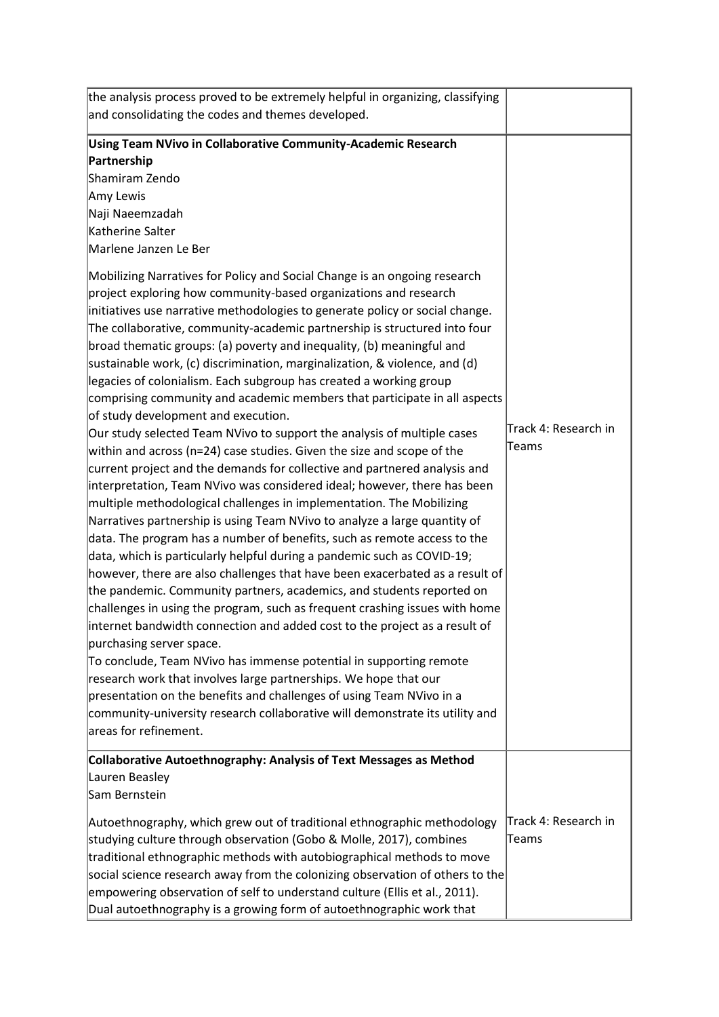| the analysis process proved to be extremely helpful in organizing, classifying |                      |
|--------------------------------------------------------------------------------|----------------------|
| and consolidating the codes and themes developed.                              |                      |
| Using Team NVivo in Collaborative Community-Academic Research                  |                      |
| Partnership                                                                    |                      |
| Shamiram Zendo                                                                 |                      |
| Amy Lewis                                                                      |                      |
| Naji Naeemzadah                                                                |                      |
| Katherine Salter                                                               |                      |
| Marlene Janzen Le Ber                                                          |                      |
| Mobilizing Narratives for Policy and Social Change is an ongoing research      |                      |
| project exploring how community-based organizations and research               |                      |
| initiatives use narrative methodologies to generate policy or social change.   |                      |
| The collaborative, community-academic partnership is structured into four      |                      |
| broad thematic groups: (a) poverty and inequality, (b) meaningful and          |                      |
| sustainable work, (c) discrimination, marginalization, & violence, and (d)     |                      |
| legacies of colonialism. Each subgroup has created a working group             |                      |
| comprising community and academic members that participate in all aspects      |                      |
| of study development and execution.                                            |                      |
| Our study selected Team NVivo to support the analysis of multiple cases        | Track 4: Research in |
| within and across ( $n=24$ ) case studies. Given the size and scope of the     | Teams                |
| current project and the demands for collective and partnered analysis and      |                      |
| interpretation, Team NVivo was considered ideal; however, there has been       |                      |
| multiple methodological challenges in implementation. The Mobilizing           |                      |
| Narratives partnership is using Team NVivo to analyze a large quantity of      |                      |
| data. The program has a number of benefits, such as remote access to the       |                      |
| data, which is particularly helpful during a pandemic such as COVID-19;        |                      |
| however, there are also challenges that have been exacerbated as a result of   |                      |
| the pandemic. Community partners, academics, and students reported on          |                      |
| challenges in using the program, such as frequent crashing issues with home    |                      |
| internet bandwidth connection and added cost to the project as a result of     |                      |
| purchasing server space.                                                       |                      |
| To conclude, Team NVivo has immense potential in supporting remote             |                      |
| research work that involves large partnerships. We hope that our               |                      |
| presentation on the benefits and challenges of using Team NVivo in a           |                      |
| community-university research collaborative will demonstrate its utility and   |                      |
| areas for refinement.                                                          |                      |
| Collaborative Autoethnography: Analysis of Text Messages as Method             |                      |
| Lauren Beasley                                                                 |                      |
| Sam Bernstein                                                                  |                      |
| Autoethnography, which grew out of traditional ethnographic methodology        | Track 4: Research in |
| studying culture through observation (Gobo & Molle, 2017), combines            | Teams                |
| traditional ethnographic methods with autobiographical methods to move         |                      |
| social science research away from the colonizing observation of others to the  |                      |
| empowering observation of self to understand culture (Ellis et al., 2011).     |                      |
| Dual autoethnography is a growing form of autoethnographic work that           |                      |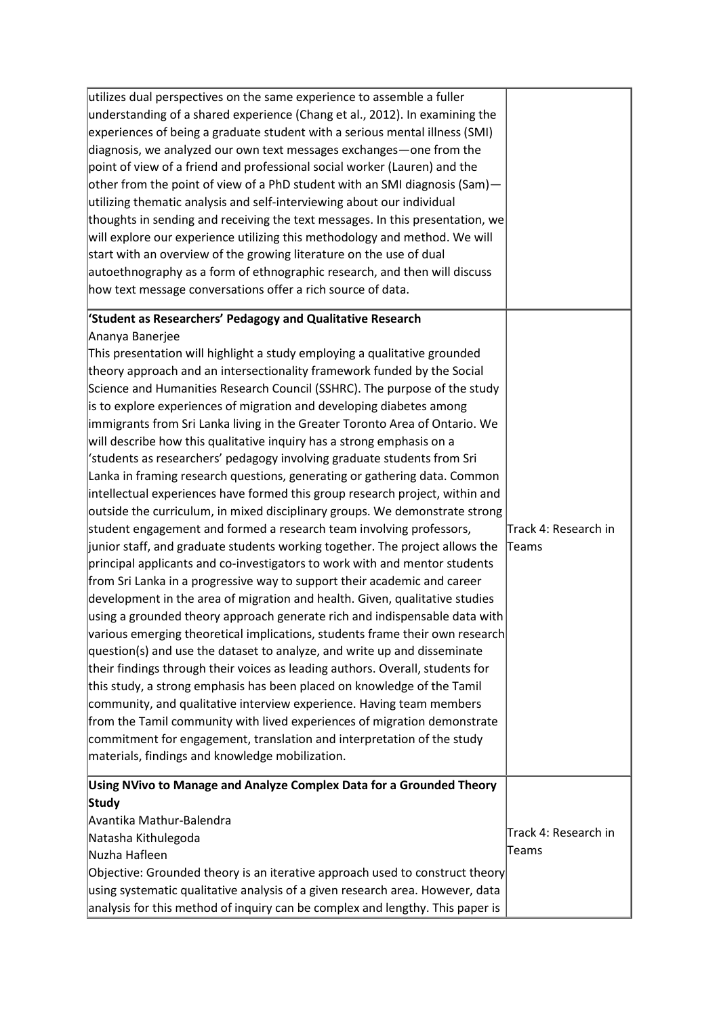| utilizes dual perspectives on the same experience to assemble a fuller<br>understanding of a shared experience (Chang et al., 2012). In examining the<br>experiences of being a graduate student with a serious mental illness (SMI)<br>diagnosis, we analyzed our own text messages exchanges—one from the<br>point of view of a friend and professional social worker (Lauren) and the<br>other from the point of view of a PhD student with an SMI diagnosis (Sam)-<br>utilizing thematic analysis and self-interviewing about our individual<br>thoughts in sending and receiving the text messages. In this presentation, we<br>will explore our experience utilizing this methodology and method. We will<br>start with an overview of the growing literature on the use of dual<br>autoethnography as a form of ethnographic research, and then will discuss<br>how text message conversations offer a rich source of data.                                                                                                                                                                                                                                                                                                                                                                                                                                                                                                                                                                                                                                                                                                                                                                                                                                                                                                                                                                                                                                   |                                |
|----------------------------------------------------------------------------------------------------------------------------------------------------------------------------------------------------------------------------------------------------------------------------------------------------------------------------------------------------------------------------------------------------------------------------------------------------------------------------------------------------------------------------------------------------------------------------------------------------------------------------------------------------------------------------------------------------------------------------------------------------------------------------------------------------------------------------------------------------------------------------------------------------------------------------------------------------------------------------------------------------------------------------------------------------------------------------------------------------------------------------------------------------------------------------------------------------------------------------------------------------------------------------------------------------------------------------------------------------------------------------------------------------------------------------------------------------------------------------------------------------------------------------------------------------------------------------------------------------------------------------------------------------------------------------------------------------------------------------------------------------------------------------------------------------------------------------------------------------------------------------------------------------------------------------------------------------------------------|--------------------------------|
| 'Student as Researchers' Pedagogy and Qualitative Research<br>Ananya Banerjee<br>This presentation will highlight a study employing a qualitative grounded<br>theory approach and an intersectionality framework funded by the Social<br>Science and Humanities Research Council (SSHRC). The purpose of the study<br>is to explore experiences of migration and developing diabetes among<br>immigrants from Sri Lanka living in the Greater Toronto Area of Ontario. We<br>will describe how this qualitative inquiry has a strong emphasis on a<br>'students as researchers' pedagogy involving graduate students from Sri<br>Lanka in framing research questions, generating or gathering data. Common<br>intellectual experiences have formed this group research project, within and<br>outside the curriculum, in mixed disciplinary groups. We demonstrate strong<br>student engagement and formed a research team involving professors,<br>junior staff, and graduate students working together. The project allows the<br>principal applicants and co-investigators to work with and mentor students<br>from Sri Lanka in a progressive way to support their academic and career<br>development in the area of migration and health. Given, qualitative studies<br>using a grounded theory approach generate rich and indispensable data with<br>various emerging theoretical implications, students frame their own research<br>$ question(s) $ and use the dataset to analyze, and write up and disseminate<br>their findings through their voices as leading authors. Overall, students for<br>this study, a strong emphasis has been placed on knowledge of the Tamil<br>community, and qualitative interview experience. Having team members<br>from the Tamil community with lived experiences of migration demonstrate<br>commitment for engagement, translation and interpretation of the study<br>materials, findings and knowledge mobilization. | Track 4: Research in<br>Teams  |
| Using NVivo to Manage and Analyze Complex Data for a Grounded Theory<br>Study<br>Avantika Mathur-Balendra<br>Natasha Kithulegoda<br>Nuzha Hafleen<br>Objective: Grounded theory is an iterative approach used to construct theory<br>using systematic qualitative analysis of a given research area. However, data<br>analysis for this method of inquiry can be complex and lengthy. This paper is                                                                                                                                                                                                                                                                                                                                                                                                                                                                                                                                                                                                                                                                                                                                                                                                                                                                                                                                                                                                                                                                                                                                                                                                                                                                                                                                                                                                                                                                                                                                                                  | Track 4: Research in<br>∣Teams |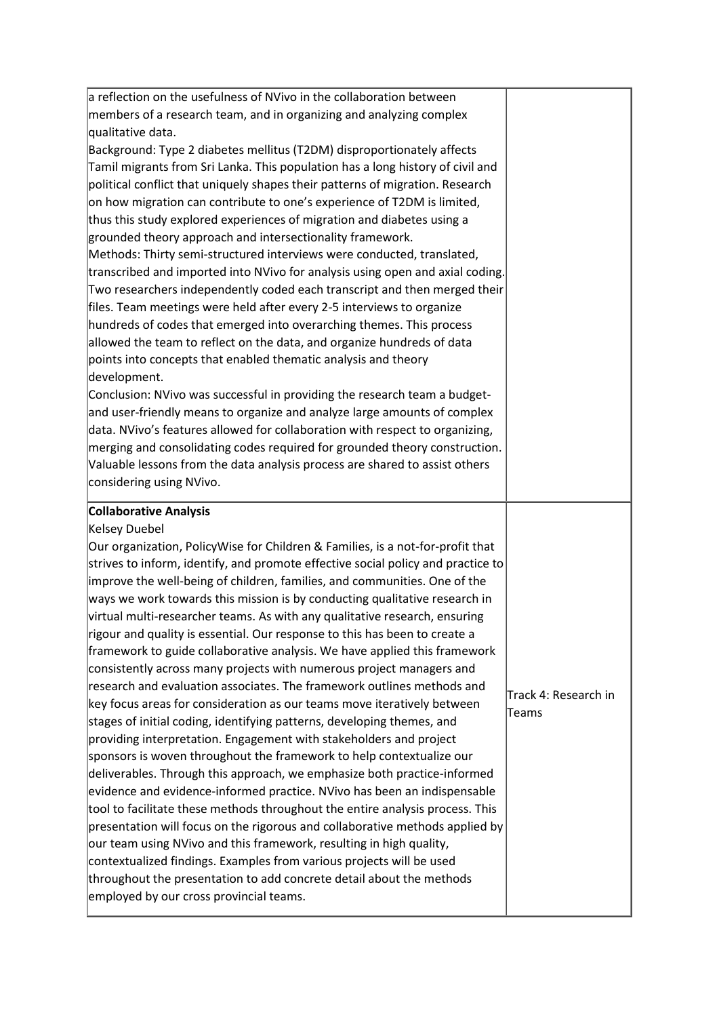| a reflection on the usefulness of NVivo in the collaboration between                                                                                                                                                                                                                                                                                                                                                                                                                                                                                                                                                  |                      |
|-----------------------------------------------------------------------------------------------------------------------------------------------------------------------------------------------------------------------------------------------------------------------------------------------------------------------------------------------------------------------------------------------------------------------------------------------------------------------------------------------------------------------------------------------------------------------------------------------------------------------|----------------------|
| members of a research team, and in organizing and analyzing complex                                                                                                                                                                                                                                                                                                                                                                                                                                                                                                                                                   |                      |
| qualitative data.                                                                                                                                                                                                                                                                                                                                                                                                                                                                                                                                                                                                     |                      |
| Background: Type 2 diabetes mellitus (T2DM) disproportionately affects                                                                                                                                                                                                                                                                                                                                                                                                                                                                                                                                                |                      |
| Tamil migrants from Sri Lanka. This population has a long history of civil and                                                                                                                                                                                                                                                                                                                                                                                                                                                                                                                                        |                      |
| political conflict that uniquely shapes their patterns of migration. Research                                                                                                                                                                                                                                                                                                                                                                                                                                                                                                                                         |                      |
| on how migration can contribute to one's experience of T2DM is limited,                                                                                                                                                                                                                                                                                                                                                                                                                                                                                                                                               |                      |
| thus this study explored experiences of migration and diabetes using a                                                                                                                                                                                                                                                                                                                                                                                                                                                                                                                                                |                      |
| grounded theory approach and intersectionality framework.                                                                                                                                                                                                                                                                                                                                                                                                                                                                                                                                                             |                      |
| Methods: Thirty semi-structured interviews were conducted, translated,                                                                                                                                                                                                                                                                                                                                                                                                                                                                                                                                                |                      |
| transcribed and imported into NVivo for analysis using open and axial coding.                                                                                                                                                                                                                                                                                                                                                                                                                                                                                                                                         |                      |
| Two researchers independently coded each transcript and then merged their                                                                                                                                                                                                                                                                                                                                                                                                                                                                                                                                             |                      |
| files. Team meetings were held after every 2-5 interviews to organize                                                                                                                                                                                                                                                                                                                                                                                                                                                                                                                                                 |                      |
| hundreds of codes that emerged into overarching themes. This process                                                                                                                                                                                                                                                                                                                                                                                                                                                                                                                                                  |                      |
| allowed the team to reflect on the data, and organize hundreds of data                                                                                                                                                                                                                                                                                                                                                                                                                                                                                                                                                |                      |
| points into concepts that enabled thematic analysis and theory                                                                                                                                                                                                                                                                                                                                                                                                                                                                                                                                                        |                      |
| development.                                                                                                                                                                                                                                                                                                                                                                                                                                                                                                                                                                                                          |                      |
| Conclusion: NVivo was successful in providing the research team a budget-                                                                                                                                                                                                                                                                                                                                                                                                                                                                                                                                             |                      |
| and user-friendly means to organize and analyze large amounts of complex                                                                                                                                                                                                                                                                                                                                                                                                                                                                                                                                              |                      |
| data. NVivo's features allowed for collaboration with respect to organizing,                                                                                                                                                                                                                                                                                                                                                                                                                                                                                                                                          |                      |
| merging and consolidating codes required for grounded theory construction.                                                                                                                                                                                                                                                                                                                                                                                                                                                                                                                                            |                      |
| Valuable lessons from the data analysis process are shared to assist others                                                                                                                                                                                                                                                                                                                                                                                                                                                                                                                                           |                      |
| considering using NVivo.                                                                                                                                                                                                                                                                                                                                                                                                                                                                                                                                                                                              |                      |
|                                                                                                                                                                                                                                                                                                                                                                                                                                                                                                                                                                                                                       |                      |
|                                                                                                                                                                                                                                                                                                                                                                                                                                                                                                                                                                                                                       |                      |
|                                                                                                                                                                                                                                                                                                                                                                                                                                                                                                                                                                                                                       |                      |
|                                                                                                                                                                                                                                                                                                                                                                                                                                                                                                                                                                                                                       |                      |
|                                                                                                                                                                                                                                                                                                                                                                                                                                                                                                                                                                                                                       |                      |
|                                                                                                                                                                                                                                                                                                                                                                                                                                                                                                                                                                                                                       |                      |
|                                                                                                                                                                                                                                                                                                                                                                                                                                                                                                                                                                                                                       |                      |
|                                                                                                                                                                                                                                                                                                                                                                                                                                                                                                                                                                                                                       |                      |
| <b>Collaborative Analysis</b><br>Kelsey Duebel<br>Our organization, PolicyWise for Children & Families, is a not-for-profit that<br>strives to inform, identify, and promote effective social policy and practice to<br>improve the well-being of children, families, and communities. One of the<br>ways we work towards this mission is by conducting qualitative research in<br>virtual multi-researcher teams. As with any qualitative research, ensuring<br>rigour and quality is essential. Our response to this has been to create a                                                                           |                      |
|                                                                                                                                                                                                                                                                                                                                                                                                                                                                                                                                                                                                                       |                      |
|                                                                                                                                                                                                                                                                                                                                                                                                                                                                                                                                                                                                                       |                      |
|                                                                                                                                                                                                                                                                                                                                                                                                                                                                                                                                                                                                                       |                      |
|                                                                                                                                                                                                                                                                                                                                                                                                                                                                                                                                                                                                                       | Track 4: Research in |
| stages of initial coding, identifying patterns, developing themes, and                                                                                                                                                                                                                                                                                                                                                                                                                                                                                                                                                | ∣Teams               |
|                                                                                                                                                                                                                                                                                                                                                                                                                                                                                                                                                                                                                       |                      |
| sponsors is woven throughout the framework to help contextualize our                                                                                                                                                                                                                                                                                                                                                                                                                                                                                                                                                  |                      |
|                                                                                                                                                                                                                                                                                                                                                                                                                                                                                                                                                                                                                       |                      |
|                                                                                                                                                                                                                                                                                                                                                                                                                                                                                                                                                                                                                       |                      |
| framework to guide collaborative analysis. We have applied this framework<br>consistently across many projects with numerous project managers and<br>research and evaluation associates. The framework outlines methods and<br>key focus areas for consideration as our teams move iteratively between<br>providing interpretation. Engagement with stakeholders and project<br>deliverables. Through this approach, we emphasize both practice-informed<br>evidence and evidence-informed practice. NVivo has been an indispensable<br>tool to facilitate these methods throughout the entire analysis process. This |                      |
| presentation will focus on the rigorous and collaborative methods applied by                                                                                                                                                                                                                                                                                                                                                                                                                                                                                                                                          |                      |
|                                                                                                                                                                                                                                                                                                                                                                                                                                                                                                                                                                                                                       |                      |
| our team using NVivo and this framework, resulting in high quality,<br>contextualized findings. Examples from various projects will be used                                                                                                                                                                                                                                                                                                                                                                                                                                                                           |                      |
| throughout the presentation to add concrete detail about the methods                                                                                                                                                                                                                                                                                                                                                                                                                                                                                                                                                  |                      |
| employed by our cross provincial teams.                                                                                                                                                                                                                                                                                                                                                                                                                                                                                                                                                                               |                      |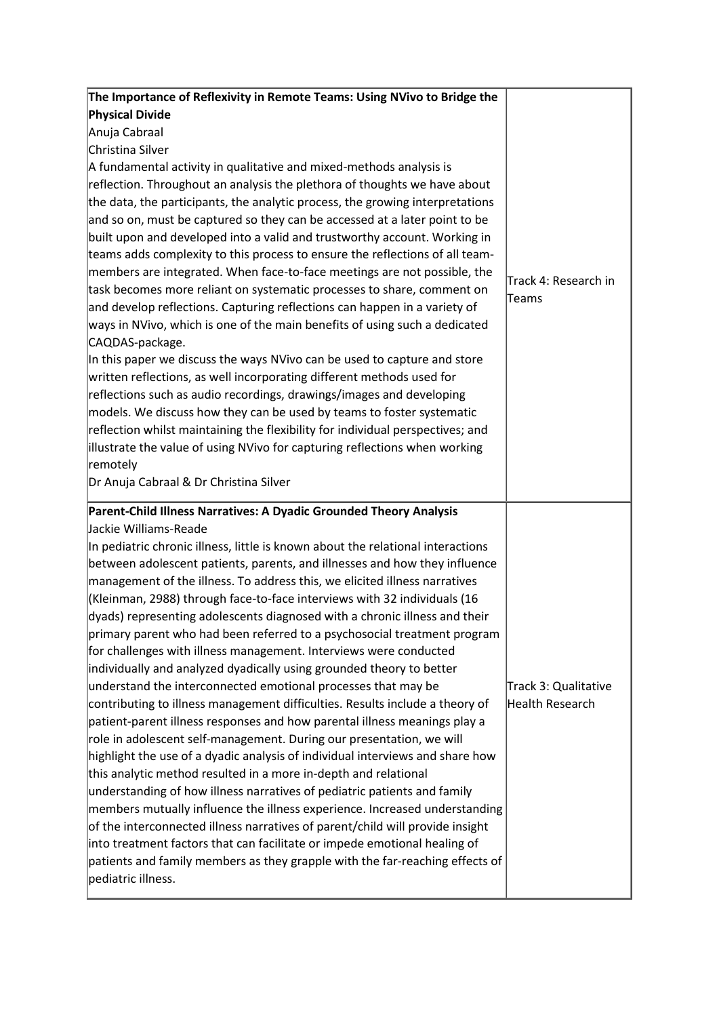| The Importance of Reflexivity in Remote Teams: Using NVivo to Bridge the                                                                                  |                                         |
|-----------------------------------------------------------------------------------------------------------------------------------------------------------|-----------------------------------------|
| <b>Physical Divide</b>                                                                                                                                    |                                         |
| Anuja Cabraal                                                                                                                                             |                                         |
| Christina Silver                                                                                                                                          |                                         |
| A fundamental activity in qualitative and mixed-methods analysis is                                                                                       |                                         |
| reflection. Throughout an analysis the plethora of thoughts we have about                                                                                 |                                         |
| the data, the participants, the analytic process, the growing interpretations                                                                             |                                         |
| and so on, must be captured so they can be accessed at a later point to be                                                                                |                                         |
| built upon and developed into a valid and trustworthy account. Working in                                                                                 |                                         |
| teams adds complexity to this process to ensure the reflections of all team-                                                                              |                                         |
| members are integrated. When face-to-face meetings are not possible, the                                                                                  | Track 4: Research in                    |
| task becomes more reliant on systematic processes to share, comment on                                                                                    | Teams                                   |
| and develop reflections. Capturing reflections can happen in a variety of                                                                                 |                                         |
| ways in NVivo, which is one of the main benefits of using such a dedicated                                                                                |                                         |
| CAQDAS-package.                                                                                                                                           |                                         |
| In this paper we discuss the ways NVivo can be used to capture and store                                                                                  |                                         |
| written reflections, as well incorporating different methods used for                                                                                     |                                         |
| reflections such as audio recordings, drawings/images and developing                                                                                      |                                         |
| models. We discuss how they can be used by teams to foster systematic                                                                                     |                                         |
| reflection whilst maintaining the flexibility for individual perspectives; and                                                                            |                                         |
| illustrate the value of using NVivo for capturing reflections when working                                                                                |                                         |
| remotely                                                                                                                                                  |                                         |
| Dr Anuja Cabraal & Dr Christina Silver                                                                                                                    |                                         |
| Parent-Child Illness Narratives: A Dyadic Grounded Theory Analysis                                                                                        |                                         |
| Jackie Williams-Reade                                                                                                                                     |                                         |
| In pediatric chronic illness, little is known about the relational interactions                                                                           |                                         |
| between adolescent patients, parents, and illnesses and how they influence                                                                                |                                         |
| management of the illness. To address this, we elicited illness narratives                                                                                |                                         |
| (Kleinman, 2988) through face-to-face interviews with 32 individuals (16                                                                                  |                                         |
| dyads) representing adolescents diagnosed with a chronic illness and their                                                                                |                                         |
| primary parent who had been referred to a psychosocial treatment program                                                                                  |                                         |
| for challenges with illness management. Interviews were conducted                                                                                         |                                         |
| individually and analyzed dyadically using grounded theory to better                                                                                      |                                         |
| understand the interconnected emotional processes that may be                                                                                             | Track 3: Qualitative<br>Health Research |
| contributing to illness management difficulties. Results include a theory of<br>patient-parent illness responses and how parental illness meanings play a |                                         |
| role in adolescent self-management. During our presentation, we will                                                                                      |                                         |
| highlight the use of a dyadic analysis of individual interviews and share how                                                                             |                                         |
| this analytic method resulted in a more in-depth and relational                                                                                           |                                         |
| understanding of how illness narratives of pediatric patients and family                                                                                  |                                         |
| members mutually influence the illness experience. Increased understanding                                                                                |                                         |
| of the interconnected illness narratives of parent/child will provide insight                                                                             |                                         |
| into treatment factors that can facilitate or impede emotional healing of                                                                                 |                                         |
| patients and family members as they grapple with the far-reaching effects of                                                                              |                                         |
| pediatric illness.                                                                                                                                        |                                         |
|                                                                                                                                                           |                                         |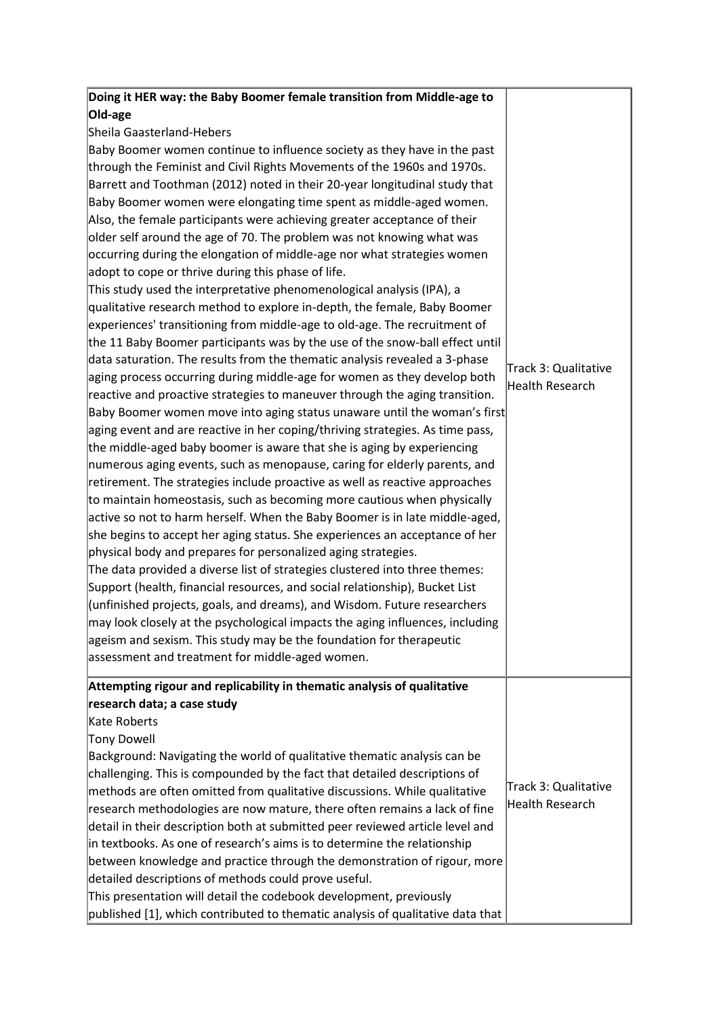| Doing it HER way: the Baby Boomer female transition from Middle-age to         |                      |
|--------------------------------------------------------------------------------|----------------------|
| Old-age                                                                        |                      |
| Sheila Gaasterland-Hebers                                                      |                      |
| Baby Boomer women continue to influence society as they have in the past       |                      |
| through the Feminist and Civil Rights Movements of the 1960s and 1970s.        |                      |
| Barrett and Toothman (2012) noted in their 20-year longitudinal study that     |                      |
| Baby Boomer women were elongating time spent as middle-aged women.             |                      |
| Also, the female participants were achieving greater acceptance of their       |                      |
| older self around the age of 70. The problem was not knowing what was          |                      |
| occurring during the elongation of middle-age nor what strategies women        |                      |
| adopt to cope or thrive during this phase of life.                             |                      |
| This study used the interpretative phenomenological analysis (IPA), a          |                      |
| qualitative research method to explore in-depth, the female, Baby Boomer       |                      |
| experiences' transitioning from middle-age to old-age. The recruitment of      |                      |
| the 11 Baby Boomer participants was by the use of the snow-ball effect until   |                      |
| data saturation. The results from the thematic analysis revealed a 3-phase     | Track 3: Qualitative |
| aging process occurring during middle-age for women as they develop both       | Health Research      |
| reactive and proactive strategies to maneuver through the aging transition.    |                      |
| Baby Boomer women move into aging status unaware until the woman's first       |                      |
| aging event and are reactive in her coping/thriving strategies. As time pass,  |                      |
| the middle-aged baby boomer is aware that she is aging by experiencing         |                      |
| numerous aging events, such as menopause, caring for elderly parents, and      |                      |
| retirement. The strategies include proactive as well as reactive approaches    |                      |
| to maintain homeostasis, such as becoming more cautious when physically        |                      |
| active so not to harm herself. When the Baby Boomer is in late middle-aged,    |                      |
| she begins to accept her aging status. She experiences an acceptance of her    |                      |
| physical body and prepares for personalized aging strategies.                  |                      |
| The data provided a diverse list of strategies clustered into three themes:    |                      |
| Support (health, financial resources, and social relationship), Bucket List    |                      |
| unfinished projects, goals, and dreams), and Wisdom. Future researchers        |                      |
| may look closely at the psychological impacts the aging influences, including  |                      |
| ageism and sexism. This study may be the foundation for therapeutic            |                      |
| assessment and treatment for middle-aged women.                                |                      |
| Attempting rigour and replicability in thematic analysis of qualitative        |                      |
| research data; a case study                                                    |                      |
| Kate Roberts                                                                   |                      |
| Tony Dowell                                                                    |                      |
| Background: Navigating the world of qualitative thematic analysis can be       |                      |
| challenging. This is compounded by the fact that detailed descriptions of      |                      |
| methods are often omitted from qualitative discussions. While qualitative      | Track 3: Qualitative |
| research methodologies are now mature, there often remains a lack of fine      | Health Research      |
| detail in their description both at submitted peer reviewed article level and  |                      |
| in textbooks. As one of research's aims is to determine the relationship       |                      |
| between knowledge and practice through the demonstration of rigour, more       |                      |
| detailed descriptions of methods could prove useful.                           |                      |
| This presentation will detail the codebook development, previously             |                      |
| published [1], which contributed to thematic analysis of qualitative data that |                      |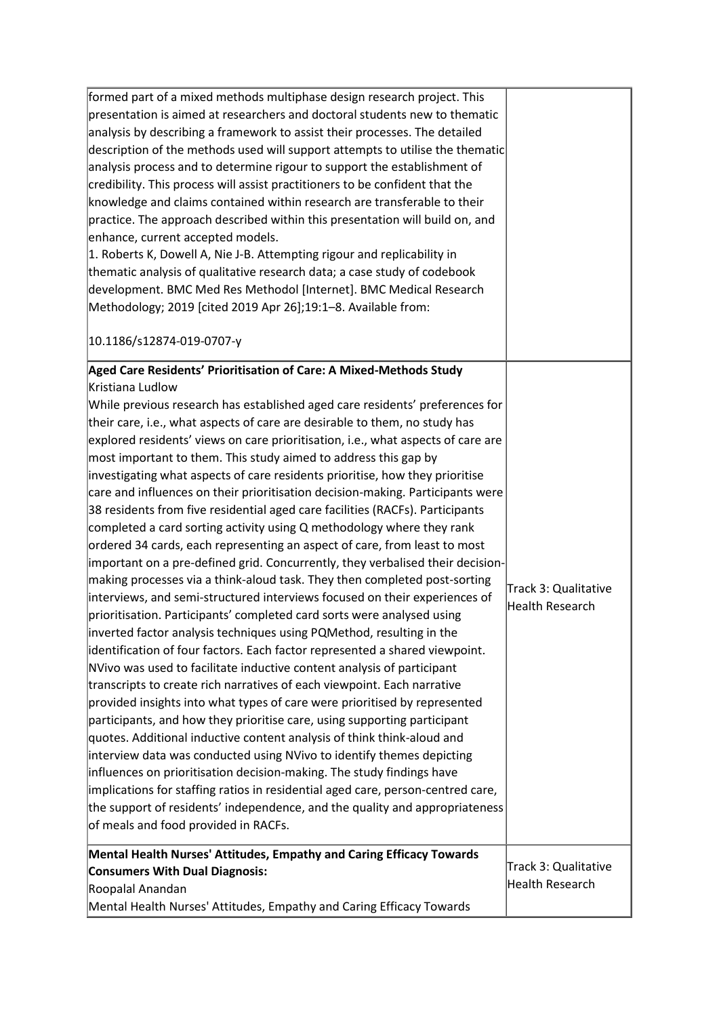| formed part of a mixed methods multiphase design research project. This          |                      |
|----------------------------------------------------------------------------------|----------------------|
| presentation is aimed at researchers and doctoral students new to thematic       |                      |
| analysis by describing a framework to assist their processes. The detailed       |                      |
| description of the methods used will support attempts to utilise the thematic    |                      |
| analysis process and to determine rigour to support the establishment of         |                      |
| credibility. This process will assist practitioners to be confident that the     |                      |
| knowledge and claims contained within research are transferable to their         |                      |
| practice. The approach described within this presentation will build on, and     |                      |
| enhance, current accepted models.                                                |                      |
| 1. Roberts K, Dowell A, Nie J-B. Attempting rigour and replicability in          |                      |
| thematic analysis of qualitative research data; a case study of codebook         |                      |
| development. BMC Med Res Methodol [Internet]. BMC Medical Research               |                      |
| Methodology; 2019 [cited 2019 Apr 26];19:1-8. Available from:                    |                      |
| 10.1186/s12874-019-0707-y                                                        |                      |
| Aged Care Residents' Prioritisation of Care: A Mixed-Methods Study               |                      |
| Kristiana Ludlow                                                                 |                      |
| While previous research has established aged care residents' preferences for     |                      |
| their care, i.e., what aspects of care are desirable to them, no study has       |                      |
| explored residents' views on care prioritisation, i.e., what aspects of care are |                      |
| most important to them. This study aimed to address this gap by                  |                      |
| investigating what aspects of care residents prioritise, how they prioritise     |                      |
| care and influences on their prioritisation decision-making. Participants were   |                      |
| 38 residents from five residential aged care facilities (RACFs). Participants    |                      |
| completed a card sorting activity using Q methodology where they rank            |                      |
| ordered 34 cards, each representing an aspect of care, from least to most        |                      |
| important on a pre-defined grid. Concurrently, they verbalised their decision-   |                      |
| making processes via a think-aloud task. They then completed post-sorting        | Track 3: Qualitative |
| interviews, and semi-structured interviews focused on their experiences of       | Health Research      |
| prioritisation. Participants' completed card sorts were analysed using           |                      |
| inverted factor analysis techniques using PQMethod, resulting in the             |                      |
| identification of four factors. Each factor represented a shared viewpoint.      |                      |
| NVivo was used to facilitate inductive content analysis of participant           |                      |
| transcripts to create rich narratives of each viewpoint. Each narrative          |                      |
| provided insights into what types of care were prioritised by represented        |                      |
| participants, and how they prioritise care, using supporting participant         |                      |
| quotes. Additional inductive content analysis of think think-aloud and           |                      |
| interview data was conducted using NVivo to identify themes depicting            |                      |
| influences on prioritisation decision-making. The study findings have            |                      |
| implications for staffing ratios in residential aged care, person-centred care,  |                      |
| the support of residents' independence, and the quality and appropriateness      |                      |
| of meals and food provided in RACFs.                                             |                      |
| Mental Health Nurses' Attitudes, Empathy and Caring Efficacy Towards             |                      |
| <b>Consumers With Dual Diagnosis:</b>                                            | Track 3: Qualitative |
| Roopalal Anandan                                                                 | Health Research      |
| Mental Health Nurses' Attitudes, Empathy and Caring Efficacy Towards             |                      |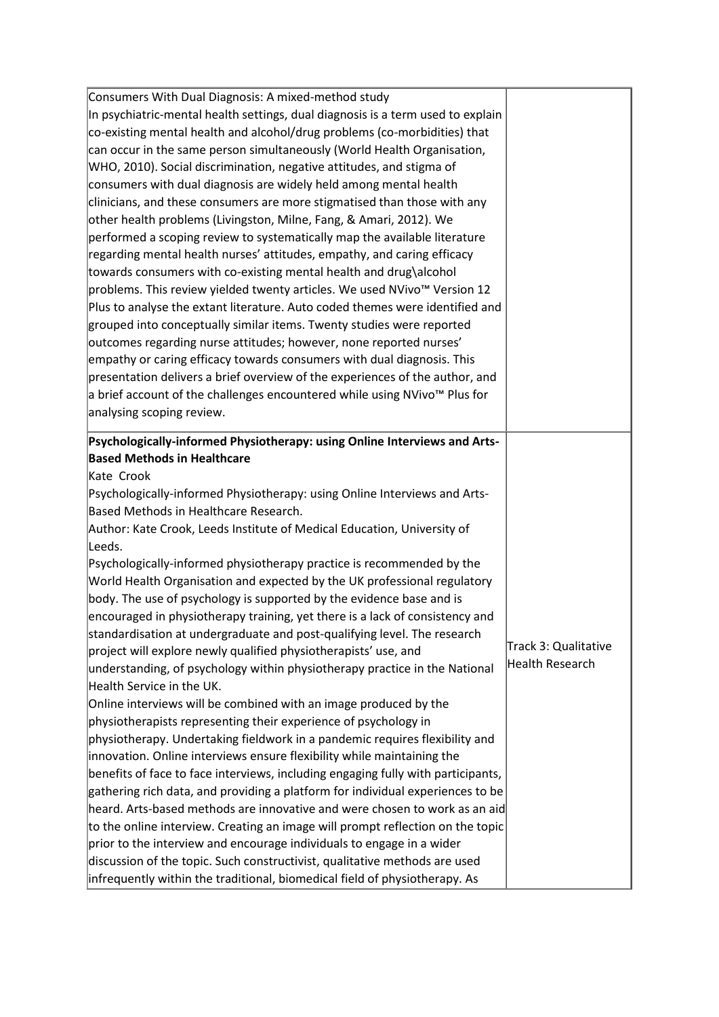| Consumers With Dual Diagnosis: A mixed-method study                              |                      |
|----------------------------------------------------------------------------------|----------------------|
| In psychiatric-mental health settings, dual diagnosis is a term used to explain  |                      |
| co-existing mental health and alcohol/drug problems (co-morbidities) that        |                      |
| can occur in the same person simultaneously (World Health Organisation,          |                      |
| WHO, 2010). Social discrimination, negative attitudes, and stigma of             |                      |
| consumers with dual diagnosis are widely held among mental health                |                      |
| clinicians, and these consumers are more stigmatised than those with any         |                      |
| other health problems (Livingston, Milne, Fang, & Amari, 2012). We               |                      |
| performed a scoping review to systematically map the available literature        |                      |
| regarding mental health nurses' attitudes, empathy, and caring efficacy          |                      |
| towards consumers with co-existing mental health and drug\alcohol                |                      |
| problems. This review yielded twenty articles. We used NVivo™ Version 12         |                      |
| Plus to analyse the extant literature. Auto coded themes were identified and     |                      |
| grouped into conceptually similar items. Twenty studies were reported            |                      |
| outcomes regarding nurse attitudes; however, none reported nurses'               |                      |
| empathy or caring efficacy towards consumers with dual diagnosis. This           |                      |
| presentation delivers a brief overview of the experiences of the author, and     |                      |
| a brief account of the challenges encountered while using NVivo™ Plus for        |                      |
| analysing scoping review.                                                        |                      |
| Psychologically-informed Physiotherapy: using Online Interviews and Arts-        |                      |
| <b>Based Methods in Healthcare</b>                                               |                      |
| Kate Crook                                                                       |                      |
| Psychologically-informed Physiotherapy: using Online Interviews and Arts-        |                      |
| Based Methods in Healthcare Research.                                            |                      |
| Author: Kate Crook, Leeds Institute of Medical Education, University of          |                      |
| Leeds.                                                                           |                      |
| Psychologically-informed physiotherapy practice is recommended by the            |                      |
| World Health Organisation and expected by the UK professional regulatory         |                      |
| body. The use of psychology is supported by the evidence base and is             |                      |
| encouraged in physiotherapy training, yet there is a lack of consistency and     |                      |
| standardisation at undergraduate and post-qualifying level. The research         |                      |
| project will explore newly qualified physiotherapists' use, and                  | Track 3: Qualitative |
| understanding, of psychology within physiotherapy practice in the National       | Health Research      |
| Health Service in the UK.                                                        |                      |
| Online interviews will be combined with an image produced by the                 |                      |
| physiotherapists representing their experience of psychology in                  |                      |
| physiotherapy. Undertaking fieldwork in a pandemic requires flexibility and      |                      |
| innovation. Online interviews ensure flexibility while maintaining the           |                      |
| benefits of face to face interviews, including engaging fully with participants, |                      |
| gathering rich data, and providing a platform for individual experiences to be   |                      |
| heard. Arts-based methods are innovative and were chosen to work as an aid       |                      |
| to the online interview. Creating an image will prompt reflection on the topic   |                      |
| prior to the interview and encourage individuals to engage in a wider            |                      |
| discussion of the topic. Such constructivist, qualitative methods are used       |                      |
| infrequently within the traditional, biomedical field of physiotherapy. As       |                      |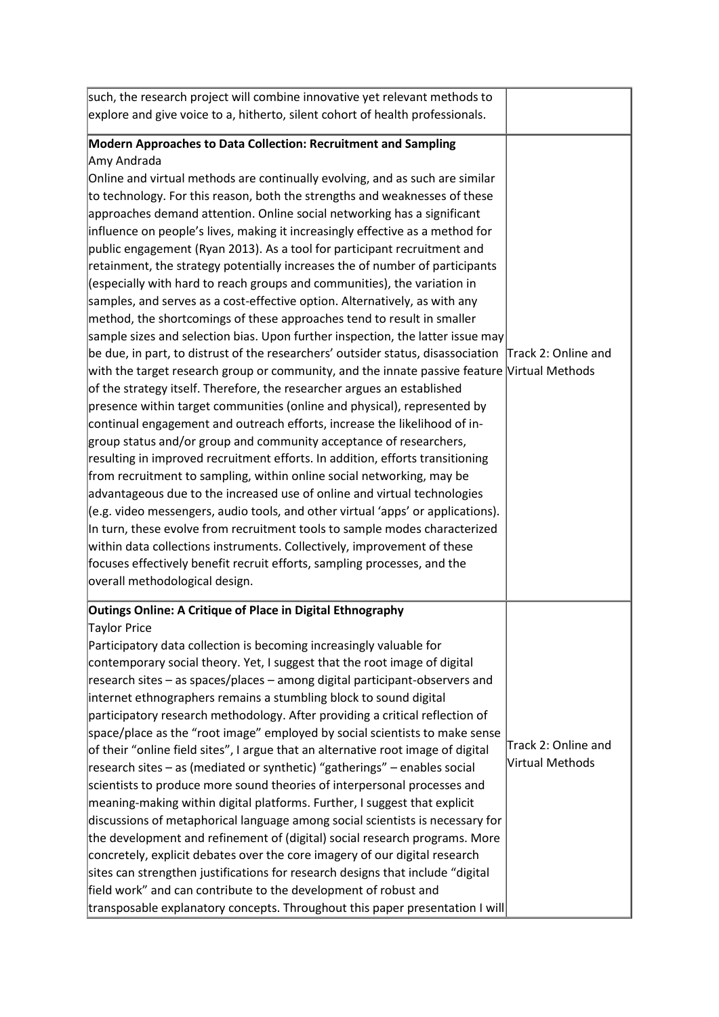| such, the research project will combine innovative yet relevant methods to                                                                                                                                                                                                                                                                                                                                                                                                                                                                                                                                                                                                                                                                                                                                                                                                                                                                                                                                                                                                                                                                                                                                                                                                                                                                                                                                                                                                                                                                                                                                                                                                                                                                                                                                                                                                                                                                                                                                             |                                        |
|------------------------------------------------------------------------------------------------------------------------------------------------------------------------------------------------------------------------------------------------------------------------------------------------------------------------------------------------------------------------------------------------------------------------------------------------------------------------------------------------------------------------------------------------------------------------------------------------------------------------------------------------------------------------------------------------------------------------------------------------------------------------------------------------------------------------------------------------------------------------------------------------------------------------------------------------------------------------------------------------------------------------------------------------------------------------------------------------------------------------------------------------------------------------------------------------------------------------------------------------------------------------------------------------------------------------------------------------------------------------------------------------------------------------------------------------------------------------------------------------------------------------------------------------------------------------------------------------------------------------------------------------------------------------------------------------------------------------------------------------------------------------------------------------------------------------------------------------------------------------------------------------------------------------------------------------------------------------------------------------------------------------|----------------------------------------|
| explore and give voice to a, hitherto, silent cohort of health professionals.                                                                                                                                                                                                                                                                                                                                                                                                                                                                                                                                                                                                                                                                                                                                                                                                                                                                                                                                                                                                                                                                                                                                                                                                                                                                                                                                                                                                                                                                                                                                                                                                                                                                                                                                                                                                                                                                                                                                          |                                        |
| Modern Approaches to Data Collection: Recruitment and Sampling<br>Amy Andrada<br>Online and virtual methods are continually evolving, and as such are similar<br>to technology. For this reason, both the strengths and weaknesses of these<br>approaches demand attention. Online social networking has a significant<br>influence on people's lives, making it increasingly effective as a method for<br>public engagement (Ryan 2013). As a tool for participant recruitment and<br>retainment, the strategy potentially increases the of number of participants<br>(especially with hard to reach groups and communities), the variation in<br>samples, and serves as a cost-effective option. Alternatively, as with any<br>method, the shortcomings of these approaches tend to result in smaller<br>sample sizes and selection bias. Upon further inspection, the latter issue may<br>$\beta$ be due, in part, to distrust of the researchers' outsider status, disassociation Track 2: Online and<br>with the target research group or community, and the innate passive feature Virtual Methods<br>of the strategy itself. Therefore, the researcher argues an established<br>presence within target communities (online and physical), represented by<br>continual engagement and outreach efforts, increase the likelihood of in-<br>group status and/or group and community acceptance of researchers,<br>resulting in improved recruitment efforts. In addition, efforts transitioning<br>from recruitment to sampling, within online social networking, may be<br>advantageous due to the increased use of online and virtual technologies<br>$[$ (e.g. video messengers, audio tools, and other virtual 'apps' or applications).<br>In turn, these evolve from recruitment tools to sample modes characterized<br>within data collections instruments. Collectively, improvement of these<br>focuses effectively benefit recruit efforts, sampling processes, and the<br>overall methodological design. |                                        |
| Outings Online: A Critique of Place in Digital Ethnography<br>Taylor Price<br>Participatory data collection is becoming increasingly valuable for<br>contemporary social theory. Yet, I suggest that the root image of digital<br>research sites – as spaces/places – among digital participant-observers and<br>internet ethnographers remains a stumbling block to sound digital<br>participatory research methodology. After providing a critical reflection of<br>space/place as the "root image" employed by social scientists to make sense<br>of their "online field sites", I argue that an alternative root image of digital<br>research sites – as (mediated or synthetic) "gatherings" – enables social<br>scientists to produce more sound theories of interpersonal processes and<br>meaning-making within digital platforms. Further, I suggest that explicit<br>discussions of metaphorical language among social scientists is necessary for<br>the development and refinement of (digital) social research programs. More<br>concretely, explicit debates over the core imagery of our digital research<br>sites can strengthen justifications for research designs that include "digital<br>field work" and can contribute to the development of robust and<br>transposable explanatory concepts. Throughout this paper presentation I will                                                                                                                                                                                                                                                                                                                                                                                                                                                                                                                                                                                                                                                          | Track 2: Online and<br>Virtual Methods |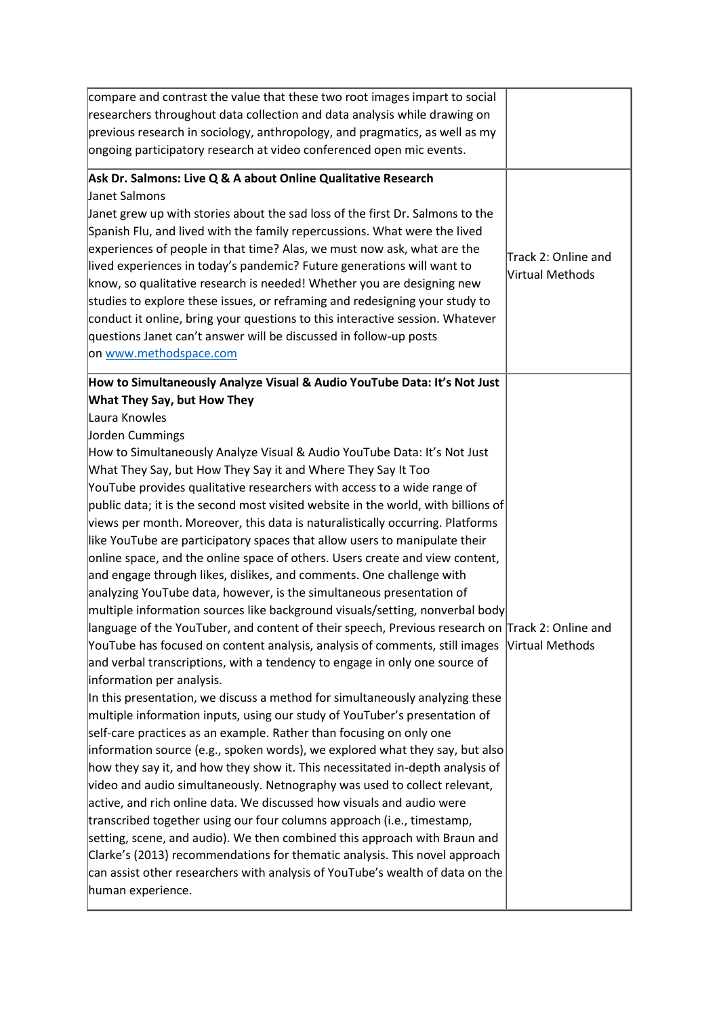| compare and contrast the value that these two root images impart to social<br>researchers throughout data collection and data analysis while drawing on<br>previous research in sociology, anthropology, and pragmatics, as well as my<br>ongoing participatory research at video conferenced open mic events.                                                                                                                                                                                                                                                                                                                                                                                                                                                                                                                                                                                                                                                                                                                                                                                                                                                                                                                                                                                                                                                                                                                                                                                                                                                                                                                                                                                                                                                                                                                                                                                                                                                                                                                                                                                                                                     |                                        |
|----------------------------------------------------------------------------------------------------------------------------------------------------------------------------------------------------------------------------------------------------------------------------------------------------------------------------------------------------------------------------------------------------------------------------------------------------------------------------------------------------------------------------------------------------------------------------------------------------------------------------------------------------------------------------------------------------------------------------------------------------------------------------------------------------------------------------------------------------------------------------------------------------------------------------------------------------------------------------------------------------------------------------------------------------------------------------------------------------------------------------------------------------------------------------------------------------------------------------------------------------------------------------------------------------------------------------------------------------------------------------------------------------------------------------------------------------------------------------------------------------------------------------------------------------------------------------------------------------------------------------------------------------------------------------------------------------------------------------------------------------------------------------------------------------------------------------------------------------------------------------------------------------------------------------------------------------------------------------------------------------------------------------------------------------------------------------------------------------------------------------------------------------|----------------------------------------|
| Ask Dr. Salmons: Live Q & A about Online Qualitative Research<br>Janet Salmons<br>Janet grew up with stories about the sad loss of the first Dr. Salmons to the<br>Spanish Flu, and lived with the family repercussions. What were the lived<br>experiences of people in that time? Alas, we must now ask, what are the<br>lived experiences in today's pandemic? Future generations will want to<br>know, so qualitative research is needed! Whether you are designing new<br>studies to explore these issues, or reframing and redesigning your study to<br>conduct it online, bring your questions to this interactive session. Whatever<br>questions Janet can't answer will be discussed in follow-up posts<br>on www.methodspace.com                                                                                                                                                                                                                                                                                                                                                                                                                                                                                                                                                                                                                                                                                                                                                                                                                                                                                                                                                                                                                                                                                                                                                                                                                                                                                                                                                                                                         | Track 2: Online and<br>Virtual Methods |
| How to Simultaneously Analyze Visual & Audio YouTube Data: It's Not Just<br><b>What They Say, but How They</b><br>Laura Knowles<br>Jorden Cummings<br>How to Simultaneously Analyze Visual & Audio YouTube Data: It's Not Just<br>What They Say, but How They Say it and Where They Say It Too<br>YouTube provides qualitative researchers with access to a wide range of<br>public data; it is the second most visited website in the world, with billions of<br>views per month. Moreover, this data is naturalistically occurring. Platforms<br>like YouTube are participatory spaces that allow users to manipulate their<br>online space, and the online space of others. Users create and view content,<br>and engage through likes, dislikes, and comments. One challenge with<br>analyzing YouTube data, however, is the simultaneous presentation of<br>multiple information sources like background visuals/setting, nonverbal body<br> language of the YouTuber, and content of their speech, Previous research on Track 2: Online and<br>YouTube has focused on content analysis, analysis of comments, still images<br>and verbal transcriptions, with a tendency to engage in only one source of<br>information per analysis.<br>In this presentation, we discuss a method for simultaneously analyzing these<br>multiple information inputs, using our study of YouTuber's presentation of<br>self-care practices as an example. Rather than focusing on only one<br>information source (e.g., spoken words), we explored what they say, but also<br>how they say it, and how they show it. This necessitated in-depth analysis of<br>video and audio simultaneously. Netnography was used to collect relevant,<br>active, and rich online data. We discussed how visuals and audio were<br>transcribed together using our four columns approach (i.e., timestamp,<br>setting, scene, and audio). We then combined this approach with Braun and<br>Clarke's (2013) recommendations for thematic analysis. This novel approach<br>can assist other researchers with analysis of YouTube's wealth of data on the<br>human experience. | <b>Nirtual Methods</b>                 |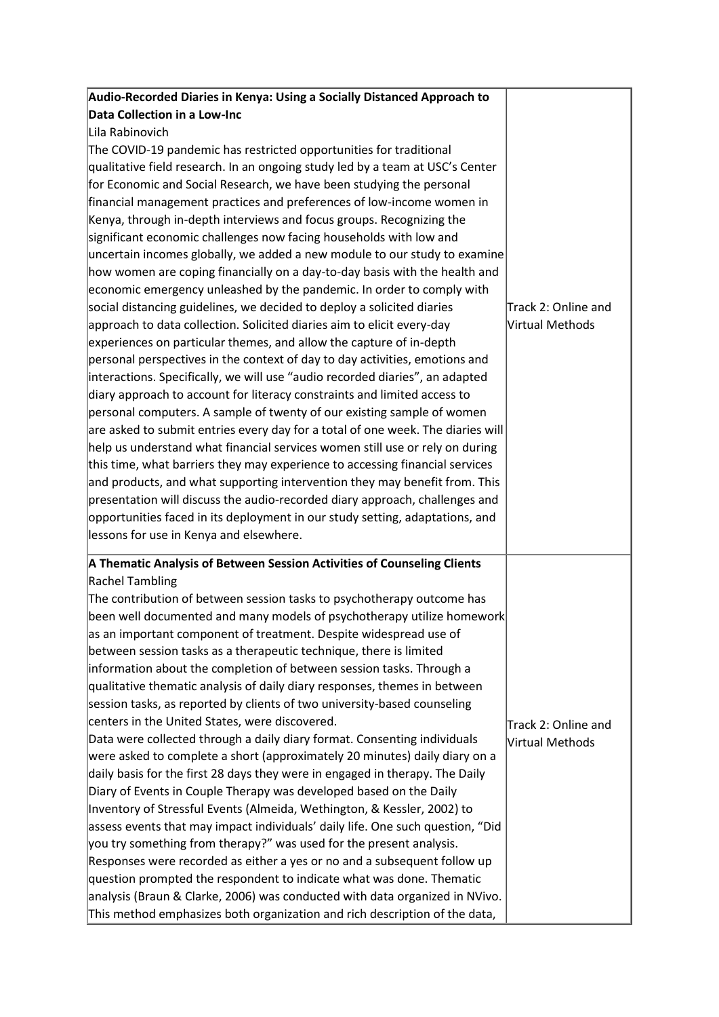| Audio-Recorded Diaries in Kenya: Using a Socially Distanced Approach to         |                     |
|---------------------------------------------------------------------------------|---------------------|
| Data Collection in a Low-Inc                                                    |                     |
| Lila Rabinovich                                                                 |                     |
| The COVID-19 pandemic has restricted opportunities for traditional              |                     |
| qualitative field research. In an ongoing study led by a team at USC's Center   |                     |
| for Economic and Social Research, we have been studying the personal            |                     |
| financial management practices and preferences of low-income women in           |                     |
| Kenya, through in-depth interviews and focus groups. Recognizing the            |                     |
| significant economic challenges now facing households with low and              |                     |
| uncertain incomes globally, we added a new module to our study to examine       |                     |
| how women are coping financially on a day-to-day basis with the health and      |                     |
| economic emergency unleashed by the pandemic. In order to comply with           |                     |
| social distancing guidelines, we decided to deploy a solicited diaries          | Track 2: Online and |
| approach to data collection. Solicited diaries aim to elicit every-day          | Virtual Methods     |
| experiences on particular themes, and allow the capture of in-depth             |                     |
| personal perspectives in the context of day to day activities, emotions and     |                     |
| interactions. Specifically, we will use "audio recorded diaries", an adapted    |                     |
| diary approach to account for literacy constraints and limited access to        |                     |
| personal computers. A sample of twenty of our existing sample of women          |                     |
| are asked to submit entries every day for a total of one week. The diaries will |                     |
| help us understand what financial services women still use or rely on during    |                     |
| this time, what barriers they may experience to accessing financial services    |                     |
| and products, and what supporting intervention they may benefit from. This      |                     |
| presentation will discuss the audio-recorded diary approach, challenges and     |                     |
| opportunities faced in its deployment in our study setting, adaptations, and    |                     |
| lessons for use in Kenya and elsewhere.                                         |                     |
| A Thematic Analysis of Between Session Activities of Counseling Clients         |                     |
| <b>Rachel Tambling</b>                                                          |                     |
| The contribution of between session tasks to psychotherapy outcome has          |                     |
| been well documented and many models of psychotherapy utilize homework          |                     |
| as an important component of treatment. Despite widespread use of               |                     |
| between session tasks as a therapeutic technique, there is limited              |                     |
| information about the completion of between session tasks. Through a            |                     |
| qualitative thematic analysis of daily diary responses, themes in between       |                     |
| session tasks, as reported by clients of two university-based counseling        |                     |
| centers in the United States, were discovered.                                  | Track 2: Online and |
| Data were collected through a daily diary format. Consenting individuals        | Virtual Methods     |
| were asked to complete a short (approximately 20 minutes) daily diary on a      |                     |
| daily basis for the first 28 days they were in engaged in therapy. The Daily    |                     |
| Diary of Events in Couple Therapy was developed based on the Daily              |                     |
| Inventory of Stressful Events (Almeida, Wethington, & Kessler, 2002) to         |                     |
| assess events that may impact individuals' daily life. One such question, "Did  |                     |
| you try something from therapy?" was used for the present analysis.             |                     |
| Responses were recorded as either a yes or no and a subsequent follow up        |                     |
| question prompted the respondent to indicate what was done. Thematic            |                     |
| analysis (Braun & Clarke, 2006) was conducted with data organized in NVivo.     |                     |
| This method emphasizes both organization and rich description of the data,      |                     |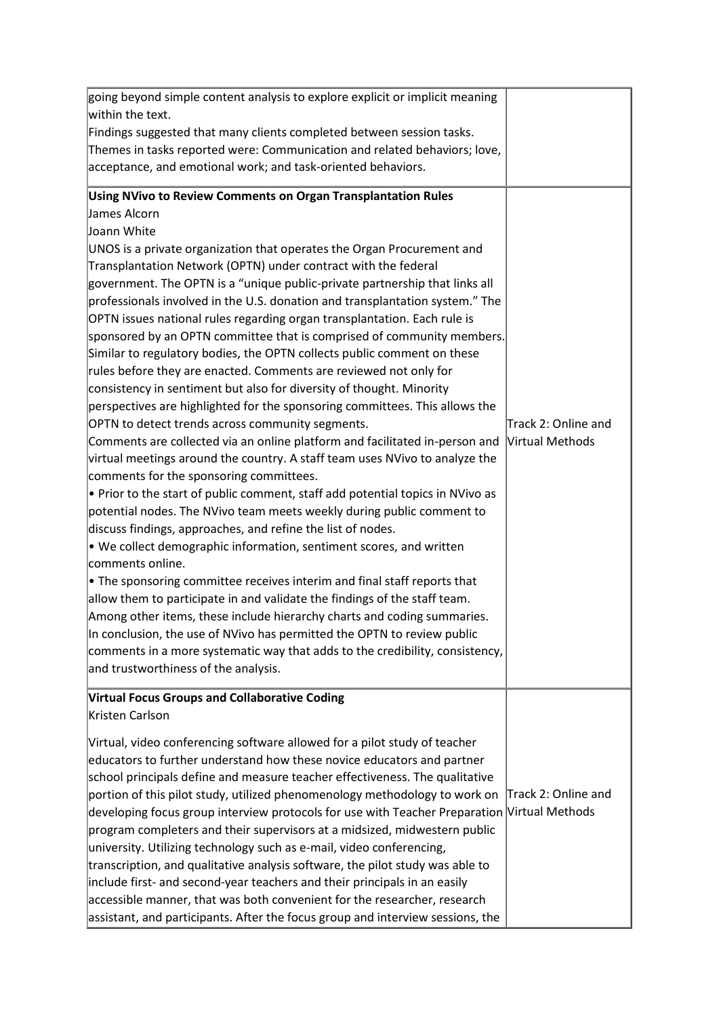| going beyond simple content analysis to explore explicit or implicit meaning                                                               |                     |
|--------------------------------------------------------------------------------------------------------------------------------------------|---------------------|
| within the text.                                                                                                                           |                     |
| Findings suggested that many clients completed between session tasks.                                                                      |                     |
| Themes in tasks reported were: Communication and related behaviors; love,                                                                  |                     |
| acceptance, and emotional work; and task-oriented behaviors.                                                                               |                     |
| Using NVivo to Review Comments on Organ Transplantation Rules                                                                              |                     |
| James Alcorn                                                                                                                               |                     |
| Joann White                                                                                                                                |                     |
| UNOS is a private organization that operates the Organ Procurement and                                                                     |                     |
| Transplantation Network (OPTN) under contract with the federal                                                                             |                     |
| government. The OPTN is a "unique public-private partnership that links all                                                                |                     |
| professionals involved in the U.S. donation and transplantation system." The                                                               |                     |
| OPTN issues national rules regarding organ transplantation. Each rule is                                                                   |                     |
| sponsored by an OPTN committee that is comprised of community members.                                                                     |                     |
| Similar to regulatory bodies, the OPTN collects public comment on these                                                                    |                     |
| rules before they are enacted. Comments are reviewed not only for                                                                          |                     |
| consistency in sentiment but also for diversity of thought. Minority                                                                       |                     |
| perspectives are highlighted for the sponsoring committees. This allows the                                                                |                     |
| OPTN to detect trends across community segments.                                                                                           | Track 2: Online and |
| Comments are collected via an online platform and facilitated in-person and                                                                | Virtual Methods     |
| virtual meetings around the country. A staff team uses NVivo to analyze the                                                                |                     |
| comments for the sponsoring committees.                                                                                                    |                     |
| $\bullet$ Prior to the start of public comment, staff add potential topics in NVivo as                                                     |                     |
| potential nodes. The NVivo team meets weekly during public comment to                                                                      |                     |
| discuss findings, approaches, and refine the list of nodes.<br>$\bullet$ We collect demographic information, sentiment scores, and written |                     |
| comments online.                                                                                                                           |                     |
| $\bullet$ The sponsoring committee receives interim and final staff reports that                                                           |                     |
| allow them to participate in and validate the findings of the staff team.                                                                  |                     |
| Among other items, these include hierarchy charts and coding summaries.                                                                    |                     |
| In conclusion, the use of NVivo has permitted the OPTN to review public                                                                    |                     |
| comments in a more systematic way that adds to the credibility, consistency,                                                               |                     |
| and trustworthiness of the analysis.                                                                                                       |                     |
| <b>Virtual Focus Groups and Collaborative Coding</b>                                                                                       |                     |
| Kristen Carlson                                                                                                                            |                     |
| Virtual, video conferencing software allowed for a pilot study of teacher                                                                  |                     |
| educators to further understand how these novice educators and partner                                                                     |                     |
| school principals define and measure teacher effectiveness. The qualitative                                                                |                     |
| portion of this pilot study, utilized phenomenology methodology to work on                                                                 | Track 2: Online and |
| developing focus group interview protocols for use with Teacher Preparation                                                                | Virtual Methods     |
| program completers and their supervisors at a midsized, midwestern public                                                                  |                     |
| university. Utilizing technology such as e-mail, video conferencing,                                                                       |                     |
| transcription, and qualitative analysis software, the pilot study was able to                                                              |                     |
| include first- and second-year teachers and their principals in an easily                                                                  |                     |
| accessible manner, that was both convenient for the researcher, research                                                                   |                     |
| assistant, and participants. After the focus group and interview sessions, the                                                             |                     |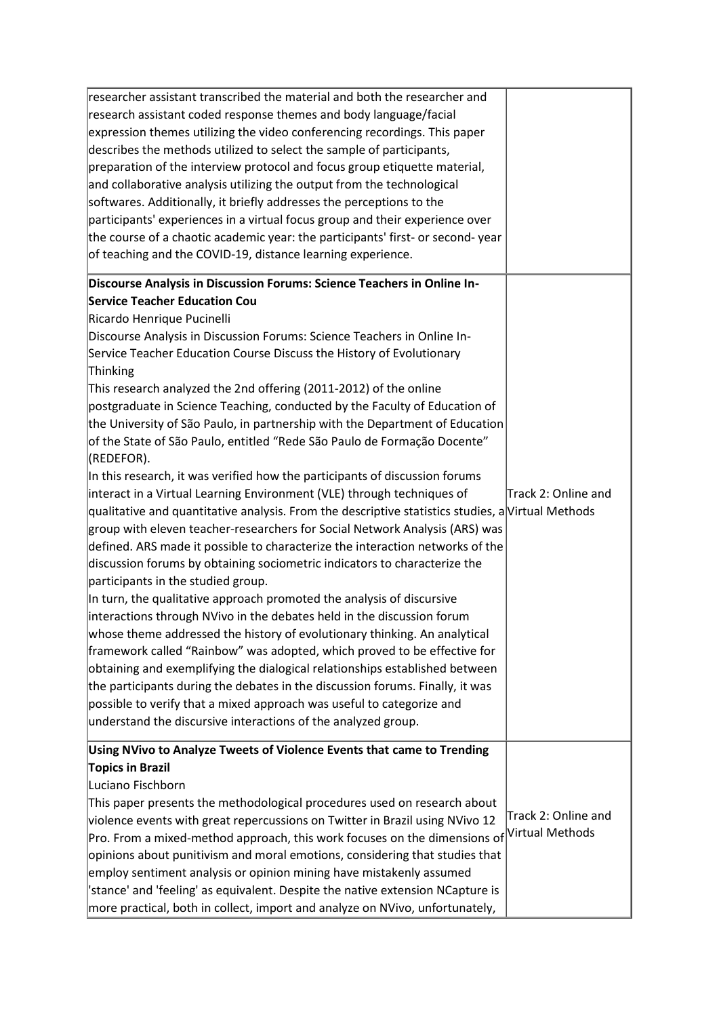| researcher assistant transcribed the material and both the researcher and<br>research assistant coded response themes and body language/facial<br>expression themes utilizing the video conferencing recordings. This paper<br>describes the methods utilized to select the sample of participants,<br>preparation of the interview protocol and focus group etiquette material,<br>and collaborative analysis utilizing the output from the technological<br>softwares. Additionally, it briefly addresses the perceptions to the<br>participants' experiences in a virtual focus group and their experience over<br>the course of a chaotic academic year: the participants' first- or second-year<br>of teaching and the COVID-19, distance learning experience.                                                                                                                                                                                                                                                                                                                                                                                                                                                                                                                                                                                                                                                                                                                                                                                                                                                                                                                                                                                                                                              |                                        |
|------------------------------------------------------------------------------------------------------------------------------------------------------------------------------------------------------------------------------------------------------------------------------------------------------------------------------------------------------------------------------------------------------------------------------------------------------------------------------------------------------------------------------------------------------------------------------------------------------------------------------------------------------------------------------------------------------------------------------------------------------------------------------------------------------------------------------------------------------------------------------------------------------------------------------------------------------------------------------------------------------------------------------------------------------------------------------------------------------------------------------------------------------------------------------------------------------------------------------------------------------------------------------------------------------------------------------------------------------------------------------------------------------------------------------------------------------------------------------------------------------------------------------------------------------------------------------------------------------------------------------------------------------------------------------------------------------------------------------------------------------------------------------------------------------------------|----------------------------------------|
| Discourse Analysis in Discussion Forums: Science Teachers in Online In-<br><b>Service Teacher Education Cou</b><br>Ricardo Henrique Pucinelli<br>Discourse Analysis in Discussion Forums: Science Teachers in Online In-<br>Service Teacher Education Course Discuss the History of Evolutionary<br>Thinking<br>This research analyzed the 2nd offering (2011-2012) of the online<br>postgraduate in Science Teaching, conducted by the Faculty of Education of<br>the University of São Paulo, in partnership with the Department of Education<br>of the State of São Paulo, entitled "Rede São Paulo de Formação Docente"<br>(REDEFOR).<br>In this research, it was verified how the participants of discussion forums<br>interact in a Virtual Learning Environment (VLE) through techniques of<br>qualitative and quantitative analysis. From the descriptive statistics studies, a Virtual Methods<br>group with eleven teacher-researchers for Social Network Analysis (ARS) was<br>defined. ARS made it possible to characterize the interaction networks of the<br>discussion forums by obtaining sociometric indicators to characterize the<br>participants in the studied group.<br>In turn, the qualitative approach promoted the analysis of discursive<br>interactions through NVivo in the debates held in the discussion forum<br>whose theme addressed the history of evolutionary thinking. An analytical<br>framework called "Rainbow" was adopted, which proved to be effective for<br>obtaining and exemplifying the dialogical relationships established between<br>the participants during the debates in the discussion forums. Finally, it was<br>possible to verify that a mixed approach was useful to categorize and<br>understand the discursive interactions of the analyzed group. | Track 2: Online and                    |
| Using NVivo to Analyze Tweets of Violence Events that came to Trending<br>Topics in Brazil<br>Luciano Fischborn<br>This paper presents the methodological procedures used on research about<br>violence events with great repercussions on Twitter in Brazil using NVivo 12<br>Pro. From a mixed-method approach, this work focuses on the dimensions of<br>opinions about punitivism and moral emotions, considering that studies that<br>employ sentiment analysis or opinion mining have mistakenly assumed<br>'stance' and 'feeling' as equivalent. Despite the native extension NCapture is<br>more practical, both in collect, import and analyze on NVivo, unfortunately,                                                                                                                                                                                                                                                                                                                                                                                                                                                                                                                                                                                                                                                                                                                                                                                                                                                                                                                                                                                                                                                                                                                                 | Track 2: Online and<br>Virtual Methods |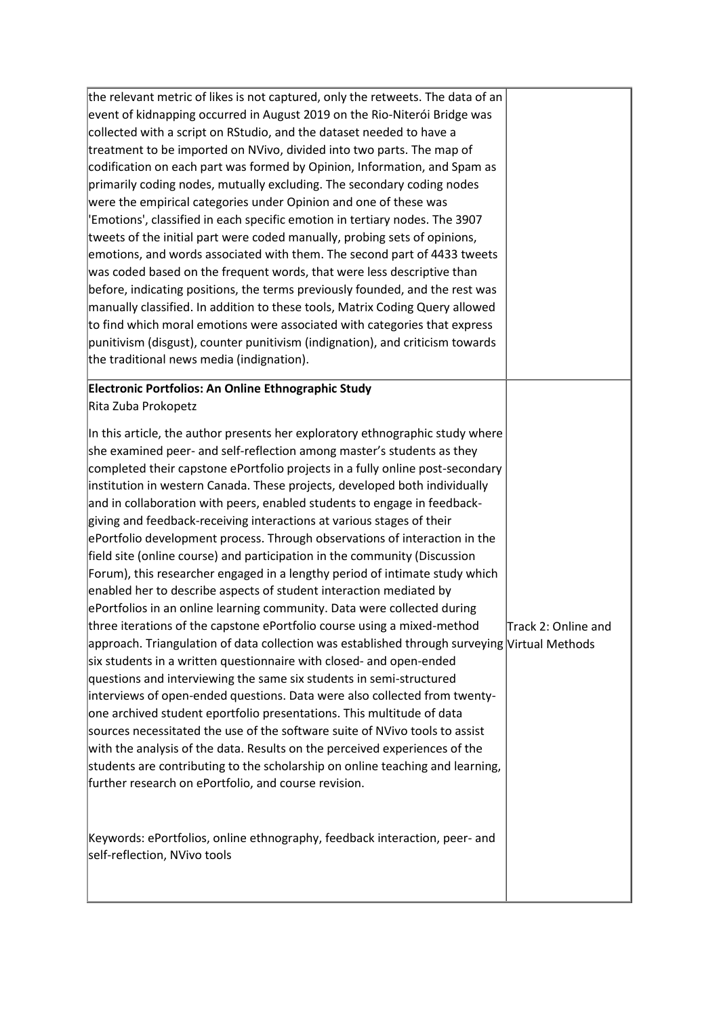| the relevant metric of likes is not captured, only the retweets. The data of an<br>event of kidnapping occurred in August 2019 on the Rio-Niterói Bridge was<br>collected with a script on RStudio, and the dataset needed to have a<br>treatment to be imported on NVivo, divided into two parts. The map of<br>codification on each part was formed by Opinion, Information, and Spam as<br>primarily coding nodes, mutually excluding. The secondary coding nodes<br>were the empirical categories under Opinion and one of these was<br>'Emotions', classified in each specific emotion in tertiary nodes. The 3907<br>tweets of the initial part were coded manually, probing sets of opinions,<br>emotions, and words associated with them. The second part of 4433 tweets<br>was coded based on the frequent words, that were less descriptive than<br>before, indicating positions, the terms previously founded, and the rest was<br>manually classified. In addition to these tools, Matrix Coding Query allowed<br>to find which moral emotions were associated with categories that express<br>punitivism (disgust), counter punitivism (indignation), and criticism towards<br>the traditional news media (indignation).                                                                                                                                                                                                                                                                                                                                                                                                                       |                     |
|-------------------------------------------------------------------------------------------------------------------------------------------------------------------------------------------------------------------------------------------------------------------------------------------------------------------------------------------------------------------------------------------------------------------------------------------------------------------------------------------------------------------------------------------------------------------------------------------------------------------------------------------------------------------------------------------------------------------------------------------------------------------------------------------------------------------------------------------------------------------------------------------------------------------------------------------------------------------------------------------------------------------------------------------------------------------------------------------------------------------------------------------------------------------------------------------------------------------------------------------------------------------------------------------------------------------------------------------------------------------------------------------------------------------------------------------------------------------------------------------------------------------------------------------------------------------------------------------------------------------------------------------------------------|---------------------|
| Electronic Portfolios: An Online Ethnographic Study<br>Rita Zuba Prokopetz                                                                                                                                                                                                                                                                                                                                                                                                                                                                                                                                                                                                                                                                                                                                                                                                                                                                                                                                                                                                                                                                                                                                                                                                                                                                                                                                                                                                                                                                                                                                                                                  |                     |
| In this article, the author presents her exploratory ethnographic study where<br>she examined peer- and self-reflection among master's students as they<br>completed their capstone ePortfolio projects in a fully online post-secondary<br>institution in western Canada. These projects, developed both individually<br>and in collaboration with peers, enabled students to engage in feedback-<br>giving and feedback-receiving interactions at various stages of their<br>ePortfolio development process. Through observations of interaction in the<br>field site (online course) and participation in the community (Discussion<br>Forum), this researcher engaged in a lengthy period of intimate study which<br>enabled her to describe aspects of student interaction mediated by<br>ePortfolios in an online learning community. Data were collected during<br>three iterations of the capstone ePortfolio course using a mixed-method<br>approach. Triangulation of data collection was established through surveying Virtual Methods<br>six students in a written questionnaire with closed- and open-ended<br>questions and interviewing the same six students in semi-structured<br>interviews of open-ended questions. Data were also collected from twenty-<br>one archived student eportfolio presentations. This multitude of data<br>sources necessitated the use of the software suite of NVivo tools to assist<br>with the analysis of the data. Results on the perceived experiences of the<br>students are contributing to the scholarship on online teaching and learning,<br>further research on ePortfolio, and course revision. | Track 2: Online and |
| Keywords: ePortfolios, online ethnography, feedback interaction, peer- and<br>self-reflection, NVivo tools                                                                                                                                                                                                                                                                                                                                                                                                                                                                                                                                                                                                                                                                                                                                                                                                                                                                                                                                                                                                                                                                                                                                                                                                                                                                                                                                                                                                                                                                                                                                                  |                     |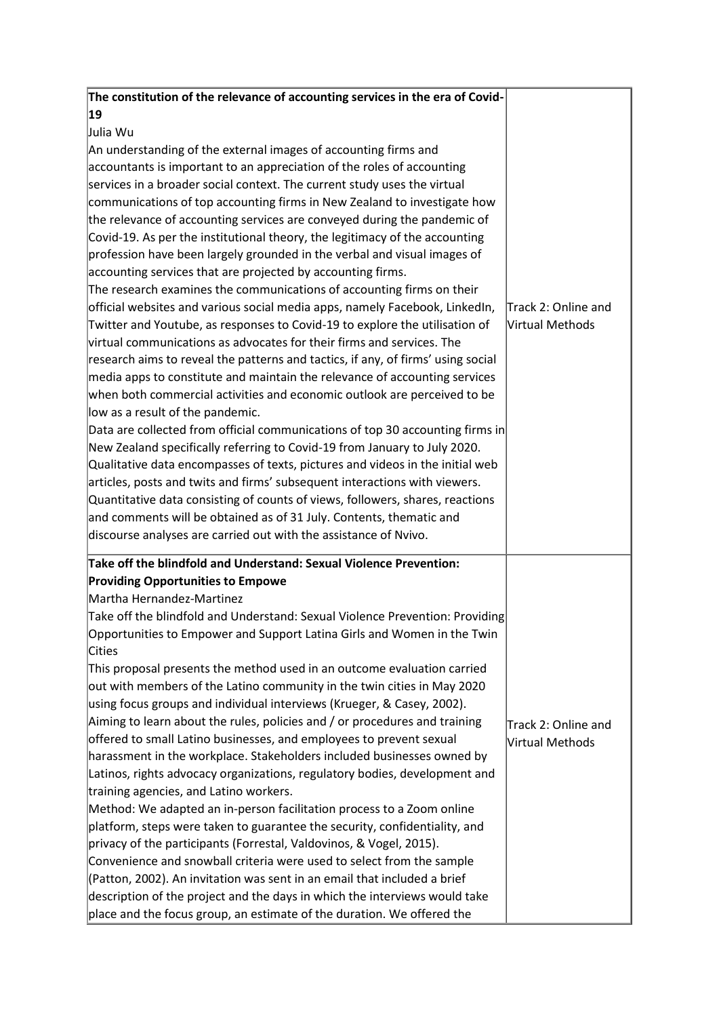| The constitution of the relevance of accounting services in the era of Covid-                                                                                                                                                                                                                                                                                                                                                                                                                                                                                                                                                                                                                                                                                                                                                                                                                                                                                                                                                                                                                                                                                                                                                                                                                                                                                            |                                        |
|--------------------------------------------------------------------------------------------------------------------------------------------------------------------------------------------------------------------------------------------------------------------------------------------------------------------------------------------------------------------------------------------------------------------------------------------------------------------------------------------------------------------------------------------------------------------------------------------------------------------------------------------------------------------------------------------------------------------------------------------------------------------------------------------------------------------------------------------------------------------------------------------------------------------------------------------------------------------------------------------------------------------------------------------------------------------------------------------------------------------------------------------------------------------------------------------------------------------------------------------------------------------------------------------------------------------------------------------------------------------------|----------------------------------------|
| 19                                                                                                                                                                                                                                                                                                                                                                                                                                                                                                                                                                                                                                                                                                                                                                                                                                                                                                                                                                                                                                                                                                                                                                                                                                                                                                                                                                       |                                        |
| Julia Wu                                                                                                                                                                                                                                                                                                                                                                                                                                                                                                                                                                                                                                                                                                                                                                                                                                                                                                                                                                                                                                                                                                                                                                                                                                                                                                                                                                 |                                        |
| An understanding of the external images of accounting firms and                                                                                                                                                                                                                                                                                                                                                                                                                                                                                                                                                                                                                                                                                                                                                                                                                                                                                                                                                                                                                                                                                                                                                                                                                                                                                                          |                                        |
| accountants is important to an appreciation of the roles of accounting                                                                                                                                                                                                                                                                                                                                                                                                                                                                                                                                                                                                                                                                                                                                                                                                                                                                                                                                                                                                                                                                                                                                                                                                                                                                                                   |                                        |
| services in a broader social context. The current study uses the virtual                                                                                                                                                                                                                                                                                                                                                                                                                                                                                                                                                                                                                                                                                                                                                                                                                                                                                                                                                                                                                                                                                                                                                                                                                                                                                                 |                                        |
| communications of top accounting firms in New Zealand to investigate how                                                                                                                                                                                                                                                                                                                                                                                                                                                                                                                                                                                                                                                                                                                                                                                                                                                                                                                                                                                                                                                                                                                                                                                                                                                                                                 |                                        |
| the relevance of accounting services are conveyed during the pandemic of                                                                                                                                                                                                                                                                                                                                                                                                                                                                                                                                                                                                                                                                                                                                                                                                                                                                                                                                                                                                                                                                                                                                                                                                                                                                                                 |                                        |
| Covid-19. As per the institutional theory, the legitimacy of the accounting                                                                                                                                                                                                                                                                                                                                                                                                                                                                                                                                                                                                                                                                                                                                                                                                                                                                                                                                                                                                                                                                                                                                                                                                                                                                                              |                                        |
| profession have been largely grounded in the verbal and visual images of                                                                                                                                                                                                                                                                                                                                                                                                                                                                                                                                                                                                                                                                                                                                                                                                                                                                                                                                                                                                                                                                                                                                                                                                                                                                                                 |                                        |
| accounting services that are projected by accounting firms.                                                                                                                                                                                                                                                                                                                                                                                                                                                                                                                                                                                                                                                                                                                                                                                                                                                                                                                                                                                                                                                                                                                                                                                                                                                                                                              |                                        |
| The research examines the communications of accounting firms on their                                                                                                                                                                                                                                                                                                                                                                                                                                                                                                                                                                                                                                                                                                                                                                                                                                                                                                                                                                                                                                                                                                                                                                                                                                                                                                    |                                        |
| official websites and various social media apps, namely Facebook, LinkedIn,                                                                                                                                                                                                                                                                                                                                                                                                                                                                                                                                                                                                                                                                                                                                                                                                                                                                                                                                                                                                                                                                                                                                                                                                                                                                                              | Track 2: Online and                    |
| Twitter and Youtube, as responses to Covid-19 to explore the utilisation of                                                                                                                                                                                                                                                                                                                                                                                                                                                                                                                                                                                                                                                                                                                                                                                                                                                                                                                                                                                                                                                                                                                                                                                                                                                                                              | Nirtual Methods                        |
| virtual communications as advocates for their firms and services. The                                                                                                                                                                                                                                                                                                                                                                                                                                                                                                                                                                                                                                                                                                                                                                                                                                                                                                                                                                                                                                                                                                                                                                                                                                                                                                    |                                        |
| research aims to reveal the patterns and tactics, if any, of firms' using social                                                                                                                                                                                                                                                                                                                                                                                                                                                                                                                                                                                                                                                                                                                                                                                                                                                                                                                                                                                                                                                                                                                                                                                                                                                                                         |                                        |
| media apps to constitute and maintain the relevance of accounting services                                                                                                                                                                                                                                                                                                                                                                                                                                                                                                                                                                                                                                                                                                                                                                                                                                                                                                                                                                                                                                                                                                                                                                                                                                                                                               |                                        |
| when both commercial activities and economic outlook are perceived to be                                                                                                                                                                                                                                                                                                                                                                                                                                                                                                                                                                                                                                                                                                                                                                                                                                                                                                                                                                                                                                                                                                                                                                                                                                                                                                 |                                        |
| low as a result of the pandemic.                                                                                                                                                                                                                                                                                                                                                                                                                                                                                                                                                                                                                                                                                                                                                                                                                                                                                                                                                                                                                                                                                                                                                                                                                                                                                                                                         |                                        |
| Data are collected from official communications of top 30 accounting firms in                                                                                                                                                                                                                                                                                                                                                                                                                                                                                                                                                                                                                                                                                                                                                                                                                                                                                                                                                                                                                                                                                                                                                                                                                                                                                            |                                        |
| New Zealand specifically referring to Covid-19 from January to July 2020.                                                                                                                                                                                                                                                                                                                                                                                                                                                                                                                                                                                                                                                                                                                                                                                                                                                                                                                                                                                                                                                                                                                                                                                                                                                                                                |                                        |
| Qualitative data encompasses of texts, pictures and videos in the initial web                                                                                                                                                                                                                                                                                                                                                                                                                                                                                                                                                                                                                                                                                                                                                                                                                                                                                                                                                                                                                                                                                                                                                                                                                                                                                            |                                        |
| articles, posts and twits and firms' subsequent interactions with viewers.                                                                                                                                                                                                                                                                                                                                                                                                                                                                                                                                                                                                                                                                                                                                                                                                                                                                                                                                                                                                                                                                                                                                                                                                                                                                                               |                                        |
| Quantitative data consisting of counts of views, followers, shares, reactions                                                                                                                                                                                                                                                                                                                                                                                                                                                                                                                                                                                                                                                                                                                                                                                                                                                                                                                                                                                                                                                                                                                                                                                                                                                                                            |                                        |
| and comments will be obtained as of 31 July. Contents, thematic and                                                                                                                                                                                                                                                                                                                                                                                                                                                                                                                                                                                                                                                                                                                                                                                                                                                                                                                                                                                                                                                                                                                                                                                                                                                                                                      |                                        |
| discourse analyses are carried out with the assistance of Nvivo.                                                                                                                                                                                                                                                                                                                                                                                                                                                                                                                                                                                                                                                                                                                                                                                                                                                                                                                                                                                                                                                                                                                                                                                                                                                                                                         |                                        |
|                                                                                                                                                                                                                                                                                                                                                                                                                                                                                                                                                                                                                                                                                                                                                                                                                                                                                                                                                                                                                                                                                                                                                                                                                                                                                                                                                                          |                                        |
|                                                                                                                                                                                                                                                                                                                                                                                                                                                                                                                                                                                                                                                                                                                                                                                                                                                                                                                                                                                                                                                                                                                                                                                                                                                                                                                                                                          |                                        |
|                                                                                                                                                                                                                                                                                                                                                                                                                                                                                                                                                                                                                                                                                                                                                                                                                                                                                                                                                                                                                                                                                                                                                                                                                                                                                                                                                                          |                                        |
|                                                                                                                                                                                                                                                                                                                                                                                                                                                                                                                                                                                                                                                                                                                                                                                                                                                                                                                                                                                                                                                                                                                                                                                                                                                                                                                                                                          |                                        |
|                                                                                                                                                                                                                                                                                                                                                                                                                                                                                                                                                                                                                                                                                                                                                                                                                                                                                                                                                                                                                                                                                                                                                                                                                                                                                                                                                                          |                                        |
|                                                                                                                                                                                                                                                                                                                                                                                                                                                                                                                                                                                                                                                                                                                                                                                                                                                                                                                                                                                                                                                                                                                                                                                                                                                                                                                                                                          |                                        |
|                                                                                                                                                                                                                                                                                                                                                                                                                                                                                                                                                                                                                                                                                                                                                                                                                                                                                                                                                                                                                                                                                                                                                                                                                                                                                                                                                                          |                                        |
|                                                                                                                                                                                                                                                                                                                                                                                                                                                                                                                                                                                                                                                                                                                                                                                                                                                                                                                                                                                                                                                                                                                                                                                                                                                                                                                                                                          |                                        |
|                                                                                                                                                                                                                                                                                                                                                                                                                                                                                                                                                                                                                                                                                                                                                                                                                                                                                                                                                                                                                                                                                                                                                                                                                                                                                                                                                                          |                                        |
|                                                                                                                                                                                                                                                                                                                                                                                                                                                                                                                                                                                                                                                                                                                                                                                                                                                                                                                                                                                                                                                                                                                                                                                                                                                                                                                                                                          |                                        |
|                                                                                                                                                                                                                                                                                                                                                                                                                                                                                                                                                                                                                                                                                                                                                                                                                                                                                                                                                                                                                                                                                                                                                                                                                                                                                                                                                                          |                                        |
|                                                                                                                                                                                                                                                                                                                                                                                                                                                                                                                                                                                                                                                                                                                                                                                                                                                                                                                                                                                                                                                                                                                                                                                                                                                                                                                                                                          |                                        |
|                                                                                                                                                                                                                                                                                                                                                                                                                                                                                                                                                                                                                                                                                                                                                                                                                                                                                                                                                                                                                                                                                                                                                                                                                                                                                                                                                                          |                                        |
|                                                                                                                                                                                                                                                                                                                                                                                                                                                                                                                                                                                                                                                                                                                                                                                                                                                                                                                                                                                                                                                                                                                                                                                                                                                                                                                                                                          |                                        |
|                                                                                                                                                                                                                                                                                                                                                                                                                                                                                                                                                                                                                                                                                                                                                                                                                                                                                                                                                                                                                                                                                                                                                                                                                                                                                                                                                                          |                                        |
|                                                                                                                                                                                                                                                                                                                                                                                                                                                                                                                                                                                                                                                                                                                                                                                                                                                                                                                                                                                                                                                                                                                                                                                                                                                                                                                                                                          |                                        |
|                                                                                                                                                                                                                                                                                                                                                                                                                                                                                                                                                                                                                                                                                                                                                                                                                                                                                                                                                                                                                                                                                                                                                                                                                                                                                                                                                                          |                                        |
|                                                                                                                                                                                                                                                                                                                                                                                                                                                                                                                                                                                                                                                                                                                                                                                                                                                                                                                                                                                                                                                                                                                                                                                                                                                                                                                                                                          |                                        |
|                                                                                                                                                                                                                                                                                                                                                                                                                                                                                                                                                                                                                                                                                                                                                                                                                                                                                                                                                                                                                                                                                                                                                                                                                                                                                                                                                                          |                                        |
|                                                                                                                                                                                                                                                                                                                                                                                                                                                                                                                                                                                                                                                                                                                                                                                                                                                                                                                                                                                                                                                                                                                                                                                                                                                                                                                                                                          |                                        |
| place and the focus group, an estimate of the duration. We offered the                                                                                                                                                                                                                                                                                                                                                                                                                                                                                                                                                                                                                                                                                                                                                                                                                                                                                                                                                                                                                                                                                                                                                                                                                                                                                                   |                                        |
| Take off the blindfold and Understand: Sexual Violence Prevention:<br><b>Providing Opportunities to Empowe</b><br>Martha Hernandez-Martinez<br>Take off the blindfold and Understand: Sexual Violence Prevention: Providing<br>Opportunities to Empower and Support Latina Girls and Women in the Twin<br>Cities<br>This proposal presents the method used in an outcome evaluation carried<br>out with members of the Latino community in the twin cities in May 2020<br>using focus groups and individual interviews (Krueger, & Casey, 2002).<br>Aiming to learn about the rules, policies and / or procedures and training<br>offered to small Latino businesses, and employees to prevent sexual<br>harassment in the workplace. Stakeholders included businesses owned by<br>Latinos, rights advocacy organizations, regulatory bodies, development and<br>training agencies, and Latino workers.<br>Method: We adapted an in-person facilitation process to a Zoom online<br>platform, steps were taken to guarantee the security, confidentiality, and<br>privacy of the participants (Forrestal, Valdovinos, & Vogel, 2015).<br>Convenience and snowball criteria were used to select from the sample<br>(Patton, 2002). An invitation was sent in an email that included a brief<br>description of the project and the days in which the interviews would take | Track 2: Online and<br>Virtual Methods |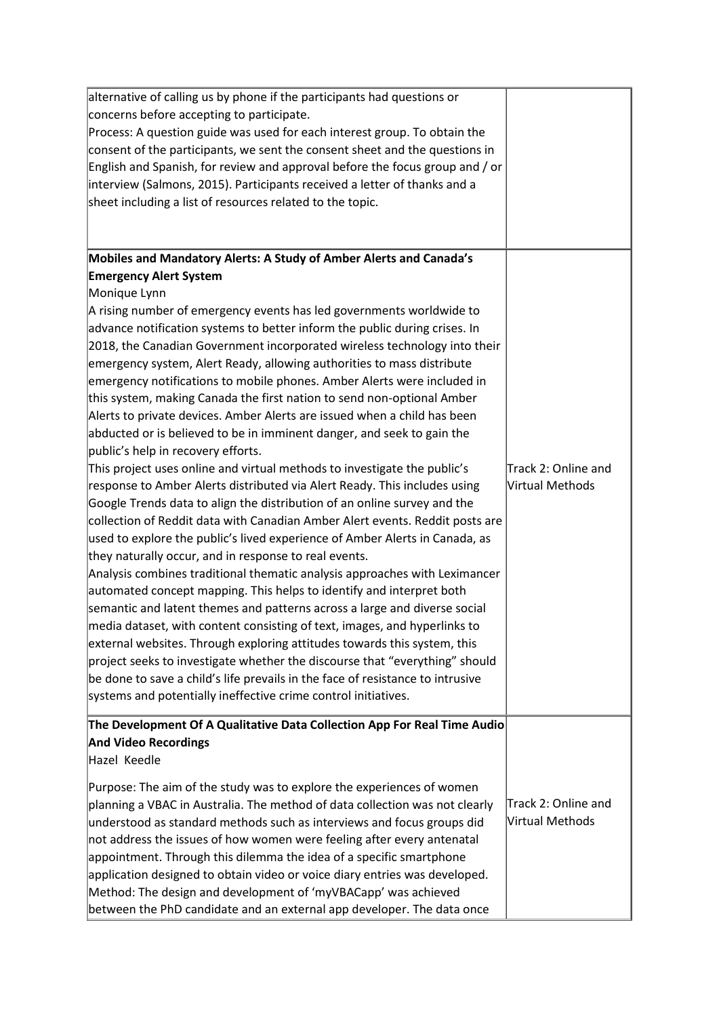| alternative of calling us by phone if the participants had questions or        |                     |
|--------------------------------------------------------------------------------|---------------------|
| concerns before accepting to participate.                                      |                     |
| Process: A question guide was used for each interest group. To obtain the      |                     |
| consent of the participants, we sent the consent sheet and the questions in    |                     |
| English and Spanish, for review and approval before the focus group and / or   |                     |
| interview (Salmons, 2015). Participants received a letter of thanks and a      |                     |
| sheet including a list of resources related to the topic.                      |                     |
|                                                                                |                     |
|                                                                                |                     |
| Mobiles and Mandatory Alerts: A Study of Amber Alerts and Canada's             |                     |
| <b>Emergency Alert System</b>                                                  |                     |
| Monique Lynn                                                                   |                     |
| A rising number of emergency events has led governments worldwide to           |                     |
| advance notification systems to better inform the public during crises. In     |                     |
| 2018, the Canadian Government incorporated wireless technology into their      |                     |
| emergency system, Alert Ready, allowing authorities to mass distribute         |                     |
| emergency notifications to mobile phones. Amber Alerts were included in        |                     |
| this system, making Canada the first nation to send non-optional Amber         |                     |
| Alerts to private devices. Amber Alerts are issued when a child has been       |                     |
| abducted or is believed to be in imminent danger, and seek to gain the         |                     |
| public's help in recovery efforts.                                             |                     |
| This project uses online and virtual methods to investigate the public's       | Track 2: Online and |
| response to Amber Alerts distributed via Alert Ready. This includes using      | Virtual Methods     |
| Google Trends data to align the distribution of an online survey and the       |                     |
| collection of Reddit data with Canadian Amber Alert events. Reddit posts are   |                     |
| used to explore the public's lived experience of Amber Alerts in Canada, as    |                     |
| they naturally occur, and in response to real events.                          |                     |
| Analysis combines traditional thematic analysis approaches with Leximancer     |                     |
| automated concept mapping. This helps to identify and interpret both           |                     |
| semantic and latent themes and patterns across a large and diverse social      |                     |
| media dataset, with content consisting of text, images, and hyperlinks to      |                     |
| external websites. Through exploring attitudes towards this system, this       |                     |
| project seeks to investigate whether the discourse that "everything" should    |                     |
| be done to save a child's life prevails in the face of resistance to intrusive |                     |
| systems and potentially ineffective crime control initiatives.                 |                     |
| The Development Of A Qualitative Data Collection App For Real Time Audio       |                     |
| <b>And Video Recordings</b>                                                    |                     |
| Hazel Keedle                                                                   |                     |
|                                                                                |                     |
| Purpose: The aim of the study was to explore the experiences of women          |                     |
| planning a VBAC in Australia. The method of data collection was not clearly    | Track 2: Online and |
| understood as standard methods such as interviews and focus groups did         | Virtual Methods     |
| not address the issues of how women were feeling after every antenatal         |                     |
| appointment. Through this dilemma the idea of a specific smartphone            |                     |
| application designed to obtain video or voice diary entries was developed.     |                     |
| Method: The design and development of 'myVBACapp' was achieved                 |                     |
| between the PhD candidate and an external app developer. The data once         |                     |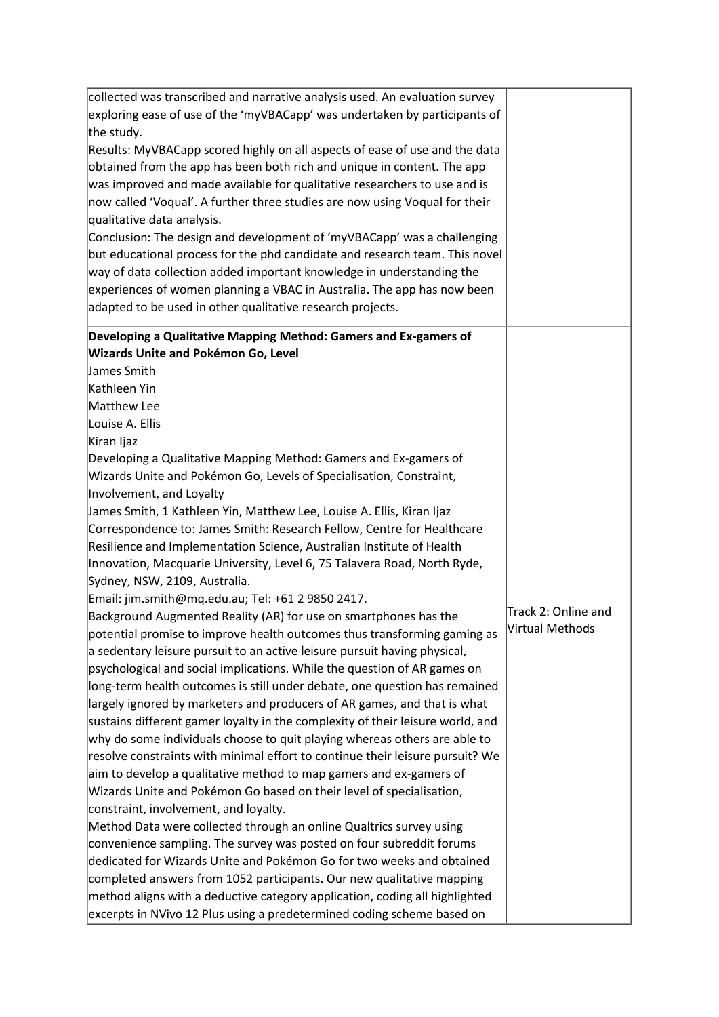| collected was transcribed and narrative analysis used. An evaluation survey    |                     |
|--------------------------------------------------------------------------------|---------------------|
| exploring ease of use of the 'myVBACapp' was undertaken by participants of     |                     |
| the study.                                                                     |                     |
| Results: MyVBACapp scored highly on all aspects of ease of use and the data    |                     |
| obtained from the app has been both rich and unique in content. The app        |                     |
| was improved and made available for qualitative researchers to use and is      |                     |
| now called 'Voqual'. A further three studies are now using Voqual for their    |                     |
| qualitative data analysis.                                                     |                     |
| Conclusion: The design and development of 'myVBACapp' was a challenging        |                     |
| but educational process for the phd candidate and research team. This novel    |                     |
| way of data collection added important knowledge in understanding the          |                     |
| experiences of women planning a VBAC in Australia. The app has now been        |                     |
| adapted to be used in other qualitative research projects.                     |                     |
| Developing a Qualitative Mapping Method: Gamers and Ex-gamers of               |                     |
| <b>Wizards Unite and Pokémon Go, Level</b>                                     |                     |
| James Smith                                                                    |                     |
| Kathleen Yin                                                                   |                     |
| Matthew Lee                                                                    |                     |
| Louise A. Ellis                                                                |                     |
| Kiran Ijaz                                                                     |                     |
| Developing a Qualitative Mapping Method: Gamers and Ex-gamers of               |                     |
| Wizards Unite and Pokémon Go, Levels of Specialisation, Constraint,            |                     |
| Involvement, and Loyalty                                                       |                     |
| James Smith, 1 Kathleen Yin, Matthew Lee, Louise A. Ellis, Kiran Ijaz          |                     |
| Correspondence to: James Smith: Research Fellow, Centre for Healthcare         |                     |
| Resilience and Implementation Science, Australian Institute of Health          |                     |
| Innovation, Macquarie University, Level 6, 75 Talavera Road, North Ryde,       |                     |
| Sydney, NSW, 2109, Australia.                                                  |                     |
| Email: jim.smith@mq.edu.au; Tel: +61 2 9850 2417.                              | Track 2: Online and |
| Background Augmented Reality (AR) for use on smartphones has the               | Virtual Methods     |
| potential promise to improve health outcomes thus transforming gaming as       |                     |
| a sedentary leisure pursuit to an active leisure pursuit having physical,      |                     |
| psychological and social implications. While the question of AR games on       |                     |
| long-term health outcomes is still under debate, one question has remained     |                     |
| largely ignored by marketers and producers of AR games, and that is what       |                     |
| sustains different gamer loyalty in the complexity of their leisure world, and |                     |
| why do some individuals choose to quit playing whereas others are able to      |                     |
| resolve constraints with minimal effort to continue their leisure pursuit? We  |                     |
| aim to develop a qualitative method to map gamers and ex-gamers of             |                     |
| Wizards Unite and Pokémon Go based on their level of specialisation,           |                     |
| constraint, involvement, and loyalty.                                          |                     |
| Method Data were collected through an online Qualtrics survey using            |                     |
| convenience sampling. The survey was posted on four subreddit forums           |                     |
| dedicated for Wizards Unite and Pokémon Go for two weeks and obtained          |                     |
| completed answers from 1052 participants. Our new qualitative mapping          |                     |
| method aligns with a deductive category application, coding all highlighted    |                     |
| excerpts in NVivo 12 Plus using a predetermined coding scheme based on         |                     |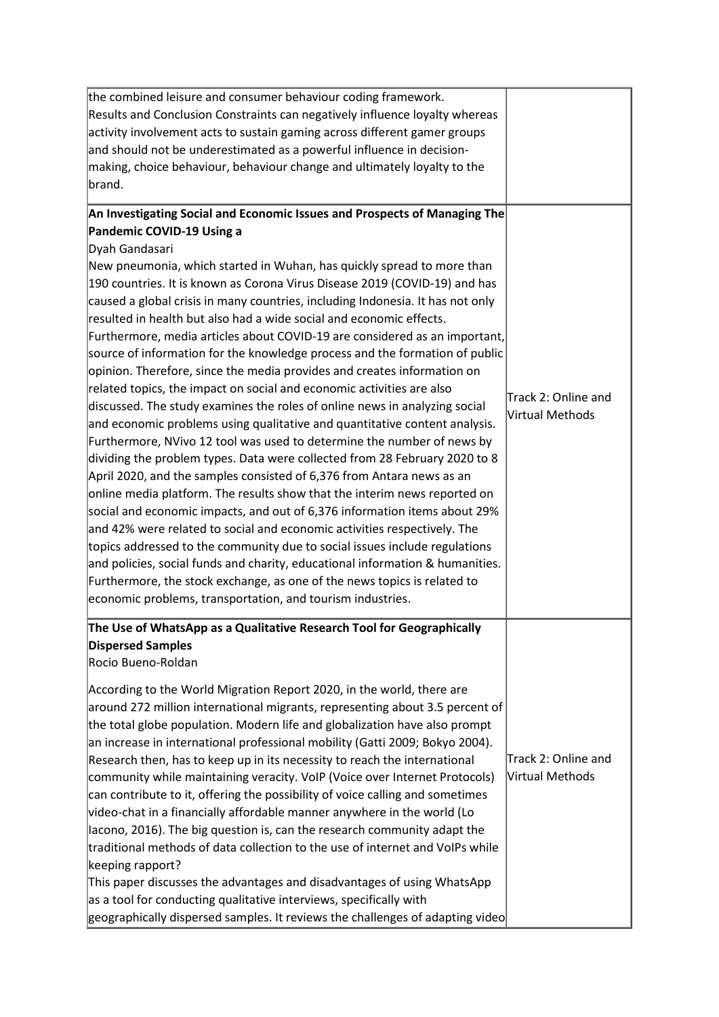| the combined leisure and consumer behaviour coding framework.                  |                     |
|--------------------------------------------------------------------------------|---------------------|
| Results and Conclusion Constraints can negatively influence loyalty whereas    |                     |
| activity involvement acts to sustain gaming across different gamer groups      |                     |
| and should not be underestimated as a powerful influence in decision-          |                     |
| making, choice behaviour, behaviour change and ultimately loyalty to the       |                     |
| brand.                                                                         |                     |
|                                                                                |                     |
| An Investigating Social and Economic Issues and Prospects of Managing The      |                     |
| Pandemic COVID-19 Using a                                                      |                     |
| Dyah Gandasari                                                                 |                     |
| New pneumonia, which started in Wuhan, has quickly spread to more than         |                     |
| 190 countries. It is known as Corona Virus Disease 2019 (COVID-19) and has     |                     |
| caused a global crisis in many countries, including Indonesia. It has not only |                     |
| resulted in health but also had a wide social and economic effects.            |                     |
| Furthermore, media articles about COVID-19 are considered as an important,     |                     |
| source of information for the knowledge process and the formation of public    |                     |
| opinion. Therefore, since the media provides and creates information on        |                     |
| related topics, the impact on social and economic activities are also          | Track 2: Online and |
| discussed. The study examines the roles of online news in analyzing social     | Nirtual Methods     |
| and economic problems using qualitative and quantitative content analysis.     |                     |
| Furthermore, NVivo 12 tool was used to determine the number of news by         |                     |
| dividing the problem types. Data were collected from 28 February 2020 to 8     |                     |
| April 2020, and the samples consisted of 6,376 from Antara news as an          |                     |
| online media platform. The results show that the interim news reported on      |                     |
| social and economic impacts, and out of 6,376 information items about 29%      |                     |
| and 42% were related to social and economic activities respectively. The       |                     |
| topics addressed to the community due to social issues include regulations     |                     |
| and policies, social funds and charity, educational information & humanities.  |                     |
| Furthermore, the stock exchange, as one of the news topics is related to       |                     |
| economic problems, transportation, and tourism industries.                     |                     |
| The Use of WhatsApp as a Qualitative Research Tool for Geographically          |                     |
| <b>Dispersed Samples</b>                                                       |                     |
| Rocio Bueno-Roldan                                                             |                     |
| According to the World Migration Report 2020, in the world, there are          |                     |
| around 272 million international migrants, representing about 3.5 percent of   |                     |
| the total globe population. Modern life and globalization have also prompt     |                     |
| an increase in international professional mobility (Gatti 2009; Bokyo 2004).   |                     |
| Research then, has to keep up in its necessity to reach the international      | Track 2: Online and |
| community while maintaining veracity. VoIP (Voice over Internet Protocols)     | Virtual Methods     |
| can contribute to it, offering the possibility of voice calling and sometimes  |                     |
| video-chat in a financially affordable manner anywhere in the world (Lo        |                     |
| Iacono, 2016). The big question is, can the research community adapt the       |                     |
| traditional methods of data collection to the use of internet and VoIPs while  |                     |
| keeping rapport?                                                               |                     |
| This paper discusses the advantages and disadvantages of using WhatsApp        |                     |
|                                                                                |                     |
| as a tool for conducting qualitative interviews, specifically with             |                     |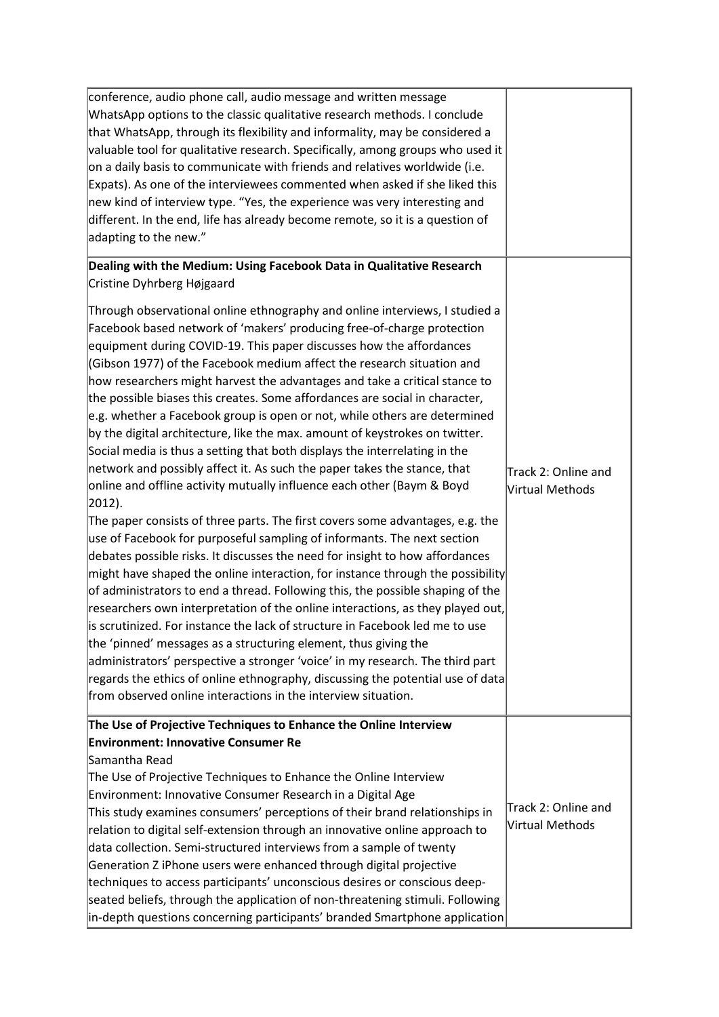| conference, audio phone call, audio message and written message<br>WhatsApp options to the classic qualitative research methods. I conclude<br>that WhatsApp, through its flexibility and informality, may be considered a<br>valuable tool for qualitative research. Specifically, among groups who used it<br>on a daily basis to communicate with friends and relatives worldwide (i.e.<br>Expats). As one of the interviewees commented when asked if she liked this<br>new kind of interview type. "Yes, the experience was very interesting and<br>different. In the end, life has already become remote, so it is a question of<br>adapting to the new."                                                                                                                                                                                                                                                                                                                                                                                                                                                                                                                                                                                                                                                                                                                                                                                                                                                                                                                                                                                                                                                                                                                |                                        |
|--------------------------------------------------------------------------------------------------------------------------------------------------------------------------------------------------------------------------------------------------------------------------------------------------------------------------------------------------------------------------------------------------------------------------------------------------------------------------------------------------------------------------------------------------------------------------------------------------------------------------------------------------------------------------------------------------------------------------------------------------------------------------------------------------------------------------------------------------------------------------------------------------------------------------------------------------------------------------------------------------------------------------------------------------------------------------------------------------------------------------------------------------------------------------------------------------------------------------------------------------------------------------------------------------------------------------------------------------------------------------------------------------------------------------------------------------------------------------------------------------------------------------------------------------------------------------------------------------------------------------------------------------------------------------------------------------------------------------------------------------------------------------------|----------------------------------------|
| Dealing with the Medium: Using Facebook Data in Qualitative Research<br>Cristine Dyhrberg Højgaard                                                                                                                                                                                                                                                                                                                                                                                                                                                                                                                                                                                                                                                                                                                                                                                                                                                                                                                                                                                                                                                                                                                                                                                                                                                                                                                                                                                                                                                                                                                                                                                                                                                                             |                                        |
| Through observational online ethnography and online interviews, I studied a<br>Facebook based network of 'makers' producing free-of-charge protection<br>equipment during COVID-19. This paper discusses how the affordances<br>(Gibson 1977) of the Facebook medium affect the research situation and<br>how researchers might harvest the advantages and take a critical stance to<br>the possible biases this creates. Some affordances are social in character,<br>e.g. whether a Facebook group is open or not, while others are determined<br>by the digital architecture, like the max. amount of keystrokes on twitter.<br>Social media is thus a setting that both displays the interrelating in the<br>network and possibly affect it. As such the paper takes the stance, that<br>online and offline activity mutually influence each other (Baym & Boyd<br>$ 2012$ ).<br>The paper consists of three parts. The first covers some advantages, e.g. the<br>use of Facebook for purposeful sampling of informants. The next section<br>debates possible risks. It discusses the need for insight to how affordances<br>$ $ might have shaped the online interaction, for instance through the possibility<br>of administrators to end a thread. Following this, the possible shaping of the<br>researchers own interpretation of the online interactions, as they played out,<br>is scrutinized. For instance the lack of structure in Facebook led me to use<br>the 'pinned' messages as a structuring element, thus giving the<br>administrators' perspective a stronger 'voice' in my research. The third part<br>regards the ethics of online ethnography, discussing the potential use of data<br>from observed online interactions in the interview situation. | Track 2: Online and<br>Virtual Methods |
| The Use of Projective Techniques to Enhance the Online Interview<br><b>Environment: Innovative Consumer Re</b>                                                                                                                                                                                                                                                                                                                                                                                                                                                                                                                                                                                                                                                                                                                                                                                                                                                                                                                                                                                                                                                                                                                                                                                                                                                                                                                                                                                                                                                                                                                                                                                                                                                                 |                                        |
| Samantha Read<br>The Use of Projective Techniques to Enhance the Online Interview<br>Environment: Innovative Consumer Research in a Digital Age<br>This study examines consumers' perceptions of their brand relationships in<br>relation to digital self-extension through an innovative online approach to<br>data collection. Semi-structured interviews from a sample of twenty<br>Generation Z iPhone users were enhanced through digital projective<br>techniques to access participants' unconscious desires or conscious deep-<br>seated beliefs, through the application of non-threatening stimuli. Following<br>in-depth questions concerning participants' branded Smartphone application                                                                                                                                                                                                                                                                                                                                                                                                                                                                                                                                                                                                                                                                                                                                                                                                                                                                                                                                                                                                                                                                          | Track 2: Online and<br>Virtual Methods |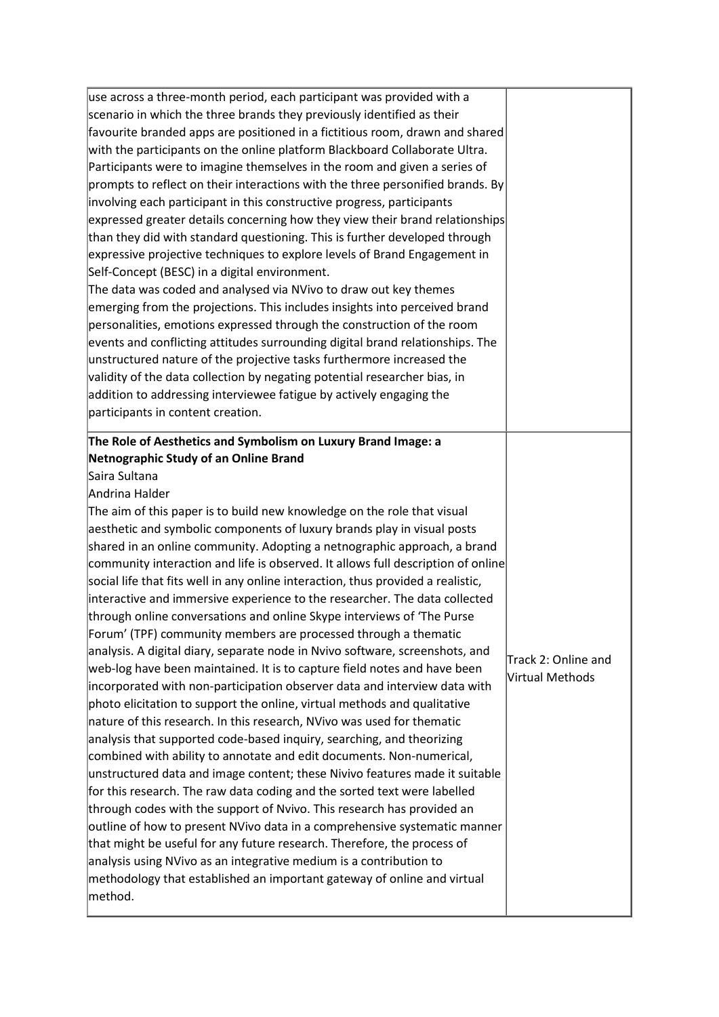| use across a three-month period, each participant was provided with a                                                                                                                                                                                                                                                                                                                                  |                     |
|--------------------------------------------------------------------------------------------------------------------------------------------------------------------------------------------------------------------------------------------------------------------------------------------------------------------------------------------------------------------------------------------------------|---------------------|
| scenario in which the three brands they previously identified as their                                                                                                                                                                                                                                                                                                                                 |                     |
| favourite branded apps are positioned in a fictitious room, drawn and shared                                                                                                                                                                                                                                                                                                                           |                     |
| with the participants on the online platform Blackboard Collaborate Ultra.                                                                                                                                                                                                                                                                                                                             |                     |
| Participants were to imagine themselves in the room and given a series of                                                                                                                                                                                                                                                                                                                              |                     |
| prompts to reflect on their interactions with the three personified brands. By                                                                                                                                                                                                                                                                                                                         |                     |
| involving each participant in this constructive progress, participants                                                                                                                                                                                                                                                                                                                                 |                     |
| expressed greater details concerning how they view their brand relationships                                                                                                                                                                                                                                                                                                                           |                     |
| than they did with standard questioning. This is further developed through                                                                                                                                                                                                                                                                                                                             |                     |
| expressive projective techniques to explore levels of Brand Engagement in                                                                                                                                                                                                                                                                                                                              |                     |
| Self-Concept (BESC) in a digital environment.                                                                                                                                                                                                                                                                                                                                                          |                     |
| The data was coded and analysed via NVivo to draw out key themes                                                                                                                                                                                                                                                                                                                                       |                     |
| emerging from the projections. This includes insights into perceived brand                                                                                                                                                                                                                                                                                                                             |                     |
| personalities, emotions expressed through the construction of the room                                                                                                                                                                                                                                                                                                                                 |                     |
| events and conflicting attitudes surrounding digital brand relationships. The                                                                                                                                                                                                                                                                                                                          |                     |
| unstructured nature of the projective tasks furthermore increased the                                                                                                                                                                                                                                                                                                                                  |                     |
| validity of the data collection by negating potential researcher bias, in                                                                                                                                                                                                                                                                                                                              |                     |
| addition to addressing interviewee fatigue by actively engaging the                                                                                                                                                                                                                                                                                                                                    |                     |
| participants in content creation.                                                                                                                                                                                                                                                                                                                                                                      |                     |
|                                                                                                                                                                                                                                                                                                                                                                                                        |                     |
| The Role of Aesthetics and Symbolism on Luxury Brand Image: a                                                                                                                                                                                                                                                                                                                                          |                     |
| Netnographic Study of an Online Brand                                                                                                                                                                                                                                                                                                                                                                  |                     |
| Saira Sultana                                                                                                                                                                                                                                                                                                                                                                                          |                     |
| Andrina Halder                                                                                                                                                                                                                                                                                                                                                                                         |                     |
|                                                                                                                                                                                                                                                                                                                                                                                                        |                     |
|                                                                                                                                                                                                                                                                                                                                                                                                        |                     |
|                                                                                                                                                                                                                                                                                                                                                                                                        |                     |
|                                                                                                                                                                                                                                                                                                                                                                                                        |                     |
|                                                                                                                                                                                                                                                                                                                                                                                                        |                     |
| The aim of this paper is to build new knowledge on the role that visual<br>aesthetic and symbolic components of luxury brands play in visual posts<br>shared in an online community. Adopting a netnographic approach, a brand<br>community interaction and life is observed. It allows full description of online<br>social life that fits well in any online interaction, thus provided a realistic, |                     |
|                                                                                                                                                                                                                                                                                                                                                                                                        |                     |
|                                                                                                                                                                                                                                                                                                                                                                                                        |                     |
| interactive and immersive experience to the researcher. The data collected<br>through online conversations and online Skype interviews of 'The Purse<br>Forum' (TPF) community members are processed through a thematic                                                                                                                                                                                |                     |
| analysis. A digital diary, separate node in Nvivo software, screenshots, and                                                                                                                                                                                                                                                                                                                           |                     |
|                                                                                                                                                                                                                                                                                                                                                                                                        | Track 2: Online and |
| web-log have been maintained. It is to capture field notes and have been                                                                                                                                                                                                                                                                                                                               | Virtual Methods     |
|                                                                                                                                                                                                                                                                                                                                                                                                        |                     |
| incorporated with non-participation observer data and interview data with<br>photo elicitation to support the online, virtual methods and qualitative                                                                                                                                                                                                                                                  |                     |
| nature of this research. In this research, NVivo was used for thematic                                                                                                                                                                                                                                                                                                                                 |                     |
| analysis that supported code-based inquiry, searching, and theorizing                                                                                                                                                                                                                                                                                                                                  |                     |
| combined with ability to annotate and edit documents. Non-numerical,                                                                                                                                                                                                                                                                                                                                   |                     |
| unstructured data and image content; these Nivivo features made it suitable                                                                                                                                                                                                                                                                                                                            |                     |
| for this research. The raw data coding and the sorted text were labelled                                                                                                                                                                                                                                                                                                                               |                     |
| through codes with the support of Nvivo. This research has provided an                                                                                                                                                                                                                                                                                                                                 |                     |
| outline of how to present NVivo data in a comprehensive systematic manner                                                                                                                                                                                                                                                                                                                              |                     |
| that might be useful for any future research. Therefore, the process of                                                                                                                                                                                                                                                                                                                                |                     |
| analysis using NVivo as an integrative medium is a contribution to                                                                                                                                                                                                                                                                                                                                     |                     |
| methodology that established an important gateway of online and virtual<br>method.                                                                                                                                                                                                                                                                                                                     |                     |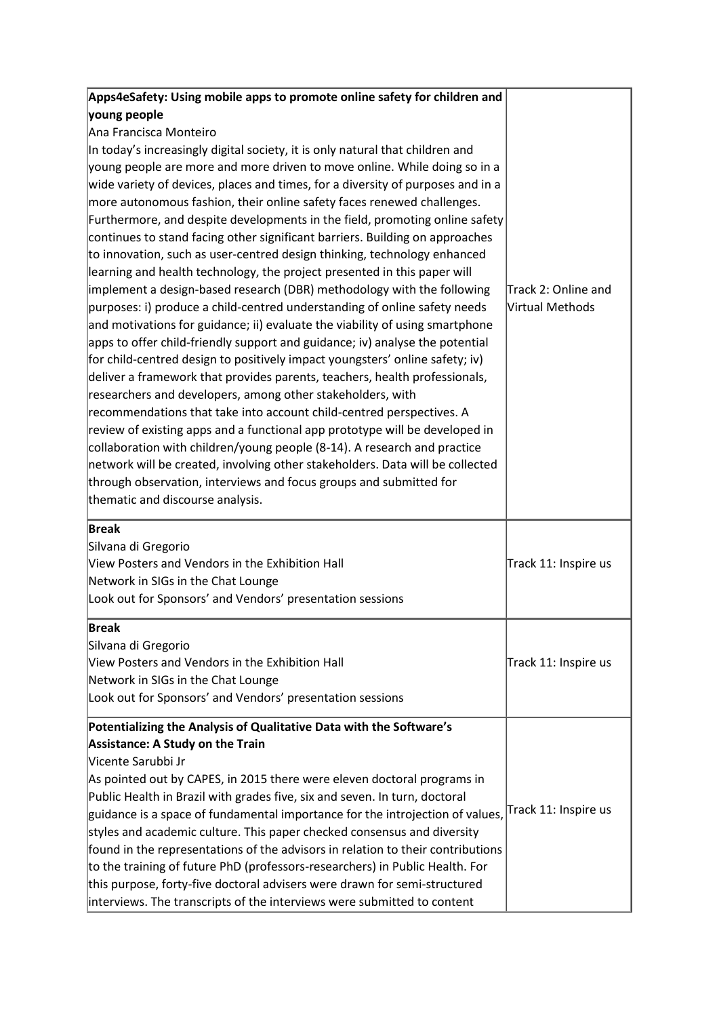| Apps4eSafety: Using mobile apps to promote online safety for children and       |                      |
|---------------------------------------------------------------------------------|----------------------|
| young people                                                                    |                      |
| Ana Francisca Monteiro                                                          |                      |
| In today's increasingly digital society, it is only natural that children and   |                      |
| young people are more and more driven to move online. While doing so in a       |                      |
| wide variety of devices, places and times, for a diversity of purposes and in a |                      |
| more autonomous fashion, their online safety faces renewed challenges.          |                      |
| Furthermore, and despite developments in the field, promoting online safety     |                      |
| continues to stand facing other significant barriers. Building on approaches    |                      |
| to innovation, such as user-centred design thinking, technology enhanced        |                      |
| learning and health technology, the project presented in this paper will        |                      |
| implement a design-based research (DBR) methodology with the following          | Track 2: Online and  |
| purposes: i) produce a child-centred understanding of online safety needs       | Virtual Methods      |
| and motivations for guidance; ii) evaluate the viability of using smartphone    |                      |
| apps to offer child-friendly support and guidance; iv) analyse the potential    |                      |
| for child-centred design to positively impact youngsters' online safety; iv)    |                      |
| deliver a framework that provides parents, teachers, health professionals,      |                      |
| researchers and developers, among other stakeholders, with                      |                      |
| recommendations that take into account child-centred perspectives. A            |                      |
| review of existing apps and a functional app prototype will be developed in     |                      |
| collaboration with children/young people (8-14). A research and practice        |                      |
| network will be created, involving other stakeholders. Data will be collected   |                      |
| through observation, interviews and focus groups and submitted for              |                      |
| thematic and discourse analysis.                                                |                      |
| <b>Break</b>                                                                    |                      |
| Silvana di Gregorio                                                             |                      |
| View Posters and Vendors in the Exhibition Hall                                 | Track 11: Inspire us |
| Network in SIGs in the Chat Lounge                                              |                      |
| Look out for Sponsors' and Vendors' presentation sessions                       |                      |
| <b>Break</b>                                                                    |                      |
| Silvana di Gregorio                                                             |                      |
| View Posters and Vendors in the Exhibition Hall                                 | Track 11: Inspire us |
| Network in SIGs in the Chat Lounge                                              |                      |
| Look out for Sponsors' and Vendors' presentation sessions                       |                      |
| Potentializing the Analysis of Qualitative Data with the Software's             |                      |
| <b>Assistance: A Study on the Train</b>                                         |                      |
| Vicente Sarubbi Jr                                                              |                      |
| As pointed out by CAPES, in 2015 there were eleven doctoral programs in         |                      |
| Public Health in Brazil with grades five, six and seven. In turn, doctoral      |                      |
| guidance is a space of fundamental importance for the introjection of values,   | Track 11: Inspire us |
| styles and academic culture. This paper checked consensus and diversity         |                      |
| found in the representations of the advisors in relation to their contributions |                      |
| to the training of future PhD (professors-researchers) in Public Health. For    |                      |
| this purpose, forty-five doctoral advisers were drawn for semi-structured       |                      |
| interviews. The transcripts of the interviews were submitted to content         |                      |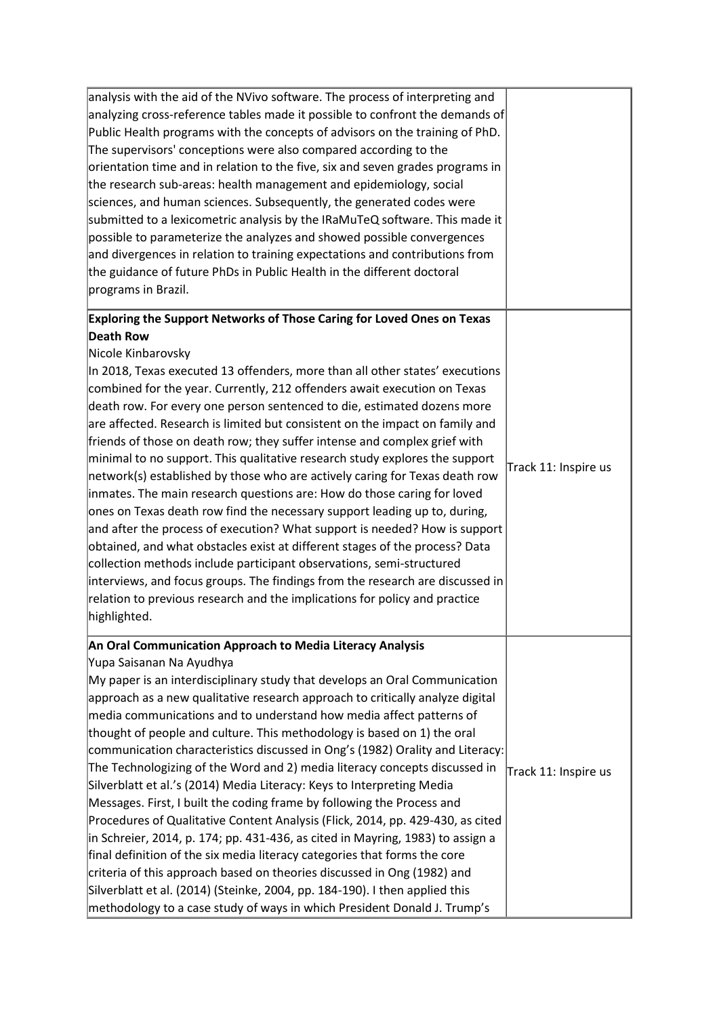| analysis with the aid of the NVivo software. The process of interpreting and<br>analyzing cross-reference tables made it possible to confront the demands of<br>Public Health programs with the concepts of advisors on the training of PhD.<br>The supervisors' conceptions were also compared according to the<br>orientation time and in relation to the five, six and seven grades programs in<br>the research sub-areas: health management and epidemiology, social<br>sciences, and human sciences. Subsequently, the generated codes were<br>submitted to a lexicometric analysis by the IRaMuTeQ software. This made it<br>possible to parameterize the analyzes and showed possible convergences<br>and divergences in relation to training expectations and contributions from<br>the guidance of future PhDs in Public Health in the different doctoral<br>programs in Brazil.                                                                                                                                                                                                                                                                                                                                                                      |                      |
|----------------------------------------------------------------------------------------------------------------------------------------------------------------------------------------------------------------------------------------------------------------------------------------------------------------------------------------------------------------------------------------------------------------------------------------------------------------------------------------------------------------------------------------------------------------------------------------------------------------------------------------------------------------------------------------------------------------------------------------------------------------------------------------------------------------------------------------------------------------------------------------------------------------------------------------------------------------------------------------------------------------------------------------------------------------------------------------------------------------------------------------------------------------------------------------------------------------------------------------------------------------|----------------------|
| Exploring the Support Networks of Those Caring for Loved Ones on Texas<br><b>Death Row</b><br>Nicole Kinbarovsky<br>In 2018, Texas executed 13 offenders, more than all other states' executions<br>combined for the year. Currently, 212 offenders await execution on Texas<br>death row. For every one person sentenced to die, estimated dozens more<br>are affected. Research is limited but consistent on the impact on family and<br>friends of those on death row; they suffer intense and complex grief with<br>minimal to no support. This qualitative research study explores the support<br>network(s) established by those who are actively caring for Texas death row<br>inmates. The main research questions are: How do those caring for loved<br>ones on Texas death row find the necessary support leading up to, during,<br>and after the process of execution? What support is needed? How is support<br>obtained, and what obstacles exist at different stages of the process? Data<br>collection methods include participant observations, semi-structured<br>interviews, and focus groups. The findings from the research are discussed in<br>relation to previous research and the implications for policy and practice<br>highlighted. | Track 11: Inspire us |
| An Oral Communication Approach to Media Literacy Analysis<br>Yupa Saisanan Na Ayudhya<br>My paper is an interdisciplinary study that develops an Oral Communication<br>approach as a new qualitative research approach to critically analyze digital<br>media communications and to understand how media affect patterns of<br>thought of people and culture. This methodology is based on 1) the oral<br>communication characteristics discussed in Ong's (1982) Orality and Literacy:<br>The Technologizing of the Word and 2) media literacy concepts discussed in<br>Silverblatt et al.'s (2014) Media Literacy: Keys to Interpreting Media<br>Messages. First, I built the coding frame by following the Process and<br>Procedures of Qualitative Content Analysis (Flick, 2014, pp. 429-430, as cited<br>in Schreier, 2014, p. 174; pp. 431-436, as cited in Mayring, 1983) to assign a<br>final definition of the six media literacy categories that forms the core<br>criteria of this approach based on theories discussed in Ong (1982) and<br>Silverblatt et al. (2014) (Steinke, 2004, pp. 184-190). I then applied this<br>methodology to a case study of ways in which President Donald J. Trump's                                               | Track 11: Inspire us |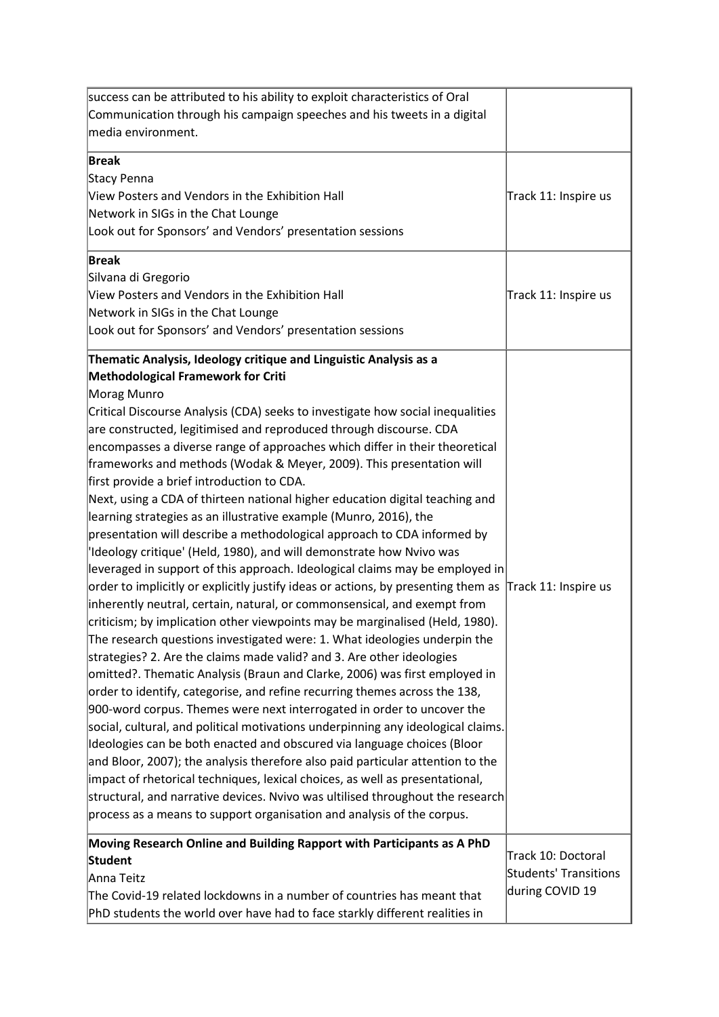| success can be attributed to his ability to exploit characteristics of Oral<br>Communication through his campaign speeches and his tweets in a digital<br>media environment.                                                                                                                                                                                                                                                                                                                                                                                                                                                                                                                                                                                                                                                                                                                                                                                                                                                                                                                                                                                                                                                                                                                                                                                                                                                                                                                                                                                                                                                                                                                                                                                                                                                                                                                                                                                                                                                 |                                                                |
|------------------------------------------------------------------------------------------------------------------------------------------------------------------------------------------------------------------------------------------------------------------------------------------------------------------------------------------------------------------------------------------------------------------------------------------------------------------------------------------------------------------------------------------------------------------------------------------------------------------------------------------------------------------------------------------------------------------------------------------------------------------------------------------------------------------------------------------------------------------------------------------------------------------------------------------------------------------------------------------------------------------------------------------------------------------------------------------------------------------------------------------------------------------------------------------------------------------------------------------------------------------------------------------------------------------------------------------------------------------------------------------------------------------------------------------------------------------------------------------------------------------------------------------------------------------------------------------------------------------------------------------------------------------------------------------------------------------------------------------------------------------------------------------------------------------------------------------------------------------------------------------------------------------------------------------------------------------------------------------------------------------------------|----------------------------------------------------------------|
| Break<br>Stacy Penna<br>View Posters and Vendors in the Exhibition Hall<br>Network in SIGs in the Chat Lounge<br>Look out for Sponsors' and Vendors' presentation sessions                                                                                                                                                                                                                                                                                                                                                                                                                                                                                                                                                                                                                                                                                                                                                                                                                                                                                                                                                                                                                                                                                                                                                                                                                                                                                                                                                                                                                                                                                                                                                                                                                                                                                                                                                                                                                                                   | Track 11: Inspire us                                           |
| <b>Break</b><br>Silvana di Gregorio<br>View Posters and Vendors in the Exhibition Hall<br>Network in SIGs in the Chat Lounge<br>Look out for Sponsors' and Vendors' presentation sessions                                                                                                                                                                                                                                                                                                                                                                                                                                                                                                                                                                                                                                                                                                                                                                                                                                                                                                                                                                                                                                                                                                                                                                                                                                                                                                                                                                                                                                                                                                                                                                                                                                                                                                                                                                                                                                    | Track 11: Inspire us                                           |
| Thematic Analysis, Ideology critique and Linguistic Analysis as a<br><b>Methodological Framework for Criti</b><br>Morag Munro<br>Critical Discourse Analysis (CDA) seeks to investigate how social inequalities<br>are constructed, legitimised and reproduced through discourse. CDA<br>encompasses a diverse range of approaches which differ in their theoretical<br>frameworks and methods (Wodak & Meyer, 2009). This presentation will<br>first provide a brief introduction to CDA.<br>Next, using a CDA of thirteen national higher education digital teaching and<br>learning strategies as an illustrative example (Munro, 2016), the<br>presentation will describe a methodological approach to CDA informed by<br>lldeology critique' (Held, 1980), and will demonstrate how Nvivo was<br>leveraged in support of this approach. Ideological claims may be employed in<br>order to implicitly or explicitly justify ideas or actions, by presenting them as<br>inherently neutral, certain, natural, or commonsensical, and exempt from<br>criticism; by implication other viewpoints may be marginalised (Held, 1980).<br>The research questions investigated were: 1. What ideologies underpin the<br>strategies? 2. Are the claims made valid? and 3. Are other ideologies<br>omitted?. Thematic Analysis (Braun and Clarke, 2006) was first employed in<br>order to identify, categorise, and refine recurring themes across the 138,<br>900-word corpus. Themes were next interrogated in order to uncover the<br>social, cultural, and political motivations underpinning any ideological claims.<br>Ideologies can be both enacted and obscured via language choices (Bloor<br>and Bloor, 2007); the analysis therefore also paid particular attention to the<br>impact of rhetorical techniques, lexical choices, as well as presentational,<br>structural, and narrative devices. Nvivo was ultilised throughout the research<br>process as a means to support organisation and analysis of the corpus. | Track 11: Inspire us                                           |
| Moving Research Online and Building Rapport with Participants as A PhD<br>Student<br>Anna Teitz<br>The Covid-19 related lockdowns in a number of countries has meant that<br>PhD students the world over have had to face starkly different realities in                                                                                                                                                                                                                                                                                                                                                                                                                                                                                                                                                                                                                                                                                                                                                                                                                                                                                                                                                                                                                                                                                                                                                                                                                                                                                                                                                                                                                                                                                                                                                                                                                                                                                                                                                                     | Track 10: Doctoral<br>Students' Transitions<br>during COVID 19 |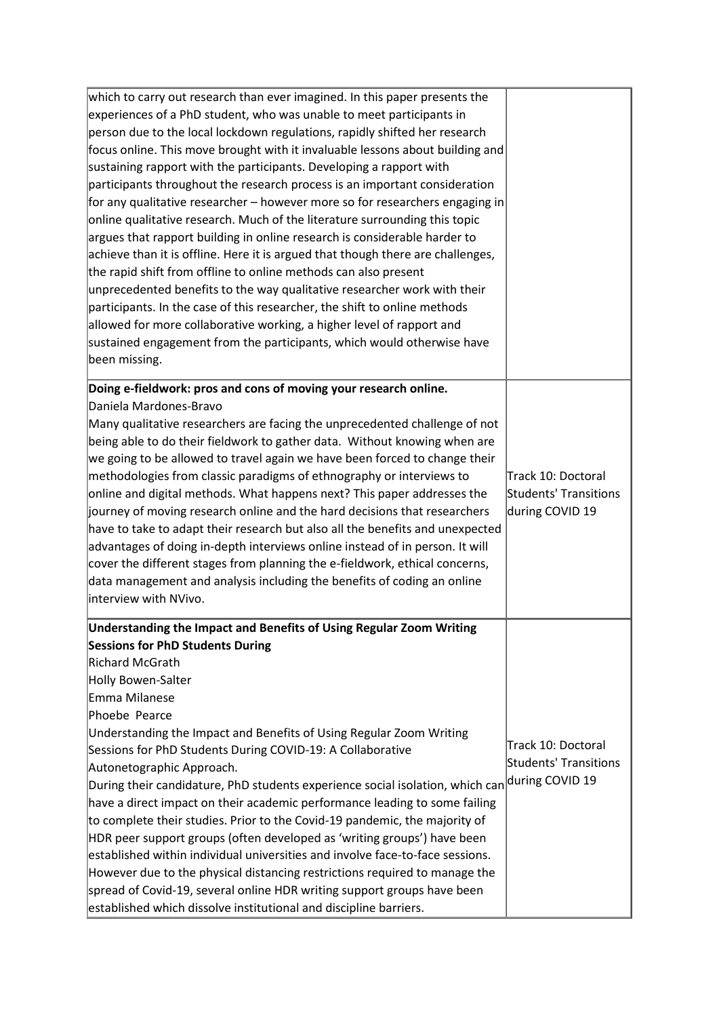| which to carry out research than ever imagined. In this paper presents the      |                       |
|---------------------------------------------------------------------------------|-----------------------|
| experiences of a PhD student, who was unable to meet participants in            |                       |
| person due to the local lockdown regulations, rapidly shifted her research      |                       |
| focus online. This move brought with it invaluable lessons about building and   |                       |
| sustaining rapport with the participants. Developing a rapport with             |                       |
| participants throughout the research process is an important consideration      |                       |
| for any qualitative researcher – however more so for researchers engaging in    |                       |
| online qualitative research. Much of the literature surrounding this topic      |                       |
| argues that rapport building in online research is considerable harder to       |                       |
| achieve than it is offline. Here it is argued that though there are challenges, |                       |
| the rapid shift from offline to online methods can also present                 |                       |
| unprecedented benefits to the way qualitative researcher work with their        |                       |
| participants. In the case of this researcher, the shift to online methods       |                       |
| allowed for more collaborative working, a higher level of rapport and           |                       |
| sustained engagement from the participants, which would otherwise have          |                       |
| been missing.                                                                   |                       |
| Doing e-fieldwork: pros and cons of moving your research online.                |                       |
| Daniela Mardones-Bravo                                                          |                       |
| Many qualitative researchers are facing the unprecedented challenge of not      |                       |
| being able to do their fieldwork to gather data. Without knowing when are       |                       |
| we going to be allowed to travel again we have been forced to change their      |                       |
| methodologies from classic paradigms of ethnography or interviews to            | Track 10: Doctoral    |
|                                                                                 | Students' Transitions |
| online and digital methods. What happens next? This paper addresses the         |                       |
| journey of moving research online and the hard decisions that researchers       | during COVID 19       |
| have to take to adapt their research but also all the benefits and unexpected   |                       |
| advantages of doing in-depth interviews online instead of in person. It will    |                       |
| cover the different stages from planning the e-fieldwork, ethical concerns,     |                       |
| data management and analysis including the benefits of coding an online         |                       |
| interview with NVivo.                                                           |                       |
| Understanding the Impact and Benefits of Using Regular Zoom Writing             |                       |
| <b>Sessions for PhD Students During</b>                                         |                       |
| Richard McGrath                                                                 |                       |
| Holly Bowen-Salter                                                              |                       |
| Emma Milanese                                                                   |                       |
| Phoebe Pearce                                                                   |                       |
| Understanding the Impact and Benefits of Using Regular Zoom Writing             |                       |
| Sessions for PhD Students During COVID-19: A Collaborative                      | Track 10: Doctoral    |
| Autonetographic Approach.                                                       | Students' Transitions |
| During their candidature, PhD students experience social isolation, which can   | during COVID 19       |
| have a direct impact on their academic performance leading to some failing      |                       |
| to complete their studies. Prior to the Covid-19 pandemic, the majority of      |                       |
| HDR peer support groups (often developed as 'writing groups') have been         |                       |
| established within individual universities and involve face-to-face sessions.   |                       |
| However due to the physical distancing restrictions required to manage the      |                       |
| spread of Covid-19, several online HDR writing support groups have been         |                       |
| established which dissolve institutional and discipline barriers.               |                       |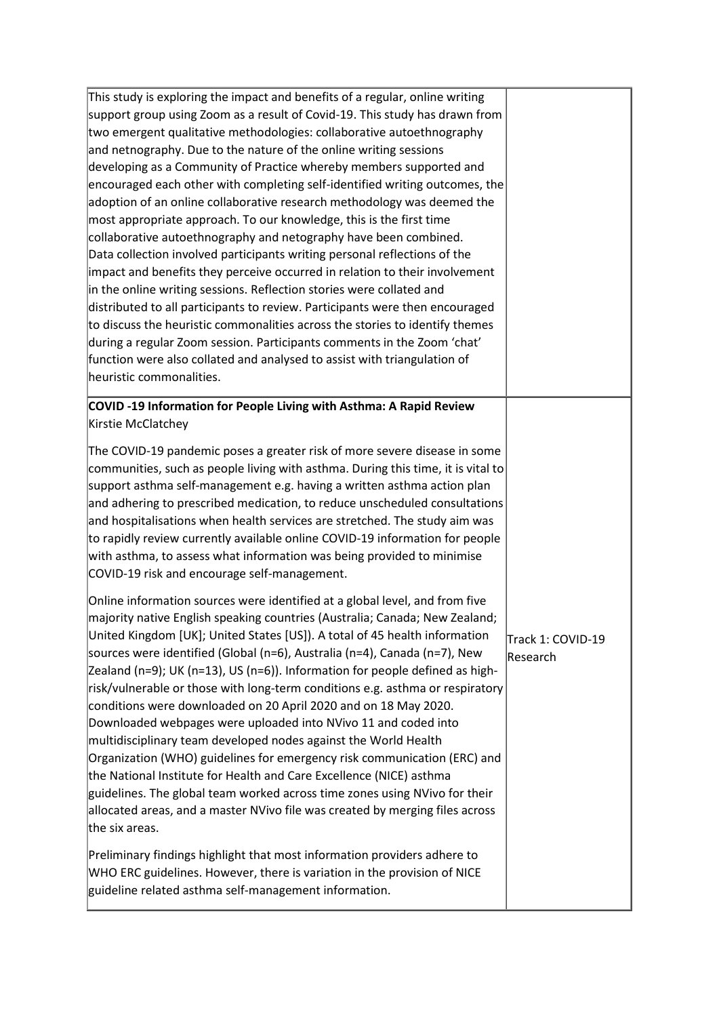| This study is exploring the impact and benefits of a regular, online writing                                                                               |                   |
|------------------------------------------------------------------------------------------------------------------------------------------------------------|-------------------|
| support group using Zoom as a result of Covid-19. This study has drawn from                                                                                |                   |
| two emergent qualitative methodologies: collaborative autoethnography                                                                                      |                   |
| and netnography. Due to the nature of the online writing sessions                                                                                          |                   |
| developing as a Community of Practice whereby members supported and                                                                                        |                   |
| encouraged each other with completing self-identified writing outcomes, the                                                                                |                   |
| adoption of an online collaborative research methodology was deemed the                                                                                    |                   |
| most appropriate approach. To our knowledge, this is the first time                                                                                        |                   |
| collaborative autoethnography and netography have been combined.                                                                                           |                   |
| Data collection involved participants writing personal reflections of the                                                                                  |                   |
| impact and benefits they perceive occurred in relation to their involvement                                                                                |                   |
| in the online writing sessions. Reflection stories were collated and                                                                                       |                   |
| distributed to all participants to review. Participants were then encouraged                                                                               |                   |
| to discuss the heuristic commonalities across the stories to identify themes                                                                               |                   |
| during a regular Zoom session. Participants comments in the Zoom 'chat'                                                                                    |                   |
| function were also collated and analysed to assist with triangulation of                                                                                   |                   |
| heuristic commonalities.                                                                                                                                   |                   |
| COVID-19 Information for People Living with Asthma: A Rapid Review                                                                                         |                   |
| Kirstie McClatchey                                                                                                                                         |                   |
|                                                                                                                                                            |                   |
| The COVID-19 pandemic poses a greater risk of more severe disease in some                                                                                  |                   |
| communities, such as people living with asthma. During this time, it is vital to                                                                           |                   |
| support asthma self-management e.g. having a written asthma action plan                                                                                    |                   |
| and adhering to prescribed medication, to reduce unscheduled consultations                                                                                 |                   |
| and hospitalisations when health services are stretched. The study aim was<br>to rapidly review currently available online COVID-19 information for people |                   |
| with asthma, to assess what information was being provided to minimise                                                                                     |                   |
| COVID-19 risk and encourage self-management.                                                                                                               |                   |
|                                                                                                                                                            |                   |
| Online information sources were identified at a global level, and from five                                                                                |                   |
| majority native English speaking countries (Australia; Canada; New Zealand;                                                                                |                   |
| United Kingdom [UK]; United States [US]). A total of 45 health information                                                                                 | Track 1: COVID-19 |
| sources were identified (Global (n=6), Australia (n=4), Canada (n=7), New                                                                                  | Research          |
| Zealand (n=9); UK (n=13), US (n=6)). Information for people defined as high-                                                                               |                   |
| risk/vulnerable or those with long-term conditions e.g. asthma or respiratory                                                                              |                   |
| conditions were downloaded on 20 April 2020 and on 18 May 2020.                                                                                            |                   |
| Downloaded webpages were uploaded into NVivo 11 and coded into                                                                                             |                   |
| multidisciplinary team developed nodes against the World Health                                                                                            |                   |
| Organization (WHO) guidelines for emergency risk communication (ERC) and                                                                                   |                   |
| the National Institute for Health and Care Excellence (NICE) asthma                                                                                        |                   |
| guidelines. The global team worked across time zones using NVivo for their                                                                                 |                   |
| allocated areas, and a master NVivo file was created by merging files across                                                                               |                   |
| the six areas.                                                                                                                                             |                   |
| Preliminary findings highlight that most information providers adhere to                                                                                   |                   |
| WHO ERC guidelines. However, there is variation in the provision of NICE                                                                                   |                   |
| guideline related asthma self-management information.                                                                                                      |                   |
|                                                                                                                                                            |                   |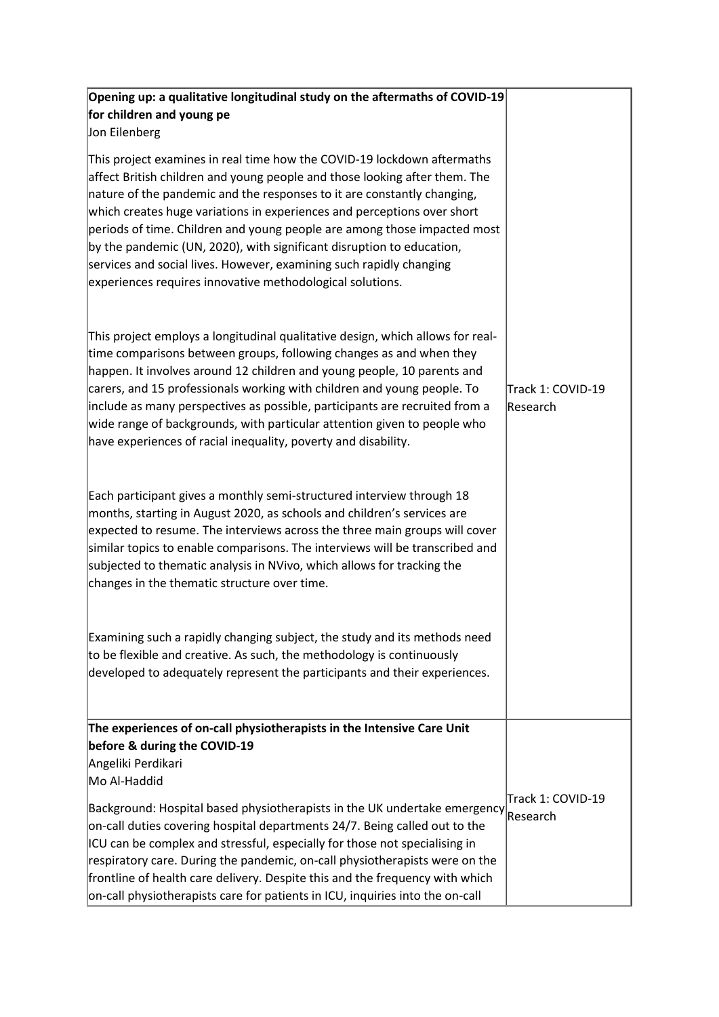| Opening up: a qualitative longitudinal study on the aftermaths of COVID-19<br>for children and young pe<br>Jon Eilenberg                                                                                                                                                                                                                                                                                                                                                                                                                                                                             |                                |
|------------------------------------------------------------------------------------------------------------------------------------------------------------------------------------------------------------------------------------------------------------------------------------------------------------------------------------------------------------------------------------------------------------------------------------------------------------------------------------------------------------------------------------------------------------------------------------------------------|--------------------------------|
| This project examines in real time how the COVID-19 lockdown aftermaths<br>affect British children and young people and those looking after them. The<br>nature of the pandemic and the responses to it are constantly changing,<br>which creates huge variations in experiences and perceptions over short<br>periods of time. Children and young people are among those impacted most<br>by the pandemic (UN, 2020), with significant disruption to education,<br>services and social lives. However, examining such rapidly changing<br>experiences requires innovative methodological solutions. |                                |
| This project employs a longitudinal qualitative design, which allows for real-<br>time comparisons between groups, following changes as and when they<br>happen. It involves around 12 children and young people, 10 parents and<br>carers, and 15 professionals working with children and young people. To<br>include as many perspectives as possible, participants are recruited from a<br>wide range of backgrounds, with particular attention given to people who<br>have experiences of racial inequality, poverty and disability.                                                             | lTrack 1: COVID-19<br>Research |
| Each participant gives a monthly semi-structured interview through 18<br>months, starting in August 2020, as schools and children's services are<br>expected to resume. The interviews across the three main groups will cover<br>similar topics to enable comparisons. The interviews will be transcribed and<br>subjected to thematic analysis in NVivo, which allows for tracking the<br>changes in the thematic structure over time.                                                                                                                                                             |                                |
| Examining such a rapidly changing subject, the study and its methods need<br>to be flexible and creative. As such, the methodology is continuously<br>developed to adequately represent the participants and their experiences.                                                                                                                                                                                                                                                                                                                                                                      |                                |
| The experiences of on-call physiotherapists in the Intensive Care Unit                                                                                                                                                                                                                                                                                                                                                                                                                                                                                                                               |                                |
| before & during the COVID-19<br>Angeliki Perdikari                                                                                                                                                                                                                                                                                                                                                                                                                                                                                                                                                   |                                |
| Mo Al-Haddid                                                                                                                                                                                                                                                                                                                                                                                                                                                                                                                                                                                         |                                |
| Background: Hospital based physiotherapists in the UK undertake emergency $\big _\text{Research}$<br>on-call duties covering hospital departments 24/7. Being called out to the<br>ICU can be complex and stressful, especially for those not specialising in<br>respiratory care. During the pandemic, on-call physiotherapists were on the<br>frontline of health care delivery. Despite this and the frequency with which<br>on-call physiotherapists care for patients in ICU, inquiries into the on-call                                                                                        | Track 1: COVID-19              |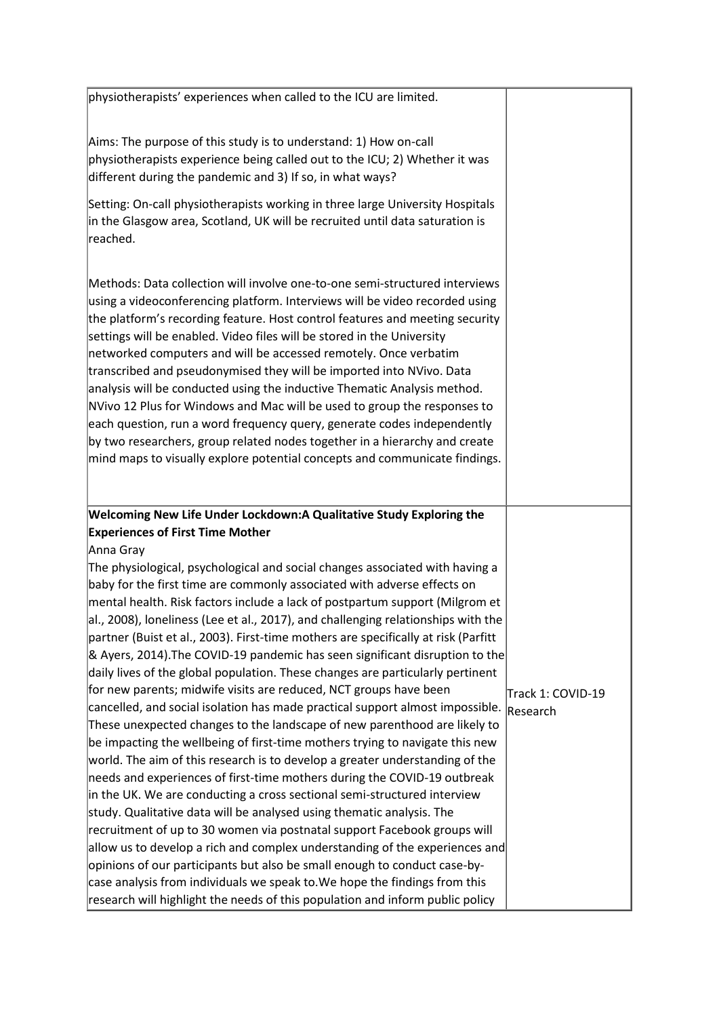| physiotherapists' experiences when called to the ICU are limited.                                                                                                                                                                                                                                                                                                                                                                                                                                                                                                                                                                                                                                                                                                                                                                                                                                                                                                                                                                                                                                                                                                                                                                                                                                                                                                                                                                                                                                                                                                                                                                            |                               |
|----------------------------------------------------------------------------------------------------------------------------------------------------------------------------------------------------------------------------------------------------------------------------------------------------------------------------------------------------------------------------------------------------------------------------------------------------------------------------------------------------------------------------------------------------------------------------------------------------------------------------------------------------------------------------------------------------------------------------------------------------------------------------------------------------------------------------------------------------------------------------------------------------------------------------------------------------------------------------------------------------------------------------------------------------------------------------------------------------------------------------------------------------------------------------------------------------------------------------------------------------------------------------------------------------------------------------------------------------------------------------------------------------------------------------------------------------------------------------------------------------------------------------------------------------------------------------------------------------------------------------------------------|-------------------------------|
| Aims: The purpose of this study is to understand: 1) How on-call<br>physiotherapists experience being called out to the ICU; 2) Whether it was<br>different during the pandemic and 3) If so, in what ways?                                                                                                                                                                                                                                                                                                                                                                                                                                                                                                                                                                                                                                                                                                                                                                                                                                                                                                                                                                                                                                                                                                                                                                                                                                                                                                                                                                                                                                  |                               |
| Setting: On-call physiotherapists working in three large University Hospitals<br>in the Glasgow area, Scotland, UK will be recruited until data saturation is<br>reached.                                                                                                                                                                                                                                                                                                                                                                                                                                                                                                                                                                                                                                                                                                                                                                                                                                                                                                                                                                                                                                                                                                                                                                                                                                                                                                                                                                                                                                                                    |                               |
| Methods: Data collection will involve one-to-one semi-structured interviews<br>using a videoconferencing platform. Interviews will be video recorded using<br>the platform's recording feature. Host control features and meeting security<br>settings will be enabled. Video files will be stored in the University<br>networked computers and will be accessed remotely. Once verbatim<br>transcribed and pseudonymised they will be imported into NVivo. Data<br>analysis will be conducted using the inductive Thematic Analysis method.<br>NVivo 12 Plus for Windows and Mac will be used to group the responses to<br>each question, run a word frequency query, generate codes independently<br>by two researchers, group related nodes together in a hierarchy and create<br>mind maps to visually explore potential concepts and communicate findings.                                                                                                                                                                                                                                                                                                                                                                                                                                                                                                                                                                                                                                                                                                                                                                              |                               |
| <b>Welcoming New Life Under Lockdown:A Qualitative Study Exploring the</b><br><b>Experiences of First Time Mother</b>                                                                                                                                                                                                                                                                                                                                                                                                                                                                                                                                                                                                                                                                                                                                                                                                                                                                                                                                                                                                                                                                                                                                                                                                                                                                                                                                                                                                                                                                                                                        |                               |
| Anna Gray<br>The physiological, psychological and social changes associated with having a<br>baby for the first time are commonly associated with adverse effects on<br>mental health. Risk factors include a lack of postpartum support (Milgrom et<br>al., 2008), loneliness (Lee et al., 2017), and challenging relationships with the<br>partner (Buist et al., 2003). First-time mothers are specifically at risk (Parfitt<br>& Ayers, 2014). The COVID-19 pandemic has seen significant disruption to the<br>daily lives of the global population. These changes are particularly pertinent<br>for new parents; midwife visits are reduced, NCT groups have been<br>cancelled, and social isolation has made practical support almost impossible.<br>These unexpected changes to the landscape of new parenthood are likely to<br>be impacting the wellbeing of first-time mothers trying to navigate this new<br>world. The aim of this research is to develop a greater understanding of the<br>needs and experiences of first-time mothers during the COVID-19 outbreak<br>in the UK. We are conducting a cross sectional semi-structured interview<br>study. Qualitative data will be analysed using thematic analysis. The<br>recruitment of up to 30 women via postnatal support Facebook groups will<br>allow us to develop a rich and complex understanding of the experiences and<br>opinions of our participants but also be small enough to conduct case-by-<br>case analysis from individuals we speak to. We hope the findings from this<br>research will highlight the needs of this population and inform public policy | Track 1: COVID-19<br>Research |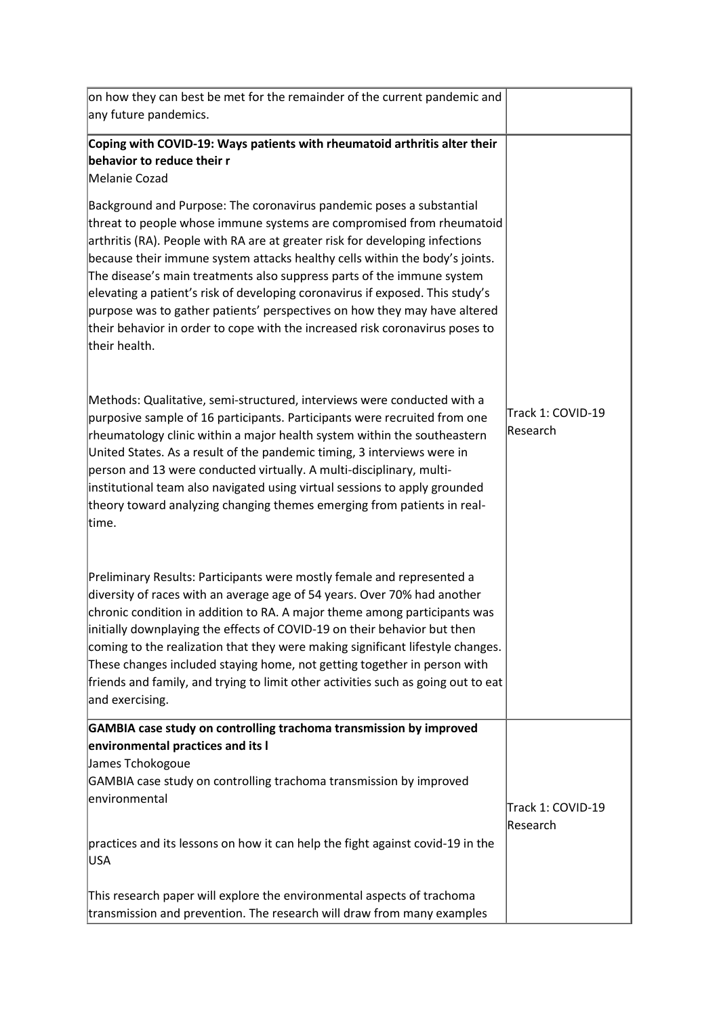| on how they can best be met for the remainder of the current pandemic and<br>any future pandemics.                                                                                                                                                                                                                                                                                                                                                                                                                                                                                                                                                                     |                               |
|------------------------------------------------------------------------------------------------------------------------------------------------------------------------------------------------------------------------------------------------------------------------------------------------------------------------------------------------------------------------------------------------------------------------------------------------------------------------------------------------------------------------------------------------------------------------------------------------------------------------------------------------------------------------|-------------------------------|
| Coping with COVID-19: Ways patients with rheumatoid arthritis alter their<br>behavior to reduce their r                                                                                                                                                                                                                                                                                                                                                                                                                                                                                                                                                                |                               |
| Melanie Cozad<br>Background and Purpose: The coronavirus pandemic poses a substantial<br>threat to people whose immune systems are compromised from rheumatoid<br>arthritis (RA). People with RA are at greater risk for developing infections<br>because their immune system attacks healthy cells within the body's joints.<br>The disease's main treatments also suppress parts of the immune system<br>elevating a patient's risk of developing coronavirus if exposed. This study's<br>purpose was to gather patients' perspectives on how they may have altered<br>their behavior in order to cope with the increased risk coronavirus poses to<br>their health. |                               |
| Methods: Qualitative, semi-structured, interviews were conducted with a<br>purposive sample of 16 participants. Participants were recruited from one<br>rheumatology clinic within a major health system within the southeastern<br>United States. As a result of the pandemic timing, 3 interviews were in<br>person and 13 were conducted virtually. A multi-disciplinary, multi-<br>institutional team also navigated using virtual sessions to apply grounded<br>theory toward analyzing changing themes emerging from patients in real-<br>time.                                                                                                                  | Track 1: COVID-19<br>Research |
| Preliminary Results: Participants were mostly female and represented a<br>diversity of races with an average age of 54 years. Over 70% had another<br>chronic condition in addition to RA. A major theme among participants was<br>initially downplaying the effects of COVID-19 on their behavior but then<br>coming to the realization that they were making significant lifestyle changes.<br>These changes included staying home, not getting together in person with<br>friends and family, and trying to limit other activities such as going out to eat<br>and exercising.                                                                                      |                               |
| GAMBIA case study on controlling trachoma transmission by improved<br>environmental practices and its I<br>James Tchokogoue<br>GAMBIA case study on controlling trachoma transmission by improved                                                                                                                                                                                                                                                                                                                                                                                                                                                                      |                               |
| environmental<br>practices and its lessons on how it can help the fight against covid-19 in the<br>USA                                                                                                                                                                                                                                                                                                                                                                                                                                                                                                                                                                 | Track 1: COVID-19<br>Research |
| This research paper will explore the environmental aspects of trachoma<br>transmission and prevention. The research will draw from many examples                                                                                                                                                                                                                                                                                                                                                                                                                                                                                                                       |                               |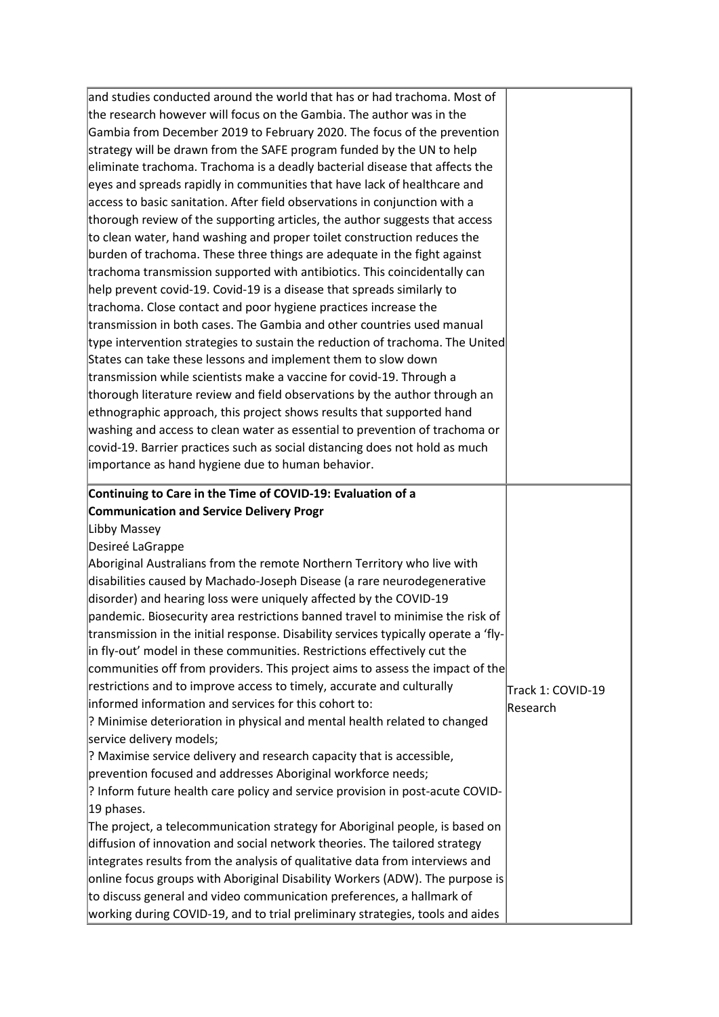| and studies conducted around the world that has or had trachoma. Most of                                                                              |                   |
|-------------------------------------------------------------------------------------------------------------------------------------------------------|-------------------|
|                                                                                                                                                       |                   |
| the research however will focus on the Gambia. The author was in the                                                                                  |                   |
| Gambia from December 2019 to February 2020. The focus of the prevention                                                                               |                   |
| strategy will be drawn from the SAFE program funded by the UN to help                                                                                 |                   |
| eliminate trachoma. Trachoma is a deadly bacterial disease that affects the                                                                           |                   |
| eyes and spreads rapidly in communities that have lack of healthcare and                                                                              |                   |
| access to basic sanitation. After field observations in conjunction with a                                                                            |                   |
| thorough review of the supporting articles, the author suggests that access                                                                           |                   |
| to clean water, hand washing and proper toilet construction reduces the                                                                               |                   |
| burden of trachoma. These three things are adequate in the fight against                                                                              |                   |
| trachoma transmission supported with antibiotics. This coincidentally can                                                                             |                   |
| help prevent covid-19. Covid-19 is a disease that spreads similarly to                                                                                |                   |
| trachoma. Close contact and poor hygiene practices increase the                                                                                       |                   |
| transmission in both cases. The Gambia and other countries used manual                                                                                |                   |
| type intervention strategies to sustain the reduction of trachoma. The United                                                                         |                   |
| States can take these lessons and implement them to slow down                                                                                         |                   |
| transmission while scientists make a vaccine for covid-19. Through a                                                                                  |                   |
| thorough literature review and field observations by the author through an                                                                            |                   |
| ethnographic approach, this project shows results that supported hand                                                                                 |                   |
| washing and access to clean water as essential to prevention of trachoma or                                                                           |                   |
| covid-19. Barrier practices such as social distancing does not hold as much                                                                           |                   |
| importance as hand hygiene due to human behavior.                                                                                                     |                   |
|                                                                                                                                                       |                   |
| Continuing to Care in the Time of COVID-19: Evaluation of a                                                                                           |                   |
|                                                                                                                                                       |                   |
| <b>Communication and Service Delivery Progr</b>                                                                                                       |                   |
| Libby Massey                                                                                                                                          |                   |
| Desireé LaGrappe                                                                                                                                      |                   |
| Aboriginal Australians from the remote Northern Territory who live with                                                                               |                   |
| disabilities caused by Machado-Joseph Disease (a rare neurodegenerative                                                                               |                   |
| disorder) and hearing loss were uniquely affected by the COVID-19                                                                                     |                   |
| pandemic. Biosecurity area restrictions banned travel to minimise the risk of                                                                         |                   |
| transmission in the initial response. Disability services typically operate a 'fly-                                                                   |                   |
| in fly-out' model in these communities. Restrictions effectively cut the                                                                              |                   |
| communities off from providers. This project aims to assess the impact of the                                                                         |                   |
| restrictions and to improve access to timely, accurate and culturally                                                                                 |                   |
| informed information and services for this cohort to:                                                                                                 | Track 1: COVID-19 |
|                                                                                                                                                       | Research          |
| ? Minimise deterioration in physical and mental health related to changed<br>service delivery models;                                                 |                   |
| ? Maximise service delivery and research capacity that is accessible,                                                                                 |                   |
|                                                                                                                                                       |                   |
| prevention focused and addresses Aboriginal workforce needs;                                                                                          |                   |
| ? Inform future health care policy and service provision in post-acute COVID-                                                                         |                   |
| 19 phases.                                                                                                                                            |                   |
| The project, a telecommunication strategy for Aboriginal people, is based on                                                                          |                   |
| diffusion of innovation and social network theories. The tailored strategy                                                                            |                   |
| integrates results from the analysis of qualitative data from interviews and                                                                          |                   |
| online focus groups with Aboriginal Disability Workers (ADW). The purpose is<br>to discuss general and video communication preferences, a hallmark of |                   |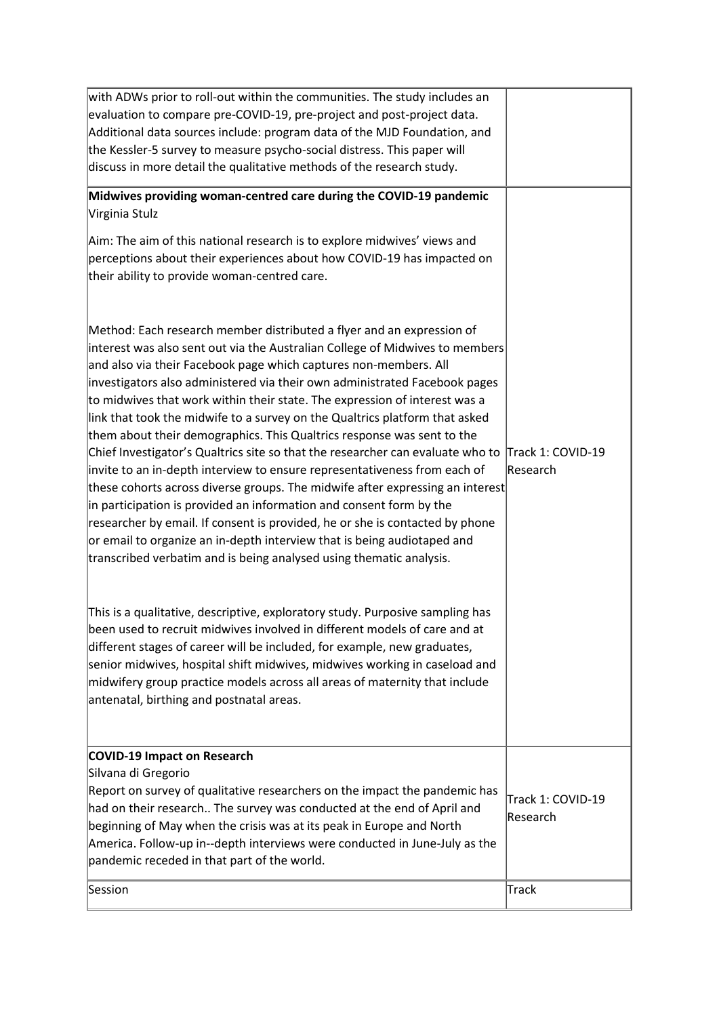| with ADWs prior to roll-out within the communities. The study includes an<br>evaluation to compare pre-COVID-19, pre-project and post-project data.<br>Additional data sources include: program data of the MJD Foundation, and<br>the Kessler-5 survey to measure psycho-social distress. This paper will                                                                                                                                                                                                                                                                                                                                                                                                                                                                                                                                                                                                                                                                                                                                                                                              |                               |
|---------------------------------------------------------------------------------------------------------------------------------------------------------------------------------------------------------------------------------------------------------------------------------------------------------------------------------------------------------------------------------------------------------------------------------------------------------------------------------------------------------------------------------------------------------------------------------------------------------------------------------------------------------------------------------------------------------------------------------------------------------------------------------------------------------------------------------------------------------------------------------------------------------------------------------------------------------------------------------------------------------------------------------------------------------------------------------------------------------|-------------------------------|
| discuss in more detail the qualitative methods of the research study.                                                                                                                                                                                                                                                                                                                                                                                                                                                                                                                                                                                                                                                                                                                                                                                                                                                                                                                                                                                                                                   |                               |
| Midwives providing woman-centred care during the COVID-19 pandemic<br>Virginia Stulz<br>Aim: The aim of this national research is to explore midwives' views and<br>perceptions about their experiences about how COVID-19 has impacted on<br>their ability to provide woman-centred care.                                                                                                                                                                                                                                                                                                                                                                                                                                                                                                                                                                                                                                                                                                                                                                                                              |                               |
| Method: Each research member distributed a flyer and an expression of<br>interest was also sent out via the Australian College of Midwives to members<br>and also via their Facebook page which captures non-members. All<br>investigators also administered via their own administrated Facebook pages<br>to midwives that work within their state. The expression of interest was a<br>link that took the midwife to a survey on the Qualtrics platform that asked<br>them about their demographics. This Qualtrics response was sent to the<br>Chief Investigator's Qualtrics site so that the researcher can evaluate who to<br>invite to an in-depth interview to ensure representativeness from each of<br>these cohorts across diverse groups. The midwife after expressing an interest<br>in participation is provided an information and consent form by the<br>researcher by email. If consent is provided, he or she is contacted by phone<br>or email to organize an in-depth interview that is being audiotaped and<br>transcribed verbatim and is being analysed using thematic analysis. | Track 1: COVID-19<br>Research |
| This is a qualitative, descriptive, exploratory study. Purposive sampling has<br>been used to recruit midwives involved in different models of care and at<br>different stages of career will be included, for example, new graduates,<br>senior midwives, hospital shift midwives, midwives working in caseload and<br>midwifery group practice models across all areas of maternity that include<br>antenatal, birthing and postnatal areas.                                                                                                                                                                                                                                                                                                                                                                                                                                                                                                                                                                                                                                                          |                               |
| <b>COVID-19 Impact on Research</b><br>Silvana di Gregorio<br>Report on survey of qualitative researchers on the impact the pandemic has<br>had on their research The survey was conducted at the end of April and<br>beginning of May when the crisis was at its peak in Europe and North<br>America. Follow-up in--depth interviews were conducted in June-July as the<br>pandemic receded in that part of the world.                                                                                                                                                                                                                                                                                                                                                                                                                                                                                                                                                                                                                                                                                  | Track 1: COVID-19<br>Research |
| Session                                                                                                                                                                                                                                                                                                                                                                                                                                                                                                                                                                                                                                                                                                                                                                                                                                                                                                                                                                                                                                                                                                 | Track                         |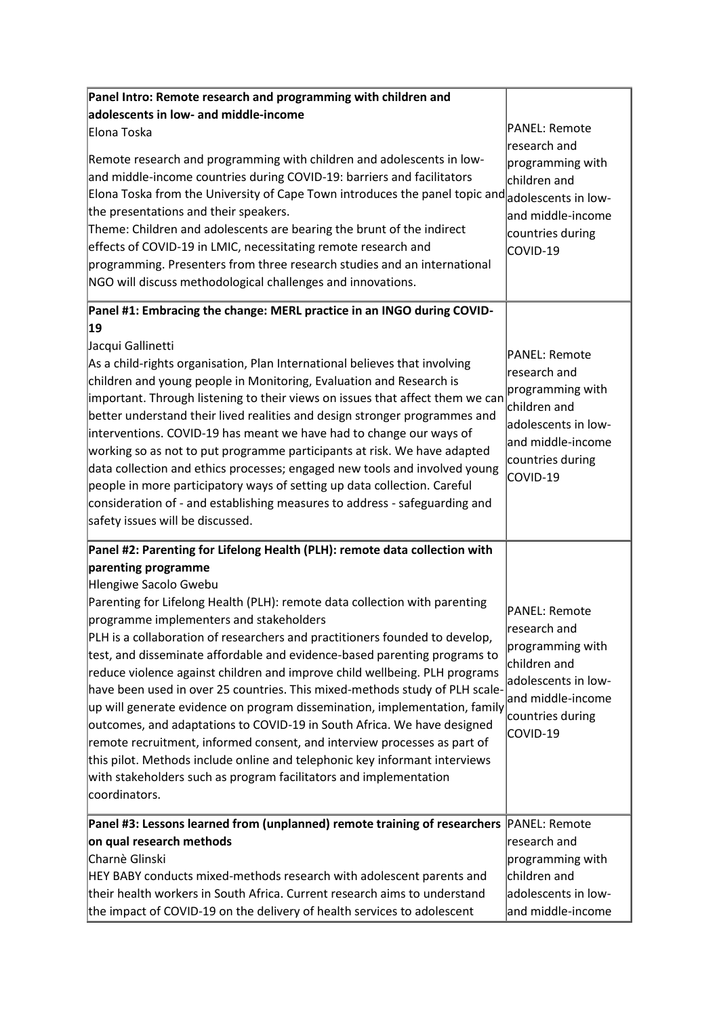| Panel Intro: Remote research and programming with children and                                                                                                                                                                                                                                                                                                                                                                                                                                                                                                                                                                                                                                                                                                                                                                                                                                          |                                                                                                                                                       |
|---------------------------------------------------------------------------------------------------------------------------------------------------------------------------------------------------------------------------------------------------------------------------------------------------------------------------------------------------------------------------------------------------------------------------------------------------------------------------------------------------------------------------------------------------------------------------------------------------------------------------------------------------------------------------------------------------------------------------------------------------------------------------------------------------------------------------------------------------------------------------------------------------------|-------------------------------------------------------------------------------------------------------------------------------------------------------|
| adolescents in low- and middle-income                                                                                                                                                                                                                                                                                                                                                                                                                                                                                                                                                                                                                                                                                                                                                                                                                                                                   |                                                                                                                                                       |
| Elona Toska<br>Remote research and programming with children and adolescents in low-<br>and middle-income countries during COVID-19: barriers and facilitators<br>Elona Toska from the University of Cape Town introduces the panel topic and adolescents in low-<br>the presentations and their speakers.<br>Theme: Children and adolescents are bearing the brunt of the indirect<br>effects of COVID-19 in LMIC, necessitating remote research and<br>programming. Presenters from three research studies and an international<br>NGO will discuss methodological challenges and innovations.                                                                                                                                                                                                                                                                                                        | PANEL: Remote<br>research and<br>programming with<br>children and<br>and middle-income<br>countries during<br>COVID-19                                |
| Panel #1: Embracing the change: MERL practice in an INGO during COVID-                                                                                                                                                                                                                                                                                                                                                                                                                                                                                                                                                                                                                                                                                                                                                                                                                                  |                                                                                                                                                       |
| 19<br>Jacqui Gallinetti<br>As a child-rights organisation, Plan International believes that involving<br>children and young people in Monitoring, Evaluation and Research is<br>important. Through listening to their views on issues that affect them we can<br>better understand their lived realities and design stronger programmes and<br>interventions. COVID-19 has meant we have had to change our ways of<br>working so as not to put programme participants at risk. We have adapted<br>data collection and ethics processes; engaged new tools and involved young<br>people in more participatory ways of setting up data collection. Careful<br>consideration of - and establishing measures to address - safeguarding and<br>safety issues will be discussed.                                                                                                                              | <b>PANEL: Remote</b><br>lresearch and<br>programming with<br>children and<br>adolescents in low-<br>and middle-income<br>countries during<br>COVID-19 |
| Panel #2: Parenting for Lifelong Health (PLH): remote data collection with                                                                                                                                                                                                                                                                                                                                                                                                                                                                                                                                                                                                                                                                                                                                                                                                                              |                                                                                                                                                       |
| parenting programme<br>Hlengiwe Sacolo Gwebu<br>Parenting for Lifelong Health (PLH): remote data collection with parenting<br>programme implementers and stakeholders<br>PLH is a collaboration of researchers and practitioners founded to develop,<br>test, and disseminate affordable and evidence-based parenting programs to<br>reduce violence against children and improve child wellbeing. PLH programs<br>have been used in over 25 countries. This mixed-methods study of PLH scale-<br>up will generate evidence on program dissemination, implementation, family<br>outcomes, and adaptations to COVID-19 in South Africa. We have designed<br>remote recruitment, informed consent, and interview processes as part of<br>this pilot. Methods include online and telephonic key informant interviews<br>with stakeholders such as program facilitators and implementation<br>coordinators. | PANEL: Remote<br>research and<br>programming with<br>children and<br>ladolescents in low-<br>and middle-income<br>countries during<br>COVID-19        |
| Panel #3: Lessons learned from (unplanned) remote training of researchers PANEL: Remote<br>on qual research methods<br>Charnè Glinski<br>HEY BABY conducts mixed-methods research with adolescent parents and<br>their health workers in South Africa. Current research aims to understand<br>the impact of COVID-19 on the delivery of health services to adolescent                                                                                                                                                                                                                                                                                                                                                                                                                                                                                                                                   | research and<br>programming with<br>children and<br>adolescents in low-<br>and middle-income                                                          |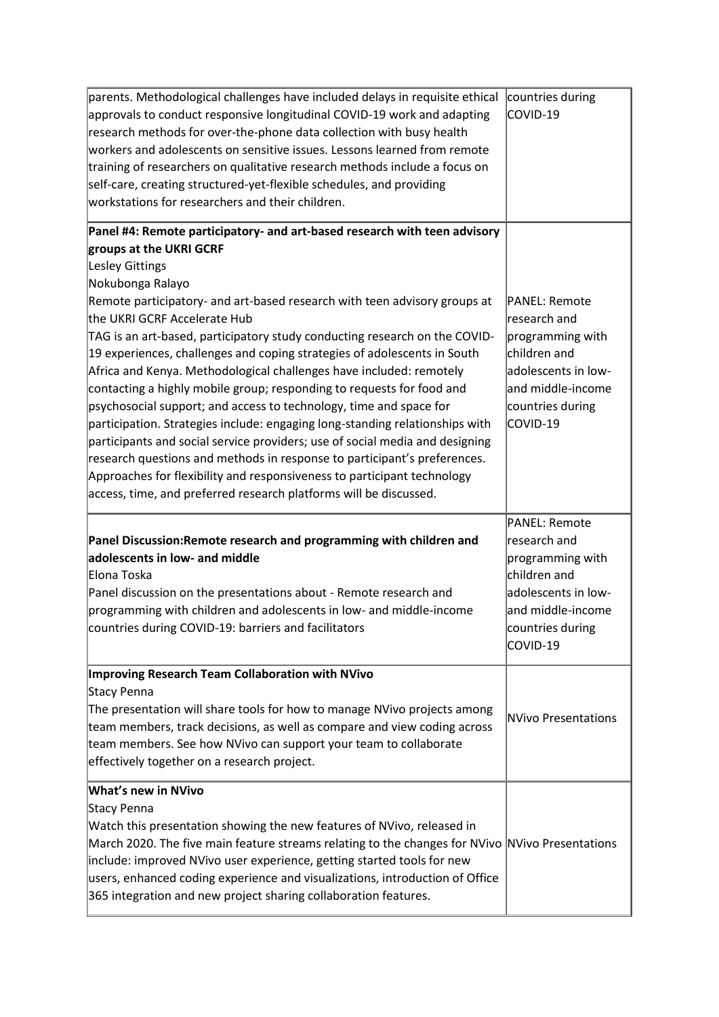| parents. Methodological challenges have included delays in requisite ethical                                                                    | countries during                 |
|-------------------------------------------------------------------------------------------------------------------------------------------------|----------------------------------|
| approvals to conduct responsive longitudinal COVID-19 work and adapting                                                                         | COVID-19                         |
| research methods for over-the-phone data collection with busy health                                                                            |                                  |
| workers and adolescents on sensitive issues. Lessons learned from remote                                                                        |                                  |
| training of researchers on qualitative research methods include a focus on                                                                      |                                  |
| self-care, creating structured-yet-flexible schedules, and providing                                                                            |                                  |
| workstations for researchers and their children.                                                                                                |                                  |
| Panel #4: Remote participatory- and art-based research with teen advisory                                                                       |                                  |
| groups at the UKRI GCRF                                                                                                                         |                                  |
| Lesley Gittings                                                                                                                                 |                                  |
| Nokubonga Ralayo                                                                                                                                |                                  |
| Remote participatory- and art-based research with teen advisory groups at                                                                       | PANEL: Remote                    |
| the UKRI GCRF Accelerate Hub                                                                                                                    | lresearch and                    |
| TAG is an art-based, participatory study conducting research on the COVID-                                                                      | programming with                 |
| 19 experiences, challenges and coping strategies of adolescents in South                                                                        | children and                     |
| Africa and Kenya. Methodological challenges have included: remotely                                                                             | adolescents in low-              |
| contacting a highly mobile group; responding to requests for food and                                                                           | and middle-income                |
| psychosocial support; and access to technology, time and space for                                                                              | countries during                 |
| participation. Strategies include: engaging long-standing relationships with                                                                    | COVID-19                         |
| participants and social service providers; use of social media and designing                                                                    |                                  |
| research questions and methods in response to participant's preferences.                                                                        |                                  |
| Approaches for flexibility and responsiveness to participant technology                                                                         |                                  |
| access, time, and preferred research platforms will be discussed.                                                                               |                                  |
|                                                                                                                                                 |                                  |
|                                                                                                                                                 | PANEL: Remote                    |
| Panel Discussion: Remote research and programming with children and<br>adolescents in low- and middle                                           | research and                     |
| Elona Toska                                                                                                                                     | programming with<br>children and |
| Panel discussion on the presentations about - Remote research and                                                                               | adolescents in low-              |
|                                                                                                                                                 | and middle-income                |
| programming with children and adolescents in low- and middle-income                                                                             |                                  |
| countries during COVID-19: barriers and facilitators                                                                                            | countries during                 |
|                                                                                                                                                 |                                  |
|                                                                                                                                                 | COVID-19                         |
| Improving Research Team Collaboration with NVivo                                                                                                |                                  |
| Stacy Penna                                                                                                                                     |                                  |
| The presentation will share tools for how to manage NVivo projects among                                                                        | <b>NVivo Presentations</b>       |
| team members, track decisions, as well as compare and view coding across                                                                        |                                  |
| team members. See how NVivo can support your team to collaborate                                                                                |                                  |
| effectively together on a research project.                                                                                                     |                                  |
| <b>What's new in NVivo</b>                                                                                                                      |                                  |
| Stacy Penna                                                                                                                                     |                                  |
| Watch this presentation showing the new features of NVivo, released in                                                                          |                                  |
| March 2020. The five main feature streams relating to the changes for NVivo NVivo Presentations                                                 |                                  |
| include: improved NVivo user experience, getting started tools for new                                                                          |                                  |
| users, enhanced coding experience and visualizations, introduction of Office<br>365 integration and new project sharing collaboration features. |                                  |